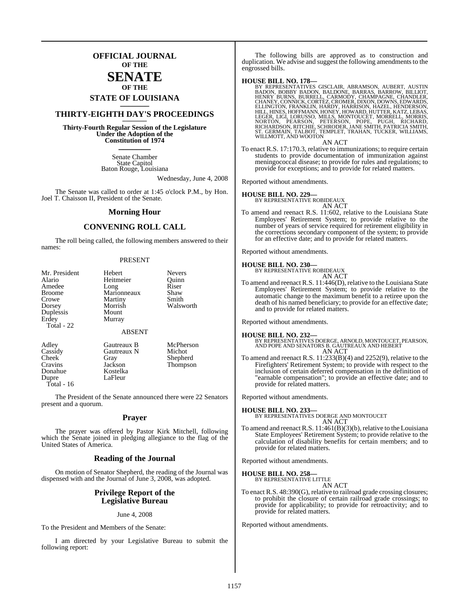### **OFFICIAL JOURNAL OF THE**

### **SENATE OF THE**

# **STATE OF LOUISIANA \_\_\_\_\_\_\_**

### **THIRTY-EIGHTH DAY'S PROCEEDINGS \_\_\_\_\_\_\_**

**Thirty-Fourth Regular Session of the Legislature Under the Adoption of the Constitution of 1974 \_\_\_\_\_\_\_**

> Senate Chamber State Capitol Baton Rouge, Louisiana

> > Wednesday, June 4, 2008

The Senate was called to order at 1:45 o'clock P.M., by Hon. Joel T. Chaisson II, President of the Senate.

#### **Morning Hour**

#### **CONVENING ROLL CALL**

The roll being called, the following members answered to their names:

#### PRESENT

| Mr. President | Hebert        | <b>Nevers</b> |
|---------------|---------------|---------------|
| Alario        | Heitmeier     | Ouinn         |
| Amedee        | Long          | Riser         |
| <b>Broome</b> | Marionneaux   | Shaw          |
| Crowe         | Martiny       | Smith         |
| Dorsey        | Morrish       | Walsworth     |
| Duplessis     | Mount         |               |
| Erdey         | Murray        |               |
| Total - 22    |               |               |
|               | <b>ABSENT</b> |               |
| Adley         | Gautreaux B   | McPherson     |
| Cassidy       | Gautreaux N   | Michot        |
| Cheek         | Gray          | Shepherd      |
| Cravins       | Jackson       | Thompson      |
| Donahue       | Kostelka      |               |
| Dupre         | LaFleur       |               |

Total - 16

The President of the Senate announced there were 22 Senators present and a quorum.

#### **Prayer**

The prayer was offered by Pastor Kirk Mitchell, following which the Senate joined in pledging allegiance to the flag of the United States of America.

#### **Reading of the Journal**

On motion of Senator Shepherd, the reading of the Journal was dispensed with and the Journal of June 3, 2008, was adopted.

#### **Privilege Report of the Legislative Bureau**

#### June 4, 2008

To the President and Members of the Senate:

I am directed by your Legislative Bureau to submit the following report:

The following bills are approved as to construction and duplication. We advise and suggest the following amendments to the engrossed bills.

**HOUSE BILL NO. 178—**<br>BY REPRESENTATIVES GISCLAIR, ABRAMSON, AUBERT, AUSTIN<br>BADON, BOBBY BADON, BALDONE, BARRAS, BARROW, BILLIOT,<br>HENRY BURNS, BURRELL, CARMODY, CHAMPAGNE, CHANDLER,<br>CHANEY, CONNICK, CORTEZ, CROMER, DIXON,

AN ACT

To enact R.S. 17:170.3, relative to immunizations; to require certain students to provide documentation of immunization against meningococcal disease; to provide for rules and regulations; to provide for exceptions; and to provide for related matters.

Reported without amendments.

**HOUSE BILL NO. 229—** BY REPRESENTATIVE ROBIDEAUX AN ACT

To amend and reenact R.S. 11:602, relative to the Louisiana State Employees' Retirement System; to provide relative to the number of years of service required for retirement eligibility in the corrections secondary component of the system; to provide for an effective date; and to provide for related matters.

Reported without amendments.

**HOUSE BILL NO. 230—** BY REPRESENTATIVE ROBIDEAUX

AN ACT

To amend and reenact R.S. 11:446(D), relative to the Louisiana State Employees' Retirement System; to provide relative to the automatic change to the maximum benefit to a retiree upon the death of his named beneficiary; to provide for an effective date; and to provide for related matters.

Reported without amendments.

**HOUSE BILL NO. 232—** BY REPRESENTATIVES DOERGE, ARNOLD, MONTOUCET, PEARSON, AND POPE AND SENATORS B. GAUTREAUX AND HEBERT AN ACT

To amend and reenact R.S. 11:233(B)(4) and 2252(9), relative to the Firefighters' Retirement System; to provide with respect to the inclusion of certain deferred compensation in the definition of "earnable compensation"; to provide an effective date; and to provide for related matters.

Reported without amendments.

**HOUSE BILL NO. 233—** BY REPRESENTATIVES DOERGE AND MONTOUCET AN ACT

To amend and reenact R.S. 11:461(B)(3)(b), relative to the Louisiana State Employees' Retirement System; to provide relative to the calculation of disability benefits for certain members; and to provide for related matters.

Reported without amendments.

**HOUSE BILL NO. 258—** BY REPRESENTATIVE LITTLE

$$
\overset{\text{the}}{\text{AN}} \text{ACT}
$$

To enact R.S. 48:390(G), relative to railroad grade crossing closures; to prohibit the closure of certain railroad grade crossings; to provide for applicability; to provide for retroactivity; and to provide for related matters.

Reported without amendments.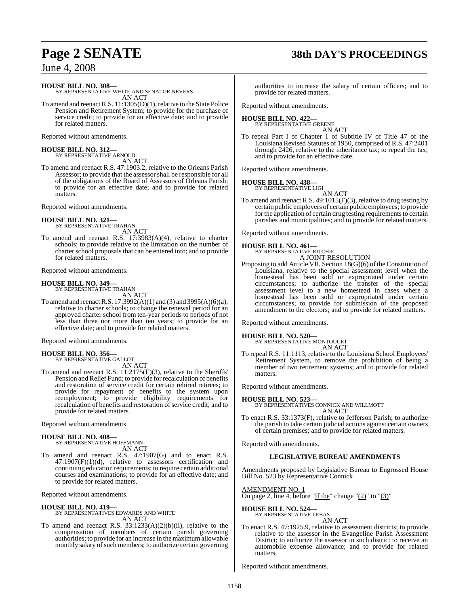# **Page 2 SENATE 38th DAY'S PROCEEDINGS**

June 4, 2008

**HOUSE BILL NO. 308—**

BY REPRESENTATIVE WHITE AND SENATOR NEVERS AN ACT

To amend and reenact R.S. 11:1305(D)(1), relative to the State Police Pension and Retirement System; to provide for the purchase of service credit; to provide for an effective date; and to provide for related matters.

Reported without amendments.

**HOUSE BILL NO. 312—** BY REPRESENTATIVE ARNOLD

AN ACT To amend and reenact R.S. 47:1903.2, relative to the Orleans Parish Assessor; to provide that the assessorshall be responsible for all of the obligations of the Board of Assessors of Orleans Parish; to provide for an effective date; and to provide for related matters.

Reported without amendments.

#### **HOUSE BILL NO. 321—** BY REPRESENTATIVE TRAHAN

AN ACT

To amend and reenact R.S. 17:3983(A)(4), relative to charter schools; to provide relative to the limitation on the number of charter school proposals that can be entered into; and to provide for related matters.

Reported without amendments.

### **HOUSE BILL NO. 349—** BY REPRESENTATIVE TRAHAN

AN ACT

To amend and reenactR.S. 17:3992(A)(1) and (3) and 3995(A)(6)(a), relative to charter schools; to change the renewal period for an approved charter school from ten-year periods to periods of not less than three nor more than ten years; to provide for an effective date; and to provide for related matters.

Reported without amendments.

**HOUSE BILL NO. 356—** BY REPRESENTATIVE GALLOT

AN ACT

To amend and reenact R.S. 11:2175(E)(3), relative to the Sheriffs' Pension and Relief Fund; to provide for recalculation of benefits and restoration of service credit for certain rehired retirees; to provide for repayment of benefits to the system upon reemployment; to provide eligibility requirements for recalculation of benefits and restoration of service credit; and to provide for related matters.

Reported without amendments.

### **HOUSE BILL NO. 408—** BY REPRESENTATIVE HOFFMANN

AN ACT

To amend and reenact R.S. 47:1907(G) and to enact R.S.  $47:1907(F)(1)(d)$ , relative to assessors certification and continuing education requirements; to require certain additional courses and examinations; to provide for an effective date; and to provide for related matters.

Reported without amendments.

#### **HOUSE BILL NO. 419—**

BY REPRESENTATIVES EDWARDS AND WHITE AN ACT

To amend and reenact R.S. 33:1233(A)(2)(b)(ii), relative to the compensation of members of certain parish governing authorities; to provide for an increase in the maximumallowable monthly salary of such members; to authorize certain governing authorities to increase the salary of certain officers; and to provide for related matters.

Reported without amendments.

#### **HOUSE BILL NO. 422—** BY REPRESENTATIVE GREENE

- AN ACT To repeal Part I of Chapter 1 of Subtitle IV of Title 47 of the Louisiana Revised Statutes of 1950, comprised of R.S. 47:2401
	- through 2426, relative to the inheritance tax; to repeal the tax; and to provide for an effective date.

Reported without amendments.

#### **HOUSE BILL NO. 438—**

BY REPRESENTATIVE LIGI AN ACT

To amend and reenact R.S. 49:1015(F)(3), relative to drug testing by certain public employers of certain public employees; to provide for the application of certain drug testing requirements to certain parishes and municipalities; and to provide for related matters.

Reported without amendments.

### **HOUSE BILL NO. 461—**

BY REPRESENTATIVE RITCHIE A JOINT RESOLUTION

Proposing to add Article VII, Section 18(G)(6) of the Constitution of Louisiana, relative to the special assessment level when the homestead has been sold or expropriated under certain circumstances; to authorize the transfer of the special assessment level to a new homestead in cases where a homestead has been sold or expropriated under certain circumstances; to provide for submission of the proposed amendment to the electors; and to provide for related matters.

Reported without amendments.

### **HOUSE BILL NO. 520—** BY REPRESENTATIVE MONTOUCET

AN ACT

To repeal R.S. 11:1113, relative to the Louisiana School Employees' Retirement System, to remove the prohibition of being a member of two retirement systems; and to provide for related matters.

Reported without amendments.

#### **HOUSE BILL NO. 523—**

BY REPRESENTATIVES CONNICK AND WILLMOTT AN ACT

To enact R.S. 33:1373(F), relative to Jefferson Parish; to authorize the parish to take certain judicial actions against certain owners of certain premises; and to provide for related matters.

Reported with amendments.

#### **LEGISLATIVE BUREAU AMENDMENTS**

Amendments proposed by Legislative Bureau to Engrossed House Bill No. 523 by Representative Connick

AMENDMENT NO. 1

On page 2, line 4, before "If the" change " $(2)$ " to " $(3)$ "

**HOUSE BILL NO. 524—**

BY REPRESENTATIVE LEBAS AN ACT

To enact R.S. 47:1925.9, relative to assessment districts; to provide relative to the assessor in the Evangeline Parish Assessment District; to authorize the assessor in such district to receive an automobile expense allowance; and to provide for related matters.

Reported without amendments.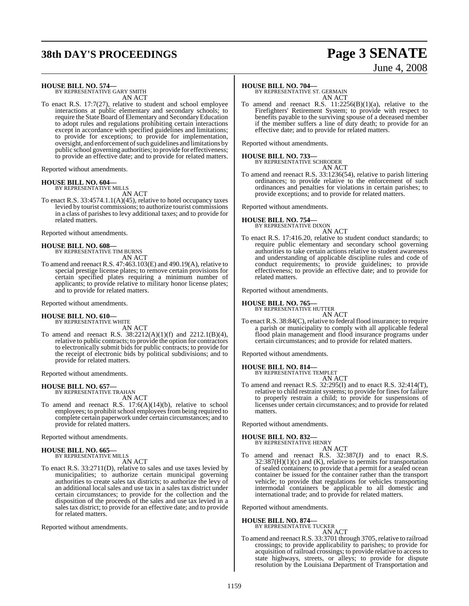# **38th DAY'S PROCEEDINGS Page 3 SENATE**

# June 4, 2008

# **HOUSE BILL NO. 574—** BY REPRESENTATIVE GARY SMITH

AN ACT To enact R.S. 17:7(27), relative to student and school employee interactions at public elementary and secondary schools; to require the State Board of Elementary and Secondary Education to adopt rules and regulations prohibiting certain interactions except in accordance with specified guidelines and limitations; to provide for exceptions; to provide for implementation, oversight, and enforcement of such guidelines and limitations by public school governing authorities; to provide for effectiveness; to provide an effective date; and to provide for related matters.

Reported without amendments.

#### **HOUSE BILL NO. 604—**

BY REPRESENTATIVE MILLS AN ACT

To enact R.S. 33:4574.1.1(A)(45), relative to hotel occupancy taxes levied by tourist commissions; to authorize tourist commissions in a class of parishes to levy additional taxes; and to provide for related matters.

Reported without amendments.

#### **HOUSE BILL NO. 608—** BY REPRESENTATIVE TIM BURNS AN ACT

To amend and reenact R.S. 47:463.103(E) and 490.19(A), relative to special prestige license plates; to remove certain provisions for certain specified plates requiring a minimum number of applicants; to provide relative to military honor license plates; and to provide for related matters.

Reported without amendments.

#### **HOUSE BILL NO. 610—**

BY REPRESENTATIVE WHITE

AN ACT To amend and reenact R.S. 38:2212(A)(1)(f) and 2212.1(B)(4), relative to public contracts; to provide the option for contractors to electronically submit bids for public contracts; to provide for the receipt of electronic bids by political subdivisions; and to provide for related matters.

Reported without amendments.

#### **HOUSE BILL NO. 657—**

BY REPRESENTATIVE TRAHAN AN ACT

To amend and reenact R.S. 17:6(A)(14)(b), relative to school employees; to prohibit school employees from being required to complete certain paperwork under certain circumstances; and to provide for related matters.

Reported without amendments.

#### **HOUSE BILL NO. 665—** BY REPRESENTATIVE MILLS

AN ACT

To enact R.S. 33:2711(D), relative to sales and use taxes levied by municipalities; to authorize certain municipal governing authorities to create sales tax districts; to authorize the levy of an additional local sales and use tax in a sales tax district under certain circumstances; to provide for the collection and the disposition of the proceeds of the sales and use tax levied in a sales tax district; to provide for an effective date; and to provide for related matters.

Reported without amendments.

#### **HOUSE BILL NO. 704—**

BY REPRESENTATIVE ST. GERMAIN AN ACT

To amend and reenact R.S.  $11:2256(B)(1)(a)$ , relative to the Firefighters' Retirement System; to provide with respect to benefits payable to the surviving spouse of a deceased member if the member suffers a line of duty death; to provide for an effective date; and to provide for related matters.

Reported without amendments.

# **HOUSE BILL NO. 733—** BY REPRESENTATIVE SCHRODER

AN ACT To amend and reenact R.S. 33:1236(54), relative to parish littering ordinances; to provide relative to the enforcement of such ordinances and penalties for violations in certain parishes; to provide exceptions; and to provide for related matters.

Reported without amendments.

#### **HOUSE BILL NO. 754—** BY REPRESENTATIVE DIXON

AN ACT

To enact R.S. 17:416.20, relative to student conduct standards; to require public elementary and secondary school governing authorities to take certain actions relative to student awareness and understanding of applicable discipline rules and code of conduct requirements; to provide guidelines; to provide effectiveness; to provide an effective date; and to provide for related matters.

Reported without amendments.

**HOUSE BILL NO. 765—** BY REPRESENTATIVE HUTTER

- AN ACT
- To enact R.S. 38:84(C), relative to federal flood insurance; to require a parish or municipality to comply with all applicable federal flood plain management and flood insurance programs under certain circumstances; and to provide for related matters.

Reported without amendments.

### **HOUSE BILL NO. 814—** BY REPRESENTATIVE TEMPLET

AN ACT

To amend and reenact R.S. 32:295(I) and to enact R.S. 32:414(T), relative to child restraint systems; to provide for fines for failure to properly restrain a child; to provide for suspensions of licenses under certain circumstances; and to provide for related matters.

Reported without amendments.

### **HOUSE BILL NO. 832—** BY REPRESENTATIVE HENRY

AN ACT

To amend and reenact R.S. 32:387(J) and to enact R.S.  $32:387(H)(1)(c)$  and (K), relative to permits for transportation of sealed containers; to provide that a permit for a sealed ocean container be issued for the container rather than the transport vehicle; to provide that regulations for vehicles transporting intermodal containers be applicable to all domestic and international trade; and to provide for related matters.

Reported without amendments.

**HOUSE BILL NO. 874—** BY REPRESENTATIVE TUCKER

AN ACT

To amend and reenact R.S. 33:3701 through 3705, relative to railroad crossings; to provide applicability to parishes; to provide for acquisition of railroad crossings; to provide relative to access to state highways, streets, or alleys; to provide for dispute resolution by the Louisiana Department of Transportation and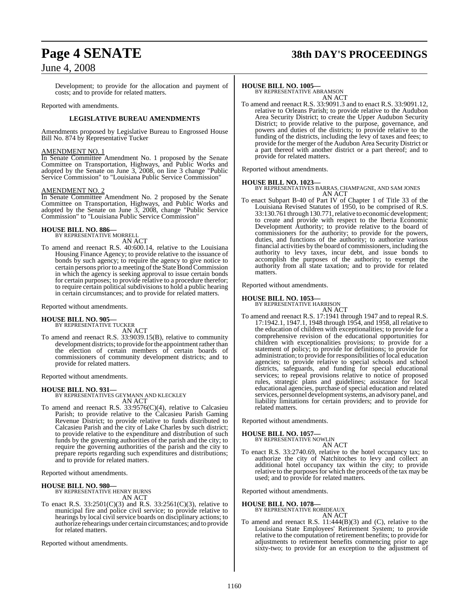# **Page 4 SENATE 38th DAY'S PROCEEDINGS**

### June 4, 2008

Development; to provide for the allocation and payment of costs; and to provide for related matters.

Reported with amendments.

#### **LEGISLATIVE BUREAU AMENDMENTS**

Amendments proposed by Legislative Bureau to Engrossed House Bill No. 874 by Representative Tucker

#### AMENDMENT NO. 1

In Senate Committee Amendment No. 1 proposed by the Senate Committee on Transportation, Highways, and Public Works and adopted by the Senate on June 3, 2008, on line 3 change "Public Service Commission" to "Louisiana Public Service Commission"

#### AMENDMENT NO. 2

In Senate Committee Amendment No. 2 proposed by the Senate Committee on Transportation, Highways, and Public Works and adopted by the Senate on June 3, 2008, change "Public Service Commission" to "Louisiana Public Service Commission"

### **HOUSE BILL NO. 886—** BY REPRESENTATIVE MORRELL

AN ACT

To amend and reenact R.S. 40:600.14, relative to the Louisiana Housing Finance Agency; to provide relative to the issuance of bonds by such agency; to require the agency to give notice to certain persons prior to a meeting of the State Bond Commission in which the agency is seeking approval to issue certain bonds for certain purposes; to provide relative to a procedure therefor; to require certain political subdivisions to hold a public hearing in certain circumstances; and to provide for related matters.

Reported without amendments.

#### **HOUSE BILL NO. 905—**

BY REPRESENTATIVE TUCKER AN ACT

To amend and reenact R.S. 33:9039.15(B), relative to community development districts; to provide for the appointment rather than the election of certain members of certain boards of commissioners of community development districts; and to provide for related matters.

Reported without amendments.

#### **HOUSE BILL NO. 931—**

BY REPRESENTATIVES GEYMANN AND KLECKLEY AN ACT

To amend and reenact R.S. 33:9576(C)(4), relative to Calcasieu Parish; to provide relative to the Calcasieu Parish Gaming Revenue District; to provide relative to funds distributed to Calcasieu Parish and the city of Lake Charles by such district; to provide relative to the expenditure and distribution of such funds by the governing authorities of the parish and the city; to require the governing authorities of the parish and the city to prepare reports regarding such expenditures and distributions; and to provide for related matters.

Reported without amendments.

### **HOUSE BILL NO. 980—** BY REPRESENTATIVE HENRY BURNS

AN ACT

To enact R.S. 33:2501(C)(3) and R.S. 33:2561(C)(3), relative to municipal fire and police civil service; to provide relative to hearings by local civil service boards on disciplinary actions; to authorize rehearings under certain circumstances; and to provide for related matters.

Reported without amendments.

#### **HOUSE BILL NO. 1005—**

BY REPRESENTATIVE ABRAMSON AN ACT

To amend and reenact R.S. 33:9091.3 and to enact R.S. 33:9091.12, relative to Orleans Parish; to provide relative to the Audubon Area Security District; to create the Upper Audubon Security District; to provide relative to the purpose, governance, and powers and duties of the districts; to provide relative to the funding of the districts, including the levy of taxes and fees; to provide for the merger of the Audubon Area Security District or a part thereof with another district or a part thereof; and to provide for related matters.

Reported without amendments.

#### **HOUSE BILL NO. 1023—**

BY REPRESENTATIVES BARRAS, CHAMPAGNE, AND SAM JONES AN ACT

To enact Subpart B-40 of Part IV of Chapter 1 of Title 33 of the Louisiana Revised Statutes of 1950, to be comprised of R.S. 33:130.761 through 130.771, relative to economic development; to create and provide with respect to the Iberia Economic Development Authority; to provide relative to the board of commissioners for the authority; to provide for the powers, duties, and functions of the authority; to authorize various financial activities by the board of commissioners, including the authority to levy taxes, incur debt, and issue bonds to accomplish the purposes of the authority; to exempt the authority from all state taxation; and to provide for related matters.

Reported without amendments.

### **HOUSE BILL NO. 1053—** BY REPRESENTATIVE HARRISON

AN ACT

To amend and reenact R.S. 17:1941 through 1947 and to repeal R.S. 17:1942.1, 1947.1, 1948 through 1954, and 1958, all relative to the education of children with exceptionalities; to provide for a comprehensive revision of the educational opportunities for children with exceptionalities provisions; to provide for a statement of policy; to provide for definitions; to provide for administration; to provide for responsibilities of local education agencies; to provide relative to special schools and school districts, safeguards, and funding for special educational services; to repeal provisions relative to notice of proposed rules, strategic plans and guidelines; assistance for local educational agencies, purchase of special education and related services, personnel development systems, an advisory panel, and liability limitations for certain providers; and to provide for related matters.

Reported without amendments.

### **HOUSE BILL NO. 1057—** BY REPRESENTATIVE NOWLIN

AN ACT

To enact R.S. 33:2740.69, relative to the hotel occupancy tax; to authorize the city of Natchitoches to levy and collect an additional hotel occupancy tax within the city; to provide relative to the purposes for which the proceeds of the tax may be used; and to provide for related matters.

Reported without amendments.

**HOUSE BILL NO. 1078—** BY REPRESENTATIVE ROBIDEAUX

#### AN ACT

To amend and reenact R.S. 11:444(B)(3) and (C), relative to the Louisiana State Employees' Retirement System; to provide relative to the computation of retirement benefits; to provide for adjustments to retirement benefits commencing prior to age sixty-two; to provide for an exception to the adjustment of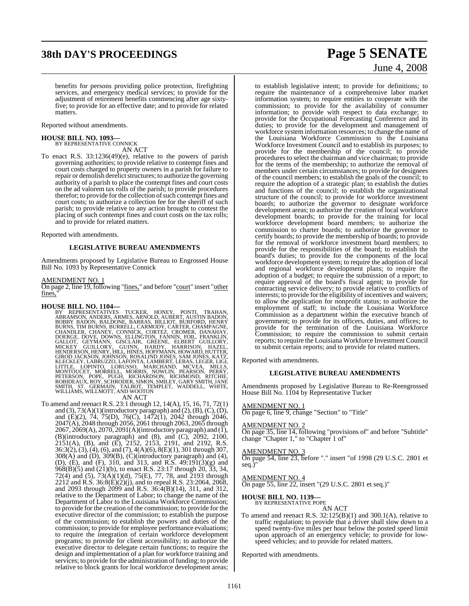# **38th DAY'S PROCEEDINGS Page 5 SENATE**

benefits for persons providing police protection, firefighting services, and emergency medical services; to provide for the adjustment of retirement benefits commencing after age sixtyfive; to provide for an effective date; and to provide for related matters.

Reported without amendments.

### **HOUSE BILL NO. 1093—** BY REPRESENTATIVE CONNICK

AN ACT

To enact R.S. 33:1236(49)(e), relative to the powers of parish governing authorities; to provide relative to contempt fines and court costs charged to property owners in a parish for failure to repair or demolish derelict structures; to authorize the governing authority of a parish to place the contempt fines and court costs on the ad valorem tax rolls of the parish; to provide procedures therefor; to provide for the collection of such contempt fines and court costs; to authorize a collection fee for the sheriff of such parish; to provide relative to any action brought to contest the placing of such contempt fines and court costs on the tax rolls; and to provide for related matters.

Reported with amendments.

#### **LEGISLATIVE BUREAU AMENDMENTS**

Amendments proposed by Legislative Bureau to Engrossed House Bill No. 1093 by Representative Connick

#### AMENDMENT NO. 1

On page 2, line 19, following "fines," and before "court" insert "other fines,

HOUSE BILL NO. 1104—<br>
BY REPRESENTATIVES TUCKER, HONEY, PONTI, TRAHAN,<br>
BY REPRESENTATIVES TUCKER, HONEY, PONTI, TRAHAN,<br>
BOBBY BADON, BALDONE, BARRAS, BILLIOT, BURFORD, HENRY<br>
BURNS, TIM BURNS, BURRELL, CARMODY, CARTER, C WILLIAMS, WILLMOTT, AND WOOTON<br>AN ACT

To amend and reenact R.S. 23:1 through 12, 14(A), 15, 16, 71, 72(1) and  $(3)$ ,  $73(A)(1)$ (introductory paragraph) and  $(2)$ ,  $(B)$ ,  $(C)$ ,  $(D)$ , and (E)(2), 74, 75(D), 76(C), 1472(1), 2042 through 2046, 2047(A), 2048 through 2056, 2061 through 2063, 2065 through 2067, 2069(A), 2070, 2091(A)(introductory paragraph) and (1), (B)(introductory paragraph) and  $(8)$ , and  $(C)$ ,  $2092$ ,  $2100$ , 2151(A), (B), and (E), 2152, 2153, 2191, and 2192, R.S. 36:3(2), (3), (4), (6), and (7), 4(A)(6), 8(E)(1), 301 through 307, 308(A) and (D), 309(B), (C)(introductory paragraph) and (4), (D), (E), and (F), 310, and 313, and R.S. 49:191(3)(g) and 968(B)(5) and (21)(b), to enact R.S. 23:17 through 20, 33, 34, 72(4) and (5), 73(A)(1)(d), 75(E), 77, 78, and 2193 through 2212 and R.S.  $36:\dot{8}(E)(2)(i)$ , and to repeal R.S. 23:2064, 2068, and 2093 through 2099 and R.S. 36:4(B)(14), 311, and 312, relative to the Department of Labor; to change the name of the Department of Labor to the Louisiana Workforce Commission; to provide for the creation of the commission; to provide for the executive director of the commission; to establish the purpose of the commission; to establish the powers and duties of the commission; to provide for employee performance evaluations; to require the integration of certain workforce development programs; to provide for client accessibility; to authorize the executive director to delegate certain functions; to require the design and implementation of a plan for workforce training and services; to provide for the administration of funding; to provide relative to block grants for local workforce development areas;

# June 4, 2008

to establish legislative intent; to provide for definitions; to require the maintenance of a comprehensive labor market information system; to require entities to cooperate with the commission; to provide for the availability of consumer information; to provide with respect to data exchange; to provide for the Occupational Forecasting Conference and its duties; to provide for the development and management of workforce system information resources; to change the name of the Louisiana Workforce Commission to the Louisiana Workforce Investment Council and to establish its purposes; to provide for the membership of the council; to provide procedures to select the chairman and vice chairman; to provide for the terms of the membership; to authorize the removal of members under certain circumstances; to provide for designees of the council members; to establish the goals of the council; to require the adoption of a strategic plan; to establish the duties and functions of the council; to establish the organizational structure of the council; to provide for workforce investment boards; to authorize the governor to designate workforce development areas; to authorize the creation of local workforce development boards; to provide for the training for local workforce development board members; to authorize the commission to charter boards; to authorize the governor to certify boards; to provide the membership of boards; to provide for the removal of workforce investment board members; to provide for the responsibilities of the board; to establish the board's duties; to provide for the components of the local workforce development system; to require the adoption of local and regional workforce development plans; to require the adoption of a budget; to require the submission of a report; to require approval of the board's fiscal agent; to provide for contracting service delivery; to provide relative to conflicts of interests; to provide for the eligibility of incentives and waivers; to allow the application for nonprofit status; to authorize the employment of staff; to include the Louisiana Workforce Commission as a department within the executive branch of government; to provide for its officers, duties, and offices; to provide for the termination of the Louisiana Workforce Commission; to require the commission to submit certain reports; to require the Louisiana Workforce Investment Council to submit certain reports; and to provide for related matters.

Reported with amendments.

#### **LEGISLATIVE BUREAU AMENDMENTS**

Amendments proposed by Legislative Bureau to Re-Reengrossed House Bill No. 1104 by Representative Tucker

#### AMENDMENT NO. 1

On page 6, line 9, change "Section" to "Title"

#### AMENDMENT NO. 2

On page 35, line 14, following "provisions of" and before "Subtitle" change "Chapter 1," to "Chapter 1 of"

#### AMENDMENT NO. 3

On page 54, line 23, before "." insert "of 1998 (29 U.S.C. 2801 et seq.)"

#### AMENDMENT NO. 4

On page 55, line 22, insert "(29 U.S.C. 2801 et seq.)"

### **HOUSE BILL NO. 1139—** BY REPRESENTATIVE POPE

- AN ACT
- To amend and reenact R.S.  $32:125(B)(1)$  and  $300.1(A)$ , relative to traffic regulation; to provide that a driver shall slow down to a speed twenty-five miles per hour below the posted speed limit upon approach of an emergency vehicle; to provide for lowspeed vehicles; and to provide for related matters.

Reported with amendments.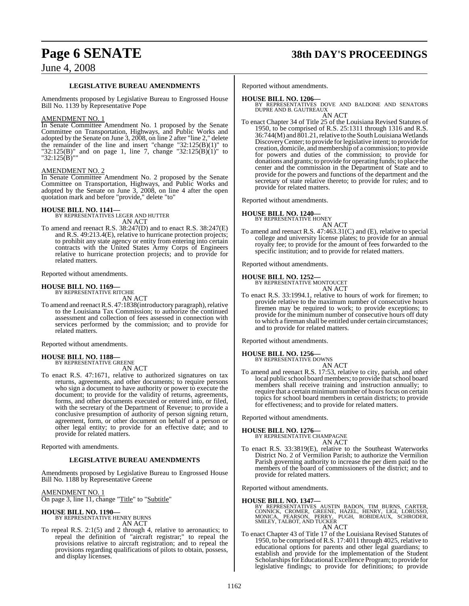# **Page 6 SENATE 38th DAY'S PROCEEDINGS**

### June 4, 2008

#### **LEGISLATIVE BUREAU AMENDMENTS**

Amendments proposed by Legislative Bureau to Engrossed House Bill No. 1139 by Representative Pope

#### AMENDMENT NO. 1

In Senate Committee Amendment No. 1 proposed by the Senate Committee on Transportation, Highways, and Public Works and adopted by the Senate on June 3, 2008, on line 2 after "line 2," delete the remainder of the line and insert "change "32:125(B)(1)" to "32:125(B)" and on page 1, line 7, change "32:125(B)(1)" to "32:125(B)""

#### AMENDMENT NO. 2

In Senate Committee Amendment No. 2 proposed by the Senate Committee on Transportation, Highways, and Public Works and adopted by the Senate on June 3, 2008, on line 4 after the open quotation mark and before "provide," delete "to"

#### **HOUSE BILL NO. 1141—**

BY REPRESENTATIVES LEGER AND HUTTER AN ACT

To amend and reenact R.S. 38:247(D) and to enact R.S. 38:247(E) and R.S. 49:213.4(E), relative to hurricane protection projects; to prohibit any state agency or entity from entering into certain contracts with the United States Army Corps of Engineers relative to hurricane protection projects; and to provide for related matters.

Reported without amendments.

### **HOUSE BILL NO. 1169—** BY REPRESENTATIVE RITCHIE

AN ACT

To amend and reenact R.S. 47:1838(introductory paragraph), relative to the Louisiana Tax Commission; to authorize the continued assessment and collection of fees assessed in connection with services performed by the commission; and to provide for related matters.

Reported without amendments.

#### **HOUSE BILL NO. 1188—** BY REPRESENTATIVE GREENE

AN ACT

To enact R.S. 47:1671, relative to authorized signatures on tax returns, agreements, and other documents; to require persons who sign a document to have authority or power to execute the document; to provide for the validity of returns, agreements, forms, and other documents executed or entered into, or filed, with the secretary of the Department of Revenue; to provide a conclusive presumption of authority of person signing return, agreement, form, or other document on behalf of a person or other legal entity; to provide for an effective date; and to provide for related matters.

Reported with amendments.

#### **LEGISLATIVE BUREAU AMENDMENTS**

Amendments proposed by Legislative Bureau to Engrossed House Bill No. 1188 by Representative Greene

#### AMENDMENT NO. 1

On page 3, line 11, change "Title" to "Subtitle"

**HOUSE BILL NO. 1190—** BY REPRESENTATIVE HENRY BURNS AN ACT

To repeal R.S. 2:1(5) and 2 through 4, relative to aeronautics; to repeal the definition of "aircraft registrar;" to repeal the provisions relative to aircraft registration; and to repeal the provisions regarding qualifications of pilots to obtain, possess, and display licenses.

Reported without amendments.

### **HOUSE BILL NO. 1206—**

BY REPRESENTATIVES DOVE AND BALDONE AND SENATORS DUPRE AND B. GAUTREAUX AN ACT

To enact Chapter 34 of Title 25 of the Louisiana Revised Statutes of 1950, to be comprised of R.S. 25:1311 through 1316 and R.S.  $36:744(M)$  and  $801.21$ , relative to the South Louisiana Wetlands DiscoveryCenter; to provide forlegislative intent; to provide for creation, domicile, and membership of a commission; to provide for powers and duties of the commission; to provide for donations and grants; to provide for operating funds; to place the center and the commission in the Department of State and to provide for the powers and functions of the department and the secretary of state relative thereto; to provide for rules; and to provide for related matters.

Reported without amendments.

**HOUSE BILL NO. 1240—** BY REPRESENTATIVE HONEY

AN ACT

To amend and reenact R.S. 47:463.31(C) and (E), relative to special college and university license plates; to provide for an annual royalty fee; to provide for the amount of fees forwarded to the specific institution; and to provide for related matters.

Reported without amendments.

### **HOUSE BILL NO. 1252—** BY REPRESENTATIVE MONTOUCET

AN ACT

To enact R.S. 33:1994.1, relative to hours of work for firemen; to provide relative to the maximum number of consecutive hours firemen may be required to work; to provide exceptions; to provide for the minimum number of consecutive hours off duty to which a fireman shall be entitled under certain circumstances; and to provide for related matters.

Reported without amendments.

#### **HOUSE BILL NO. 1256—**

BY REPRESENTATIVE DOWNS

- AN ACT
- To amend and reenact R.S. 17:53, relative to city, parish, and other local public school board members; to provide that school board members shall receive training and instruction annually; to require that a certain minimum number of hours focus on certain topics for school board members in certain districts; to provide for effectiveness; and to provide for related matters.

Reported without amendments.

**HOUSE BILL NO. 1276—** BY REPRESENTATIVE CHAMPAGNE

- AN ACT
- To enact R.S. 33:3819(E), relative to the Southeast Waterworks District No. 2 of Vermilion Parish; to authorize the Vermilion Parish governing authority to increase the per diem paid to the members of the board of commissioners of the district; and to provide for related matters.

Reported without amendments.

**HOUSE BILL NO. 1347—** BY REPRESENTATIVES AUSTIN BADON, TIM BURNS, CARTER, CONNICK, CROMER, GREENE, HAZEL, HENRY, LIGI, LORUSSO, MONICA, PEARSON, PERRY, PUGH, ROBIDEAUX, SCHRODER, SMILEY, TALBOT, AND TUCKER AN ACT

To enact Chapter 43 of Title 17 of the Louisiana Revised Statutes of 1950, to be comprised of R.S. 17:4011 through 4025, relative to educational options for parents and other legal guardians; to establish and provide for the implementation of the Student Scholarships for Educational Excellence Program; to provide for legislative findings; to provide for definitions; to provide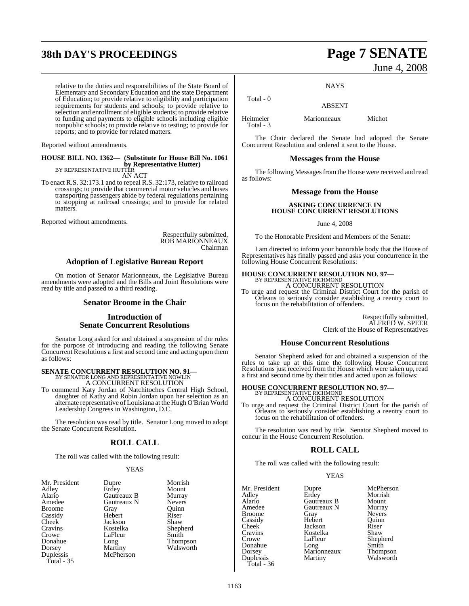# **38th DAY'S PROCEEDINGS Page 7 SENATE**

relative to the duties and responsibilities of the State Board of Elementary and Secondary Education and the state Department of Education; to provide relative to eligibility and participation requirements for students and schools; to provide relative to selection and enrollment of eligible students; to provide relative to funding and payments to eligible schools including eligible nonpublic schools; to provide relative to testing; to provide for reports; and to provide for related matters.

Reported without amendments.

#### **HOUSE BILL NO. 1362— (Substitute for House Bill No. 1061 by Representative Hutter)** BY REPRESENTATIVE HUTTER

AN ACT To enact R.S. 32:173.1 and to repeal R.S. 32:173, relative to railroad crossings; to provide that commercial motor vehicles and buses transporting passengers abide by federal regulations pertaining to stopping at railroad crossings; and to provide for related matters.

Reported without amendments.

Respectfully submitted, ROB MARIONNEAUX Chairman

### **Adoption of Legislative Bureau Report**

On motion of Senator Marionneaux, the Legislative Bureau amendments were adopted and the Bills and Joint Resolutions were read by title and passed to a third reading.

#### **Senator Broome in the Chair**

#### **Introduction of Senate Concurrent Resolutions**

Senator Long asked for and obtained a suspension of the rules for the purpose of introducing and reading the following Senate Concurrent Resolutions a first and second time and acting upon them as follows:

# **SENATE CONCURRENT RESOLUTION NO. 91—** BY SENATOR LONG AND REPRESENTATIVE NOWLIN

A CONCURRENT RESOLUTION

To commend Katy Jordan of Natchitoches Central High School, daughter of Kathy and Robin Jordan upon her selection as an alternate representative of Louisiana at the Hugh O'Brian World Leadership Congress in Washington, D.C.

The resolution was read by title. Senator Long moved to adopt the Senate Concurrent Resolution.

#### **ROLL CALL**

The roll was called with the following result:

#### **YEAS**

| Mr. President | Dupre       | Morri |
|---------------|-------------|-------|
| Adley         | Erdey       | Moun  |
| Alario        | Gautreaux B | Murra |
| Amedee        | Gautreaux N | Never |
| <b>Broome</b> | Gray        | Ouinn |
| Cassidy       | Hebert      | Riser |
| Cheek         | Jackson     | Shaw  |
| Cravins       | Kostelka    | Sheph |
| Crowe         | LaFleur     | Smith |
| Donahue       | Long        | Thom  |
| Dorsey        | Martiny     | Walsy |
| Duplessis     | McPherson   |       |
| Total - 35    |             |       |

Mount **Murray** Nevers Quinn<br>Riser Shepherd<br>Smith Thompson Walsworth

Morrish

# June 4, 2008

**NAYS** 

ABSENT

Heitmeier Marionneaux Michot Total - 3

Total - 0

The Chair declared the Senate had adopted the Senate Concurrent Resolution and ordered it sent to the House.

#### **Messages from the House**

The following Messages from the House were received and read as follows:

#### **Message from the House**

#### **ASKING CONCURRENCE IN HOUSE CONCURRENT RESOLUTIONS**

June 4, 2008

To the Honorable President and Members of the Senate:

I am directed to inform your honorable body that the House of Representatives has finally passed and asks your concurrence in the following House Concurrent Resolutions:

# **HOUSE CONCURRENT RESOLUTION NO. 97—**<br>BY REPRESENTATIVE RICHMOND<br>A CONCURRENT RESOLUTION

To urge and request the Criminal District Court for the parish of Orleans to seriously consider establishing a reentry court to focus on the rehabilitation of offenders.

> Respectfully submitted, ALFRED W. SPEER Clerk of the House of Representatives

#### **House Concurrent Resolutions**

Senator Shepherd asked for and obtained a suspension of the rules to take up at this time the following House Concurrent Resolutions just received from the House which were taken up, read a first and second time by their titles and acted upon as follows:

# **HOUSE CONCURRENT RESOLUTION NO. 97—** BY REPRESENTATIVE RICHMOND A CONCURRENT RESOLUTION

To urge and request the Criminal District Court for the parish of Orleans to seriously consider establishing a reentry court to focus on the rehabilitation of offenders.

The resolution was read by title. Senator Shepherd moved to concur in the House Concurrent Resolution.

### **ROLL CALL**

The roll was called with the following result:

#### YEAS

Mr. President Dupre McPherson<br>
Adley Erdey Morrish Adley Erdey Morrish Alario Gautreaux B Mount Broome Gray Nevers<br>
Cassidy Hebert Quinn Cassidy Hebert Quinr<br>
Cheek Jackson Riser Cheek Jackson Riser<br>Cravins Kostelka Shaw Cravins Kostelka<br>Crowe LaFleur Donahue Long Smith<br>Dorsey Marionneaux Thompson Duplessis Total - 36

Gautreaux N Murray<br>Gray Nevers LaFleur Shepherd<br>Long Smith Marionneaux Thompson<br>
Martiny Walsworth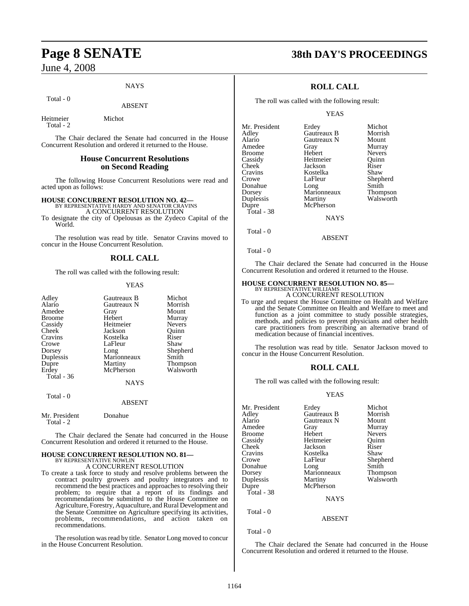#### **NAYS**

#### Total - 0

ABSENT

Heitmeier Michot Total - 2

The Chair declared the Senate had concurred in the House Concurrent Resolution and ordered it returned to the House.

#### **House Concurrent Resolutions on Second Reading**

The following House Concurrent Resolutions were read and acted upon as follows:

**HOUSE CONCURRENT RESOLUTION NO. 42—** BY REPRESENTATIVE HARDY AND SENATOR CRAVINS A CONCURRENT RESOLUTION

To designate the city of Opelousas as the Zydeco Capital of the World.

The resolution was read by title. Senator Cravins moved to concur in the House Concurrent Resolution.

#### **ROLL CALL**

The roll was called with the following result:

#### YEAS

| Adley             | Gautreaux B | Michot        |
|-------------------|-------------|---------------|
|                   |             |               |
| Alario            | Gautreaux N | Morrish       |
| Amedee            | Gray        | Mount         |
| <b>Broome</b>     | Hebert      | Murray        |
| Cassidy           | Heitmeier   | <b>Nevers</b> |
| Cheek             | Jackson     | Ouinn         |
| Cravins           | Kostelka    | Riser         |
| Crowe             | LaFleur     | Shaw          |
| Dorsey            | Long        | Shepherd      |
| Duplessis         | Marionneaux | Smith         |
| Dupre             | Martiny     | Thompson      |
| Erdey             | McPherson   | Walsworth     |
| <b>Total - 36</b> |             |               |
|                   | <b>NAYS</b> |               |
| Total - 0         |             |               |
|                   | ABSENT      |               |

Mr. President Donahue Total - 2

The Chair declared the Senate had concurred in the House Concurrent Resolution and ordered it returned to the House.

## **HOUSE CONCURRENT RESOLUTION NO. 81—** BY REPRESENTATIVE NOWLIN

A CONCURRENT RESOLUTION

To create a task force to study and resolve problems between the contract poultry growers and poultry integrators and to recommend the best practices and approaches to resolving their problem; to require that a report of its findings and recommendations be submitted to the House Committee on Agriculture, Forestry, Aquaculture, and Rural Development and the Senate Committee on Agriculture specifying its activities, problems, recommendations, and action taken on recommendations.

The resolution was read by title. Senator Long moved to concur in the House Concurrent Resolution.

## **Page 8 SENATE 38th DAY'S PROCEEDINGS**

### **ROLL CALL**

The roll was called with the following result:

#### YEAS

| Mr. President | Erdey       | Michot        |
|---------------|-------------|---------------|
| Adlev         | Gautreaux B | Morrish       |
| Alario        | Gautreaux N | Mount         |
| Amedee        | Gray        | Murray        |
| Broome        | Hebert      | <b>Nevers</b> |
| Cassidy       | Heitmeier   | Ouinn         |
| Cheek         | Jackson     | Riser         |
| Cravins       | Kostelka    | Shaw          |
| Crowe         | LaFleur     | Shepherd      |
| Donahue       | Long        | Smith         |
| Dorsey        | Marionneaux | Thompson      |
| Duplessis     | Martiny     | Walsworth     |
| Dupre         | McPherson   |               |
| Total - 38    |             |               |
|               | <b>NAYS</b> |               |
| Total - 0     |             |               |

The Chair declared the Senate had concurred in the House Concurrent Resolution and ordered it returned to the House.

ABSENT

### **HOUSE CONCURRENT RESOLUTION NO. 85—** BY REPRESENTATIVE WILLIAMS

A CONCURRENT RESOLUTION

To urge and request the House Committee on Health and Welfare and the Senate Committee on Health and Welfare to meet and function as a joint committee to study possible strategies, methods, and policies to prevent physicians and other health care practitioners from prescribing an alternative brand of medication because of financial incentives.

The resolution was read by title. Senator Jackson moved to concur in the House Concurrent Resolution.

#### **ROLL CALL**

The roll was called with the following result:

#### YEAS

| Mr. President | Erdey       | Michot        |
|---------------|-------------|---------------|
| Adley         | Gautreaux B | Morrish       |
| Alario        | Gautreaux N | Mount         |
| Amedee        | Gray        | Murray        |
| <b>Broome</b> | Hebert      | <b>Nevers</b> |
| Cassidy       | Heitmeier   | Ouinn         |
| <b>Cheek</b>  | Jackson     | Riser         |
| Cravins       | Kostelka    | Shaw          |
| Crowe         | LaFleur     | Shepherd      |
| Donahue       | Long        | Smith         |
| Dorsey        | Marionneaux | Thompson      |
| Duplessis     | Martiny     | Walsworth     |
| Dupre         | McPherson   |               |
| Total - 38    |             |               |
|               | <b>NAYS</b> |               |
|               |             |               |
| Total - 0     |             |               |
|               | ABSENT      |               |
|               |             |               |

 $Total - 0$ 

The Chair declared the Senate had concurred in the House Concurrent Resolution and ordered it returned to the House.

Total - 0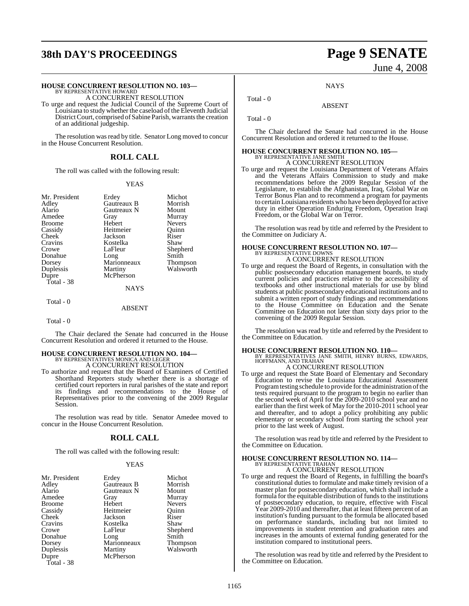# **38th DAY'S PROCEEDINGS Page 9 SENATE**

#### **HOUSE CONCURRENT RESOLUTION NO. 103—**

BY REPRESENTATIVE HOWARD A CONCURRENT RESOLUTION

To urge and request the Judicial Council of the Supreme Court of Louisiana to study whether the caseload ofthe Eleventh Judicial District Court, comprised of Sabine Parish, warrants the creation of an additional judgeship.

The resolution was read by title. Senator Long moved to concur in the House Concurrent Resolution.

### **ROLL CALL**

The roll was called with the following result:

#### YEAS

| Mr. President | Erdey         | Michot        |
|---------------|---------------|---------------|
|               | Gautreaux B   | Morrish       |
| Adley         |               |               |
| Alario        | Gautreaux N   | Mount         |
| Amedee        | Gray          | Murray        |
| <b>Broome</b> | Hebert        | <b>Nevers</b> |
| Cassidy       | Heitmeier     | Ouinn         |
| Cheek         | Jackson       | Riser         |
| Cravins       | Kostelka      | Shaw          |
| Crowe         | LaFleur       | Shepherd      |
| Donahue       | Long          | Smith         |
| Dorsey        | Marionneaux   | Thompson      |
| Duplessis     | Martiny       | Walsworth     |
| Dupre         | McPherson     |               |
| Total - 38    |               |               |
|               | <b>NAYS</b>   |               |
| Total - 0     |               |               |
|               | <b>ARSENT</b> |               |

Total - 0

The Chair declared the Senate had concurred in the House Concurrent Resolution and ordered it returned to the House.

### **HOUSE CONCURRENT RESOLUTION NO. 104—** BY REPRESENTATIVES MONICA AND LEGER A CONCURRENT RESOLUTION

To authorize and request that the Board of Examiners of Certified Shorthand Reporters study whether there is a shortage of certified court reporters in rural parishes of the state and report its findings and recommendations to the House of Representatives prior to the convening of the 2009 Regular Session.

The resolution was read by title. Senator Amedee moved to concur in the House Concurrent Resolution.

#### **ROLL CALL**

The roll was called with the following result:

#### YEAS

| Mr. President | Erdey       | Michot          |
|---------------|-------------|-----------------|
| Adley         | Gautreaux B | Morrish         |
| Alario        | Gautreaux N | Mount           |
| Amedee        | Gray        | Murray          |
| <b>Broome</b> | Hebert      | <b>Nevers</b>   |
| Cassidy       | Heitmeier   | Ouinn           |
| Cheek         | Jackson     | Riser           |
| Cravins       | Kostelka    | Shaw            |
| Crowe         | LaFleur     | Shepherd        |
| Donahue       | Long        | Smith           |
| Dorsey        | Marionneaux | <b>Thompson</b> |
| Duplessis     | Martiny     | Walsworth       |
| Dupre         | McPherson   |                 |
| Total - 38    |             |                 |

# June 4, 2008

**NAYS** 

ABSENT

Total - 0

Total - 0

The Chair declared the Senate had concurred in the House Concurrent Resolution and ordered it returned to the House.

### **HOUSE CONCURRENT RESOLUTION NO. 105—** BY REPRESENTATIVE JANE SMITH A CONCURRENT RESOLUTION

To urge and request the Louisiana Department of Veterans Affairs and the Veterans Affairs Commission to study and make recommendations before the 2009 Regular Session of the Legislature, to establish the Afghanistan, Iraq, Global War on Terror Bonus Plan and to recommend a program for payments to certainLouisiana residents who have been deployed for active duty in either Operation Enduring Freedom, Operation Iraqi Freedom, or the Global War on Terror.

The resolution was read by title and referred by the President to the Committee on Judiciary A.

# **HOUSE CONCURRENT RESOLUTION NO. 107—** BY REPRESENTATIVE DOWNS

A CONCURRENT RESOLUTION

To urge and request the Board of Regents, in consultation with the public postsecondary education management boards, to study current policies and practices relative to the accessibility of textbooks and other instructional materials for use by blind students at public postsecondary educational institutions and to submit a written report of study findings and recommendations to the House Committee on Education and the Senate Committee on Education not later than sixty days prior to the convening of the 2009 Regular Session.

The resolution was read by title and referred by the President to the Committee on Education.

**HOUSE CONCURRENT RESOLUTION NO. 110—** BY REPRESENTATIVES JANE SMITH, HENRY BURNS, EDWARDS, HOFFMANN, AND TRAHAN

### A CONCURRENT RESOLUTION

To urge and request the State Board of Elementary and Secondary Education to revise the Louisiana Educational Assessment Program testing schedule to provide for the administration of the tests required pursuant to the program to begin no earlier than the second week of April for the 2009-2010 school year and no earlier than the first week of May for the 2010-2011 school year and thereafter, and to adopt a policy prohibiting any public elementary or secondary school from starting the school year prior to the last week of August.

The resolution was read by title and referred by the President to the Committee on Education.

### **HOUSE CONCURRENT RESOLUTION NO. 114—**

BY REPRESENTATIVE TRAHAN A CONCURRENT RESOLUTION

To urge and request the Board of Regents, in fulfilling the board's constitutional duties to formulate and make timely revision of a master plan for postsecondary education, which shall include a formula for the equitable distribution of funds to the institutions of postsecondary education, to require, effective with Fiscal Year 2009-2010 and thereafter, that at least fifteen percent of an institution's funding pursuant to the formula be allocated based on performance standards, including but not limited to improvements in student retention and graduation rates and increases in the amounts of external funding generated for the institution compared to institutional peers.

The resolution was read by title and referred by the President to the Committee on Education.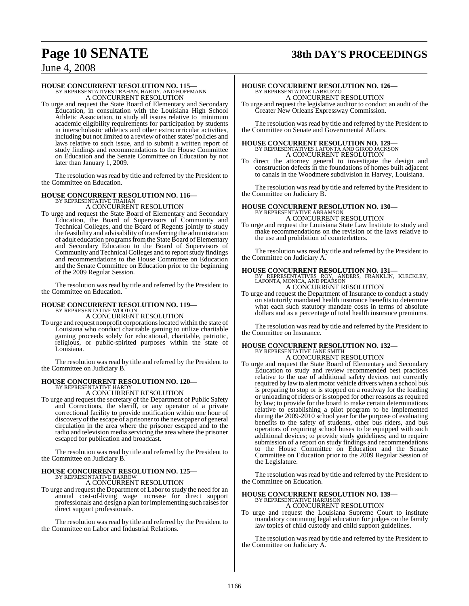## **Page 10 SENATE 38th DAY'S PROCEEDINGS**

### June 4, 2008

### **HOUSE CONCURRENT RESOLUTION NO. 115—**

BY REPRESENTATIVES TRAHAN, HARDY, AND HOFFMANN A CONCURRENT RESOLUTION

To urge and request the State Board of Elementary and Secondary Education, in consultation with the Louisiana High School Athletic Association, to study all issues relative to minimum academic eligibility requirements for participation by students in interscholastic athletics and other extracurricular activities, including but not limited to a review of other states' policies and laws relative to such issue, and to submit a written report of study findings and recommendations to the House Committee on Education and the Senate Committee on Education by not later than January 1, 2009.

The resolution was read by title and referred by the President to the Committee on Education.

#### **HOUSE CONCURRENT RESOLUTION NO. 116—** BY REPRESENTATIVE TRAHAI

A CONCURRENT RESOLUTION

To urge and request the State Board of Elementary and Secondary Education, the Board of Supervisors of Community and Technical Colleges, and the Board of Regents jointly to study the feasibility and advisability of transferring the administration of adult education programs from the State Board of Elementary and Secondary Education to the Board of Supervisors of Community and Technical Colleges and to reportstudy findings and recommendations to the House Committee on Education and the Senate Committee on Education prior to the beginning of the 2009 Regular Session.

The resolution was read by title and referred by the President to the Committee on Education.

# **HOUSE CONCURRENT RESOLUTION NO. 119—** BY REPRESENTATIVE WOOTON

A CONCURRENT RESOLUTION

To urge and request nonprofit corporationslocated within the state of Louisiana who conduct charitable gaming to utilize charitable gaming proceeds solely for educational, charitable, patriotic, religious, or public-spirited purposes within the state of Louisiana.

The resolution was read by title and referred by the President to the Committee on Judiciary B.

### **HOUSE CONCURRENT RESOLUTION NO. 120—** BY REPRESENTATIVE HARDY A CONCURRENT RESOLUTION

To urge and request the secretary of the Department of Public Safety and Corrections, the sheriff, or any operator of a private correctional facility to provide notification within one hour of discovery of the escape of a prisoner to the newspaper of general circulation in the area where the prisoner escaped and to the radio and television media servicing the area where the prisoner escaped for publication and broadcast.

The resolution was read by title and referred by the President to the Committee on Judiciary B.

# **HOUSE CONCURRENT RESOLUTION NO. 125—** BY REPRESENTATIVE BARROW

A CONCURRENT RESOLUTION

To urge and request the Department of Labor to study the need for an annual cost-of-living wage increase for direct support professionals and design a plan for implementing such raises for direct support professionals.

The resolution was read by title and referred by the President to the Committee on Labor and Industrial Relations.

# **HOUSE CONCURRENT RESOLUTION NO. 126—** BY REPRESENTATIVE LABRUZZO

A CONCURRENT RESOLUTION To urge and request the legislative auditor to conduct an audit of the Greater New Orleans Expressway Commission.

The resolution was read by title and referred by the President to the Committee on Senate and Governmental Affairs.

### **HOUSE CONCURRENT RESOLUTION NO. 129—** BY REPRESENTATIVES LAFONTA AND GIROD JACKSON A CONCURRENT RESOLUTION

To direct the attorney general to investigate the design and construction defects in the foundations of homes built adjacent to canals in the Woodmere subdivision in Harvey, Louisiana.

The resolution was read by title and referred by the President to the Committee on Judiciary B.

# **HOUSE CONCURRENT RESOLUTION NO. 130—** BY REPRESENTATIVE ABRAMSON

A CONCURRENT RESOLUTION

To urge and request the Louisiana State Law Institute to study and make recommendations on the revision of the laws relative to the use and prohibition of counterletters.

The resolution was read by title and referred by the President to the Committee on Judiciary A.

**HOUSE CONCURRENT RESOLUTION NO. 131—** BY REPRESENTATIVES ROY, ANDERS, FRANKLIN, KLECKLEY, LAFONTA, MONICA, AND PEARSON

A CONCURRENT RESOLUTION

To urge and request the Department of Insurance to conduct a study on statutorily mandated health insurance benefits to determine what each such statutory mandate costs in terms of absolute dollars and as a percentage of total health insurance premiums.

The resolution was read by title and referred by the President to the Committee on Insurance.

### **HOUSE CONCURRENT RESOLUTION NO. 132—** BY REPRESENTATIVE JANE SMITH A CONCURRENT RESOLUTION

To urge and request the State Board of Elementary and Secondary Education to study and review recommended best practices relative to the use of additional safety devices not currently required by law to alert motor vehicle drivers when a school bus is preparing to stop or is stopped on a roadway for the loading or unloading of riders or isstopped for other reasons as required by law; to provide for the board to make certain determinations relative to establishing a pilot program to be implemented during the 2009-2010 school year for the purpose of evaluating benefits to the safety of students, other bus riders, and bus operators of requiring school buses to be equipped with such additional devices; to provide study guidelines; and to require submission of a report on study findings and recommendations to the House Committee on Education and the Senate Committee on Education prior to the 2009 Regular Session of the Legislature.

The resolution was read by title and referred by the President to the Committee on Education.

#### **HOUSE CONCURRENT RESOLUTION NO. 139—** BY REPRESENTATIVE HARRISON

A CONCURRENT RESOLUTION

To urge and request the Louisiana Supreme Court to institute mandatory continuing legal education for judges on the family law topics of child custody and child support guidelines.

The resolution was read by title and referred by the President to the Committee on Judiciary A.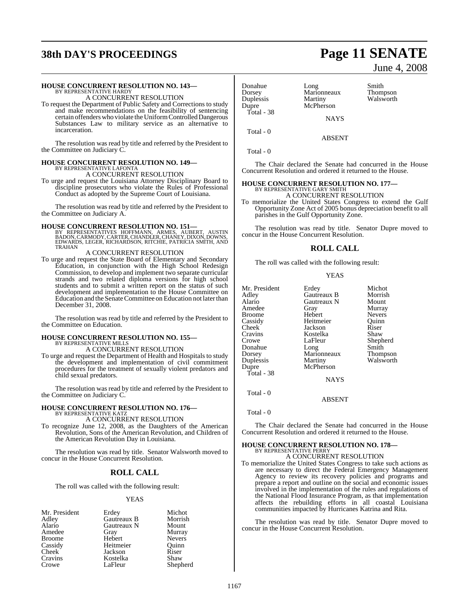# **38th DAY'S PROCEEDINGS Page 11 SENATE**

### **HOUSE CONCURRENT RESOLUTION NO. 143—** BY REPRESENTATIVE HARDY

A CONCURRENT RESOLUTION

To request the Department of Public Safety and Corrections to study and make recommendations on the feasibility of sentencing certain offenders who violate the Uniform Controlled Dangerous Substances Law to military service as an alternative to incarceration.

The resolution was read by title and referred by the President to the Committee on Judiciary C.

#### **HOUSE CONCURRENT RESOLUTION NO. 149—**

BY REPRESENTATIVE LAFONTA A CONCURRENT RESOLUTION

To urge and request the Louisiana Attorney Disciplinary Board to discipline prosecutors who violate the Rules of Professional Conduct as adopted by the Supreme Court of Louisiana.

The resolution was read by title and referred by the President to the Committee on Judiciary A.

#### **HOUSE CONCURRENT RESOLUTION NO. 151—**

BY REPRESENTATIVES HOFFMANN, ARMES, AUBERT, AUSTIN<br>BADON,CARMODY,CARTER,CHANDLER,CHANEY,DIXON,DOWNS,<br>EDWARDS,LEGER,RICHARDSON,RITCHIE,PATRICIA SMITH,AND<br>TRAHAN

#### A CONCURRENT RESOLUTION

To urge and request the State Board of Elementary and Secondary Education, in conjunction with the High School Redesign Commission, to develop and implement two separate curricular strands and two related diploma versions for high school students and to submit a written report on the status of such development and implementation to the House Committee on Education and the Senate Committee on Education not later than December 31, 2008.

The resolution was read by title and referred by the President to the Committee on Education.

# **HOUSE CONCURRENT RESOLUTION NO. 155—** BY REPRESENTATIVE MILLS

A CONCURRENT RESOLUTION

To urge and request the Department of Health and Hospitals to study the development and implementation of civil commitment procedures for the treatment of sexually violent predators and child sexual predators.

The resolution was read by title and referred by the President to the Committee on Judiciary C.

### **HOUSE CONCURRENT RESOLUTION NO. 176—** BY REPRESENTATIVE KATZ

A CONCURRENT RESOLUTION

To recognize June 12, 2008, as the Daughters of the American Revolution, Sons of the American Revolution, and Children of the American Revolution Day in Louisiana.

The resolution was read by title. Senator Walsworth moved to concur in the House Concurrent Resolution.

#### **ROLL CALL**

The roll was called with the following result:

#### YEAS

| Mr. President | Erdey       | Michot        |
|---------------|-------------|---------------|
| Adley         | Gautreaux B | Morrish       |
| Alario        | Gautreaux N | Mount         |
| Amedee        | Gray        | Murray        |
| <b>Broome</b> | Hebert      | <b>Nevers</b> |
| Cassidy       | Heitmeier   | Ouinn         |
| Cheek         | Jackson     | Riser         |
| Cravins       | Kostelka    | Shaw          |
| Crowe         | LaFleur     | Shepherd      |

### Donahue Long Smith Dorsey Marionneaux Thompson Duplessis Martiny Walsworth<br>Dupre McPherson Total - 38

McPherson **NAYS** 

Total - 0

ABSENT

Total - 0

The Chair declared the Senate had concurred in the House Concurrent Resolution and ordered it returned to the House.

# **HOUSE CONCURRENT RESOLUTION NO. 177—** BY REPRESENTATIVE GARY SMITH A CONCURRENT RESOLUTION

To memorialize the United States Congress to extend the Gulf Opportunity Zone Act of 2005 bonus depreciation benefit to all parishes in the Gulf Opportunity Zone.

The resolution was read by title. Senator Dupre moved to concur in the House Concurrent Resolution.

#### **ROLL CALL**

The roll was called with the following result:

**YEAS** 

| Mr. President | Erdey       | Michot        |
|---------------|-------------|---------------|
| Adley         | Gautreaux B | Morrish       |
| Alario        | Gautreaux N | Mount         |
| Amedee        | Gray        | Murray        |
| Broome        | Hebert      | <b>Nevers</b> |
| Cassidy       | Heitmeier   | Ouinn         |
| Cheek         | Jackson     | Riser         |
| Cravins       | Kostelka    | Shaw          |
| Crowe         | LaFleur     | Shepherd      |
| Donahue       | Long        | Smith         |
| Dorsey        | Marionneaux | Thompson      |
| Duplessis     | Martiny     | Walsworth     |
| Dupre         | McPherson   |               |
| Total - 38    |             |               |
|               | <b>NAYS</b> |               |
|               |             |               |

Total - 0

Total - 0

The Chair declared the Senate had concurred in the House Concurrent Resolution and ordered it returned to the House.

ABSENT

# **HOUSE CONCURRENT RESOLUTION NO. 178—** BY REPRESENTATIVE PERRY

A CONCURRENT RESOLUTION

To memorialize the United States Congress to take such actions as are necessary to direct the Federal Emergency Management Agency to review its recovery policies and programs and prepare a report and outline on the social and economic issues involved in the implementation of the rules and regulations of the National Flood Insurance Program, as that implementation affects the rebuilding efforts in all coastal Louisiana communities impacted by Hurricanes Katrina and Rita.

The resolution was read by title. Senator Dupre moved to concur in the House Concurrent Resolution.

June 4, 2008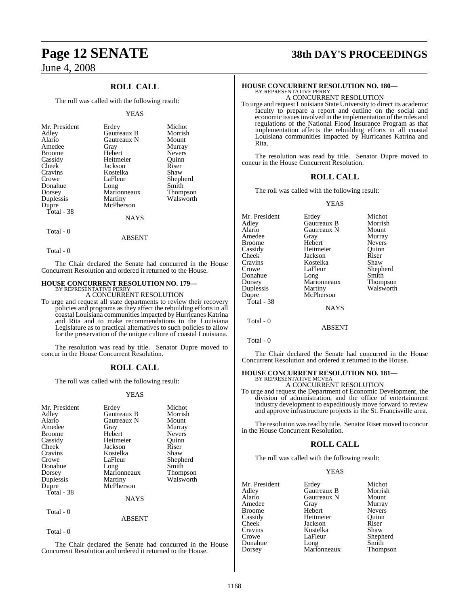### **ROLL CALL**

The roll was called with the following result:

#### YEAS

| Alario<br>Gautreaux N<br>Amedee<br>Gray<br>Hebert<br><b>Broome</b><br>Heitmeier<br>Cassidy<br>Cheek<br>Jackson<br>Cravins<br>Kostelka<br>LaFleur<br>Crowe<br>Donahue<br>Long<br>Marionneaux<br>Dorsey<br>Duplessis<br>Martiny<br>McPherson<br>Dupre<br>Total - 38<br><b>NAYS</b> | Murray<br><b>Nevers</b><br>Ouinn<br>Riser<br>Shaw<br>Shepherd<br>Smith<br><b>Thompson</b><br>Walsworth |
|----------------------------------------------------------------------------------------------------------------------------------------------------------------------------------------------------------------------------------------------------------------------------------|--------------------------------------------------------------------------------------------------------|
|----------------------------------------------------------------------------------------------------------------------------------------------------------------------------------------------------------------------------------------------------------------------------------|--------------------------------------------------------------------------------------------------------|

### Total - 0

Total - 0

The Chair declared the Senate had concurred in the House Concurrent Resolution and ordered it returned to the House.

ABSENT

### **HOUSE CONCURRENT RESOLUTION NO. 179—** BY REPRESENTATIVE PERRY

A CONCURRENT RESOLUTION

To urge and request all state departments to review their recovery policies and programs as they affect the rebuilding efforts in all coastal Louisiana communities impacted by Hurricanes Katrina and Rita and to make recommendations to the Louisiana Legislature as to practical alternatives to such policies to allow for the preservation of the unique culture of coastal Louisiana.

The resolution was read by title. Senator Dupre moved to concur in the House Concurrent Resolution.

#### **ROLL CALL**

The roll was called with the following result:

#### YEAS

| Mr. President<br>Adley<br>Alario<br>Amedee<br><b>Broome</b><br>Cassidy<br><b>Cheek</b><br>Cravins<br>Crowe<br>Donahue<br>Dorsey<br>Duplessis<br>Dupre<br>Total - 38 | Erdey<br>Gautreaux B<br>Gautreaux N<br>Gray<br>Hebert<br>Heitmeier<br>Jackson<br>Kostelka<br>LaFleur<br>Long<br>Marionneaux<br>Martiny<br>McPherson<br><b>NAYS</b> | Michot<br>Morrish<br>Mount<br>Murray<br><b>Nevers</b><br>Ouinn<br>Riser<br>Shaw<br>Shepherd<br>Smith<br>Thompson<br>Walsworth |
|---------------------------------------------------------------------------------------------------------------------------------------------------------------------|--------------------------------------------------------------------------------------------------------------------------------------------------------------------|-------------------------------------------------------------------------------------------------------------------------------|
|                                                                                                                                                                     |                                                                                                                                                                    |                                                                                                                               |
| Total - 0                                                                                                                                                           | <b>ABSENT</b>                                                                                                                                                      |                                                                                                                               |

Total - 0

The Chair declared the Senate had concurred in the House Concurrent Resolution and ordered it returned to the House.

## **Page 12 SENATE 38th DAY'S PROCEEDINGS**

### **HOUSE CONCURRENT RESOLUTION NO. 180—** BY REPRESENTATIVE PERRY

A CONCURRENT RESOLUTION

To urge and request Louisiana State University to direct its academic faculty to prepare a report and outline on the social and economic issues involved in the implementation of the rules and regulations of the National Flood Insurance Program as that implementation affects the rebuilding efforts in all coastal Louisiana communities impacted by Hurricanes Katrina and Rita.

The resolution was read by title. Senator Dupre moved to concur in the House Concurrent Resolution.

#### **ROLL CALL**

The roll was called with the following result:

YEAS

| Mr. President | Erdey         | Michot        |
|---------------|---------------|---------------|
| Adlev         | Gautreaux B   | Morrish       |
| Alario        | Gautreaux N   | Mount         |
| Amedee        | Gray          | Murray        |
| Broome        | Hebert        | <b>Nevers</b> |
| Cassidy       | Heitmeier     | Ouinn         |
| Cheek         | Jackson       | Riser         |
| Cravins       | Kostelka      | Shaw          |
| Crowe         | LaFleur       | Shepherd      |
| Donahue       | Long          | Smith         |
| Dorsey        | Marionneaux   | Thompson      |
| Duplessis     | Martiny       | Walsworth     |
| Dupre         | McPherson     |               |
| Total - 38    |               |               |
|               | <b>NAYS</b>   |               |
| Total - 0     |               |               |
|               | <b>ABSENT</b> |               |

Total - 0

The Chair declared the Senate had concurred in the House Concurrent Resolution and ordered it returned to the House.

### **HOUSE CONCURRENT RESOLUTION NO. 181—**

BY REPRESENTATIVE MCVEA A CONCURRENT RESOLUTION

To urge and request the Department of Economic Development, the division of administration, and the office of entertainment industry development to expeditiously move forward to review and approve infrastructure projects in the St. Francisville area.

The resolution was read by title. Senator Riser moved to concur in the House Concurrent Resolution.

#### **ROLL CALL**

The roll was called with the following result:

#### YEAS

| Mr. President | Erdey               | Michot        |
|---------------|---------------------|---------------|
| Adley         | Gautreaux B         | Morrish       |
| Alario        | Gautreaux N         | Mount         |
| Amedee        | Gray                | Murray        |
| <b>Broome</b> | Hebert              | <b>Nevers</b> |
| Cassidy       | Heitmeier           | Ouinn         |
| <b>Cheek</b>  | Jackson             | Riser         |
| Cravins       | Kostelka            | Shaw          |
| Crowe         | LaFleur             | Shepherd      |
| Donahue       |                     | Smith         |
| Dorsey        | Long<br>Marionneaux | Thompson      |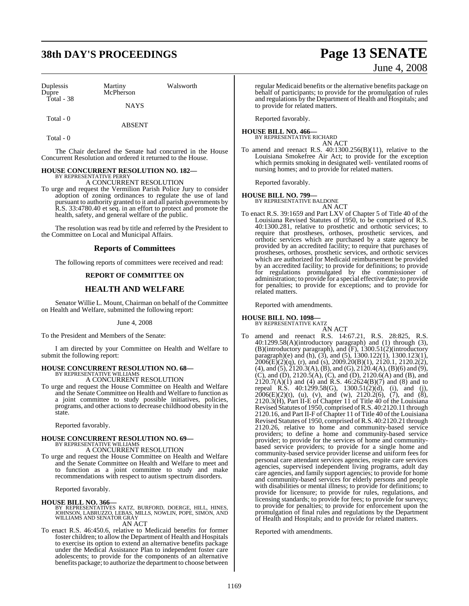# **38th DAY'S PROCEEDINGS Page 13 SENATE**

Duplessis Martiny Walsworth Total - 38

McPherson

**NAYS** 

ABSENT

Total - 0

Total - 0

The Chair declared the Senate had concurred in the House Concurrent Resolution and ordered it returned to the House.

#### **HOUSE CONCURRENT RESOLUTION NO. 182—** BY REPRESENTATIVE PERRY

A CONCURRENT RESOLUTION

To urge and request the Vermilion Parish Police Jury to consider adoption of zoning ordinances to regulate the use of land pursuant to authority granted to it and all parish governments by R.S. 33:4780.40 et seq. in an effort to protect and promote the health, safety, and general welfare of the public.

The resolution was read by title and referred by the President to the Committee on Local and Municipal Affairs.

#### **Reports of Committees**

The following reports of committees were received and read:

#### **REPORT OF COMMITTEE ON**

### **HEALTH AND WELFARE**

Senator Willie L. Mount, Chairman on behalf of the Committee on Health and Welfare, submitted the following report:

#### June 4, 2008

To the President and Members of the Senate:

I am directed by your Committee on Health and Welfare to submit the following report:

# **HOUSE CONCURRENT RESOLUTION NO. 68—** BY REPRESENTATIVE WILLIAMS

A CONCURRENT RESOLUTION

To urge and request the House Committee on Health and Welfare and the Senate Committee on Health and Welfare to function as a joint committee to study possible initiatives, policies, programs, and other actionsto decrease childhood obesity in the state.

Reported favorably.

# **HOUSE CONCURRENT RESOLUTION NO. 69—** BY REPRESENTATIVE WILLIAMS

A CONCURRENT RESOLUTION

To urge and request the House Committee on Health and Welfare and the Senate Committee on Health and Welfare to meet and to function as a joint committee to study and make recommendations with respect to autism spectrum disorders.

Reported favorably.

#### **HOUSE BILL NO. 366—**

BY REPRESENTATIVES KATZ, BURFORD, DOERGE, HILL, HINES,<br>JOHNSON, LABRUZZO, LEBAS, MILLS, NOWLIN, POPE, SIMON, AND<br>WILLIAMS AND SENATOR GRAY AN ACT

To enact R.S. 46:450.6, relative to Medicaid benefits for former foster children; to allow the Department of Health and Hospitals to exercise its option to extend an alternative benefits package under the Medical Assistance Plan to independent foster care adolescents; to provide for the components of an alternative benefits package; to authorize the department to choose between

# June 4, 2008 regular Medicaid benefits or the alternative benefits package on

behalf of participants; to provide for the promulgation of rules and regulations by the Department of Health and Hospitals; and to provide for related matters.

Reported favorably.

#### **HOUSE BILL NO. 466—**

BY REPRESENTATIVE RICHARD AN ACT

To amend and reenact R.S. 40:1300.256(B)(11), relative to the Louisiana Smokefree Air Act; to provide for the exception which permits smoking in designated well- ventilated rooms of nursing homes; and to provide for related matters.

Reported favorably.

#### **HOUSE BILL NO. 799—**

BY REPRESENTATIVE BALDONE AN ACT

To enact R.S. 39:1659 and Part LXV of Chapter 5 of Title 40 of the Louisiana Revised Statutes of 1950, to be comprised of R.S. 40:1300.281, relative to prosthetic and orthotic services; to require that prostheses, orthoses, prosthetic services, and orthotic services which are purchased by a state agency be provided by an accredited facility; to require that purchases of prostheses, orthoses, prosthetic services, and orthotic services which are authorized for Medicaid reimbursement be provided by an accredited facility; to provide for definitions; to provide for regulations promulgated by the commissioner of administration; to provide for a special effective date; to provide for penalties; to provide for exceptions; and to provide for related matters.

Reported with amendments.

#### **HOUSE BILL NO. 1098—**

BY REPRESENTATIVE KATZ AN ACT

To amend and reenact R.S. 14:67.21, R.S. 28:825, R.S. 40:1299.58(A)(introductory paragraph) and (1) through (3), (B)(introductory paragraph), and (F), 1300.51(2)(introductory paragraph)(e) and (h), (3), and (5), 1300.122(1), 1300.123(1),  $2006(E)(2)(q)$ , (r), and (s),  $2009.20(B)(1)$ ,  $2120.1$ ,  $2120.2(2)$ ,  $(4)$ , and  $(5)$ ,  $\overline{2120.3(A)}$ ,  $(B)$ , and  $(G)$ ,  $\overline{2120.4(A)}$ ,  $(B)(6)$  and  $(9)$ , (C), and (D), 2120.5(A), (C), and (D), 2120.6(A) and (B), and  $2120.7(A)(1)$  and (4) and R.S. 46:2624(B)(7) and (8) and to repeal R.S. 40:1299.58(G), 1300.51(2)(d), (i), and (j),  $2006(E)(2)(t)$ , (u), (v), and (w), 2120.2(6), (7), and (8), 2120.3(H), Part II-E of Chapter 11 of Title 40 of the Louisiana Revised Statutes of 1950, comprised ofR.S. 40:2120.11 through 2120.16, and Part II-F ofChapter 11 of Title 40 of the Louisiana Revised Statutes of 1950, comprised of R.S. 40:2120.21 through 2120.26, relative to home and community-based service providers; to define a home and community-based service provider; to provide for the services of home and communitybased service providers; to provide for a single home and community-based service provider license and uniform fees for personal care attendant services agencies, respite care services agencies, supervised independent living programs, adult day care agencies, and family support agencies; to provide for home and community-based services for elderly persons and people with disabilities or mental illness; to provide for definitions; to provide for licensure; to provide for rules, regulations, and licensing standards; to provide for fees; to provide for surveys; to provide for penalties; to provide for enforcement upon the promulgation of final rules and regulations by the Department of Health and Hospitals; and to provide for related matters.

Reported with amendments.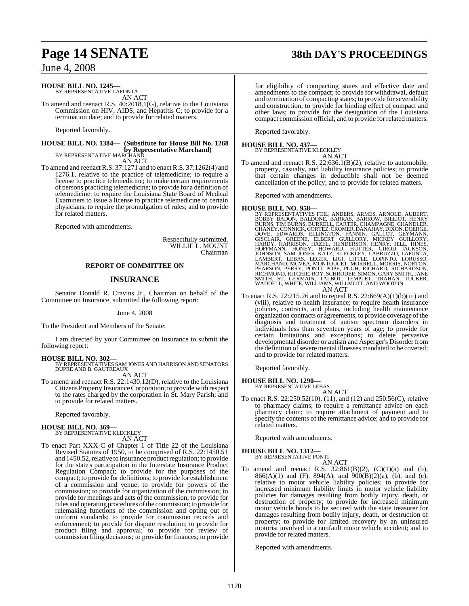### **Page 14 SENATE 38th DAY'S PROCEEDINGS**

### June 4, 2008

### **HOUSE BILL NO. 1245—**

BY REPRESENTATIVE LAFONTA AN ACT

To amend and reenact R.S. 40:2018.1(G), relative to the Louisiana Commission on HIV, AIDS, and Hepatitis C; to provide for a termination date; and to provide for related matters.

Reported favorably.

### **HOUSE BILL NO. 1384— (Substitute for House Bill No. 1268 by Representative Marchand)**<br>BY REPRESENTATIVE MARCHAND

AN ACT

To amend and reenact R.S. 37:1271 and to enact R.S. 37:1262(4) and 1276.1, relative to the practice of telemedicine; to require a license to practice telemedicine; to make certain requirements of persons practicing telemedicine; to provide for a definition of telemedicine; to require the Louisiana State Board of Medical Examiners to issue a license to practice telemedicine to certain physicians; to require the promulgation of rules; and to provide for related matters.

Reported with amendments.

Respectfully submitted, WILLIE L. MOUNT Chairman

#### **REPORT OF COMMITTEE ON**

### **INSURANCE**

Senator Donald R. Cravins Jr., Chairman on behalf of the Committee on Insurance, submitted the following report:

June 4, 2008

To the President and Members of the Senate:

I am directed by your Committee on Insurance to submit the following report:

**HOUSE BILL NO. 302—** BY REPRESENTATIVES SAM JONES AND HARRISON AND SENATORS DUPRE AND B. GAUTREAUX AN ACT

To amend and reenact R.S. 22:1430.12(D), relative to the Louisiana Citizens Property Insurance Corporation; to provide with respect to the rates charged by the corporation in St. Mary Parish; and to provide for related matters.

Reported favorably.

### **HOUSE BILL NO. 369—** BY REPRESENTATIVE KLECKLEY AN ACT

To enact Part XXX-C of Chapter 1 of Title 22 of the Louisiana Revised Statutes of 1950, to be comprised of R.S. 22:1450.51 and 1450.52, relative to insurance product regulation; to provide for the state's participation in the Interstate Insurance Product Regulation Compact; to provide for the purposes of the compact; to provide for definitions; to provide for establishment of a commission and venue; to provide for powers of the commission; to provide for organization of the commission; to provide for meetings and acts of the commission; to provide for rules and operating procedures of the commission; to provide for rulemaking functions of the commission and opting out of uniform standards; to provide for commission records and enforcement; to provide for dispute resolution; to provide for product filing and approval; to provide for review of commission filing decisions; to provide for finances; to provide

for eligibility of compacting states and effective date and amendments to the compact; to provide for withdrawal, default and termination of compacting states; to provide for severability and construction; to provide for binding effect of compact and other laws; to provide for the designation of the Louisiana compact commission official; and to provide for related matters.

Reported favorably.

#### **HOUSE BILL NO. 437—** BY REPRESENTATIVE KLECKLEY



To amend and reenact R.S. 22:636.1(B)(2), relative to automobile, property, casualty, and liability insurance policies; to provide that certain changes in deductible shall not be deemed cancellation of the policy; and to provide for related matters.

Reported with amendments.

- HOUSE BILL NO. 958-<br>BY REPRESENTATIVES FOIL, ANDERS, ARMES, ARNOLD, AUBERT, BOBBY BADON, BALDONE, BARRAS, BARROW, BILLIOT, HENRY<br>BURNS, TIM BURNS, BURRELL, CARTER, CHAMPAGNE, CHANDLER,<br>CHANEY, CONNICK, CORTEZ, CROMER, DANA
	-
- To enact R.S. 22:215.26 and to repeal R.S. 22:669(A)(1)(b)(iii) and (viii), relative to health insurance; to require health insurance policies, contracts, and plans, including health maintenance organization contracts or agreements, to provide coverage of the diagnosis and treatment of autism spectrum disorders in individuals less than seventeen years of age; to provide for certain limitations and exceptions; to delete pervasive developmental disorder or autism and Asperger's Disorder from the definition of severe mental illnesses mandated to be covered; and to provide for related matters.

Reported favorably.

**HOUSE BILL NO. 1290—** BY REPRESENTATIVE LEBAS

AN ACT

To enact R.S. 22:250.52(10), (11), and (12) and 250.56(C), relative to pharmacy claims; to require a remittance advice on each pharmacy claim; to require attachment of payment and to specify the contents of the remittance advice; and to provide for related matters.

Reported with amendments.

#### **HOUSE BILL NO. 1312**

BY REPRESENTATIVE PONTI AN ACT

To amend and reenact R.S.  $32:861(B)(2)$ ,  $(C)(1)(a)$  and  $(b)$ , 866(A)(1) and (F), 894(A), and 900(B)(2)(a), (b), and (c), relative to motor vehicle liability policies; to provide for increased minimum liability limits in motor vehicle liability policies for damages resulting from bodily injury, death, or destruction of property; to provide for increased minimum motor vehicle bonds to be secured with the state treasurer for damages resulting from bodily injury, death, or destruction of property; to provide for limited recovery by an uninsured motorist involved in a nonfault motor vehicle accident; and to provide for related matters.

Reported with amendments.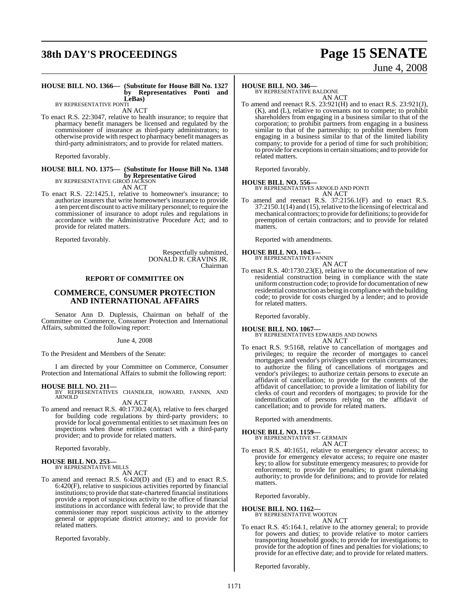# **38th DAY'S PROCEEDINGS Page 15 SENATE**

# June 4, 2008

#### **HOUSE BILL NO. 1366— (Substitute for House Bill No. 1327 by Representatives Ponti and LeBas)**

BY REPRESENTATIVE PONTI

AN ACT

To enact R.S. 22:3047, relative to health insurance; to require that pharmacy benefit managers be licensed and regulated by the commissioner of insurance as third-party administrators; to otherwise provide with respect to pharmacy benefit managers as third-party administrators; and to provide for related matters.

Reported favorably.

### **HOUSE BILL NO. 1375— (Substitute for House Bill No. 1348 by Representative Girod**<br>BY REPRESENTATIVE GIROD JACKSON

AN ACT

To enact R.S. 22:1425.1, relative to homeowner's insurance; to authorize insurers that write homeowner's insurance to provide a ten percent discount to active military personnel; to require the commissioner of insurance to adopt rules and regulations in accordance with the Administrative Procedure Act; and to provide for related matters.

Reported favorably.

Respectfully submitted, DONALD R. CRAVINS JR. Chairman

#### **REPORT OF COMMITTEE ON**

#### **COMMERCE, CONSUMER PROTECTION AND INTERNATIONAL AFFAIRS**

Senator Ann D. Duplessis, Chairman on behalf of the Committee on Commerce, Consumer Protection and International Affairs, submitted the following report:

#### June 4, 2008

To the President and Members of the Senate:

I am directed by your Committee on Commerce, Consumer Protection and International Affairs to submit the following report:

**HOUSE BILL NO. 211—** BY REPRESENTATIVES CHANDLER, HOWARD, FANNIN, AND ARNOLD

AN ACT

To amend and reenact R.S. 40:1730.24(A), relative to fees charged for building code regulations by third-party providers; to provide for local governmental entities to set maximum fees on inspections when those entities contract with a third-party provider; and to provide for related matters.

Reported favorably.

### **HOUSE BILL NO. 253—** BY REPRESENTATIVE MILLS

AN ACT

To amend and reenact R.S. 6:420(D) and (E) and to enact R.S. 6:420(F), relative to suspicious activities reported by financial institutions; to provide that state-chartered financial institutions provide a report of suspicious activity to the office of financial institutions in accordance with federal law; to provide that the commissioner may report suspicious activity to the attorney general or appropriate district attorney; and to provide for related matters.

Reported favorably.

#### **HOUSE BILL NO. 346—**

BY REPRESENTATIVE BALDONE AN ACT

To amend and reenact R.S. 23:921(H) and to enact R.S. 23:921(J), (K), and (L), relative to covenants not to compete; to prohibit shareholders from engaging in a business similar to that of the corporation; to prohibit partners from engaging in a business similar to that of the partnership; to prohibit members from engaging in a business similar to that of the limited liability company; to provide for a period of time for such prohibition; to provide for exceptionsin certain situations; and to provide for related matters.

Reported favorably.

#### **HOUSE BILL NO. 556—**

BY REPRESENTATIVES ARNOLD AND PONTI AN ACT

To amend and reenact R.S. 37:2156.1(F) and to enact R.S.  $37:2150.1(14)$  and  $(15)$ , relative to the licensing of electrical and mechanical contractors; to provide for definitions; to provide for preemption of certain contractors; and to provide for related matters.

Reported with amendments.

#### **HOUSE BILL NO. 1043—**

BY REPRESENTATIVE FANNIN AN ACT

To enact R.S. 40:1730.23(E), relative to the documentation of new residential construction being in compliance with the state uniformconstruction code; to provide for documentation of new residential construction as being in compliance with the building code; to provide for costs charged by a lender; and to provide for related matters.

Reported favorably.

#### **HOUSE BILL NO. 1067—**

BY REPRESENTATIVES EDWARDS AND DOWNS AN ACT

To enact R.S. 9:5168, relative to cancellation of mortgages and privileges; to require the recorder of mortgages to cancel mortgages and vendor's privileges under certain circumstances; to authorize the filing of cancellations of mortgages and vendor's privileges; to authorize certain persons to execute an affidavit of cancellation; to provide for the contents of the affidavit of cancellation; to provide a limitation of liability for clerks of court and recorders of mortgages; to provide for the indemnification of persons relying on the affidavit of cancellation; and to provide for related matters.

Reported with amendments.

#### **HOUSE BILL NO. 1159—**

BY REPRESENTATIVE ST. GERMAIN AN ACT

To enact R.S. 40:1651, relative to emergency elevator access; to provide for emergency elevator access; to require one master key; to allow for substitute emergency measures; to provide for enforcement; to provide for penalties; to grant rulemaking authority; to provide for definitions; and to provide for related matters.

Reported favorably.

**HOUSE BILL NO. 1162—** BY REPRESENTATIVE WOOTON

AN ACT

To enact R.S. 45:164.1, relative to the attorney general; to provide for powers and duties; to provide relative to motor carriers transporting household goods; to provide for investigations; to provide for the adoption of fines and penalties for violations; to provide for an effective date; and to provide for related matters.

Reported favorably.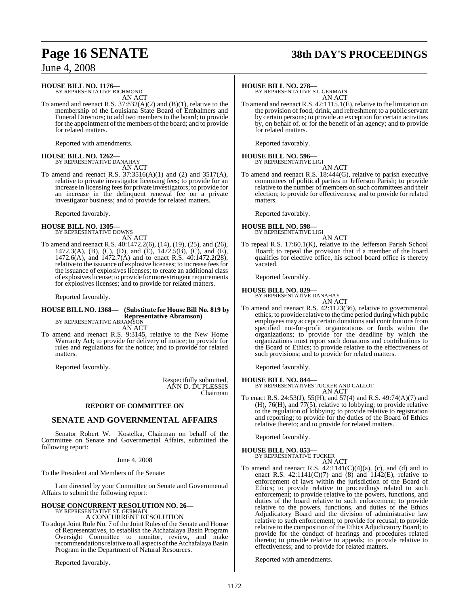## **Page 16 SENATE 38th DAY'S PROCEEDINGS**

June 4, 2008

### **HOUSE BILL NO. 1176—** BY REPRESENTATIVE RICHMOND

AN ACT

To amend and reenact R.S. 37:832(A)(2) and (B)(1), relative to the membership of the Louisiana State Board of Embalmers and Funeral Directors; to add two members to the board; to provide for the appointment of the members of the board; and to provide for related matters.

Reported with amendments.

# **HOUSE BILL NO. 1262—** BY REPRESENTATIVE DANAHAY

AN ACT

To amend and reenact R.S. 37:3516(A)(1) and (2) and 3517(A), relative to private investigator licensing fees; to provide for an increase in licensing feesfor private investigators; to provide for an increase in the delinquent renewal fee on a private investigator business; and to provide for related matters.

Reported favorably.

#### **HOUSE BILL NO. 1305—** BY REPRESENTATIVE DOWNS

AN ACT

To amend and reenact R.S. 40:1472.2(6), (14), (19), (25), and (26), 1472.3(A), (B), (C), (D), and (E), 1472.5(B), (C), and (E), 1472.6(A), and 1472.7(A) and to enact R.S. 40:1472.2(28), relative to the issuance of explosive licenses; to increase feesfor the issuance of explosives licenses; to create an additional class of explosives license; to provide for more stringent requirements for explosives licenses; and to provide for related matters.

Reported favorably.

### **HOUSE BILL NO. 1368— (Substitute for House Bill No. 819 by Representative Abramson)** BY REPRESENTATIVE ABRAMSON

AN ACT

To amend and reenact R.S. 9:3145, relative to the New Home Warranty Act; to provide for delivery of notice; to provide for rules and regulations for the notice; and to provide for related matters.

Reported favorably.

Respectfully submitted, ANN D. DUPLESSIS Chairman

#### **REPORT OF COMMITTEE ON**

#### **SENATE AND GOVERNMENTAL AFFAIRS**

Senator Robert W. Kostelka, Chairman on behalf of the Committee on Senate and Governmental Affairs, submitted the following report:

#### June 4, 2008

To the President and Members of the Senate:

I am directed by your Committee on Senate and Governmental Affairs to submit the following report:

#### **HOUSE CONCURRENT RESOLUTION NO. 26—** BY REPRESENTATIVE ST. GERM A CONCURRENT RESOLUTION

To adopt Joint Rule No. 7 of the Joint Rules of the Senate and House of Representatives, to establish the Atchafalaya Basin Program Oversight Committee to monitor, review, and make recommendations relative to all aspects of the Atchafalaya Basin Program in the Department of Natural Resources.

Reported favorably.

#### **HOUSE BILL NO. 278—**

BY REPRESENTATIVE ST. GERMAIN AN ACT

To amend and reenact R.S. 42:1115.1(E), relative to the limitation on the provision of food, drink, and refreshment to a public servant by certain persons; to provide an exception for certain activities by, on behalf of, or for the benefit of an agency; and to provide for related matters.

Reported favorably.

# **HOUSE BILL NO. 596—** BY REPRESENTATIVE LIGI

AN ACT To amend and reenact R.S. 18:444(G), relative to parish executive committees of political parties in Jefferson Parish; to provide relative to the number of members on such committees and their election; to provide for effectiveness; and to provide for related matters.

Reported favorably.

#### **HOUSE BILL NO. 598—** BY REPRESENTATIVE LIGI

AN ACT

To repeal R.S. 17:60.1(K), relative to the Jefferson Parish School Board; to repeal the provision that if a member of the board qualifies for elective office, his school board office is thereby vacated.

Reported favorably.

#### **HOUSE BILL NO. 829—** BY REPRESENTATIVE DANAHAY

AN ACT

To amend and reenact R.S. 42:1123(36), relative to governmental ethics; to provide relative to the time period during which public employees may accept certain donations and contributions from specified not-for-profit organizations or funds within the organizations; to provide for the deadline by which the organizations must report such donations and contributions to the Board of Ethics; to provide relative to the effectiveness of such provisions; and to provide for related matters.

Reported favorably.

**HOUSE BILL NO. 844—** BY REPRESENTATIVES TUCKER AND GALLOT AN ACT

To enact R.S. 24:53(J), 55(H), and 57(4) and R.S. 49:74(A)(7) and (H), 76(H), and 77(5), relative to lobbying; to provide relative to the regulation of lobbying; to provide relative to registration and reporting; to provide for the duties of the Board of Ethics relative thereto; and to provide for related matters.

Reported favorably.

### **HOUSE BILL NO. 853—**

BY REPRESENTATIVE TUCKER AN ACT

To amend and reenact R.S.  $42:1141(C)(4)(a)$ , (c), and (d) and to enact R.S.  $42:1141(C)(7)$  and  $(8)$  and  $1142(E)$ , relative to enforcement of laws within the jurisdiction of the Board of Ethics; to provide relative to proceedings related to such enforcement; to provide relative to the powers, functions, and duties of the board relative to such enforcement; to provide relative to the powers, functions, and duties of the Ethics Adjudicatory Board and the division of administrative law relative to such enforcement; to provide for recusal; to provide relative to the composition of the Ethics Adjudicatory Board; to provide for the conduct of hearings and procedures related thereto; to provide relative to appeals; to provide relative to effectiveness; and to provide for related matters.

Reported with amendments.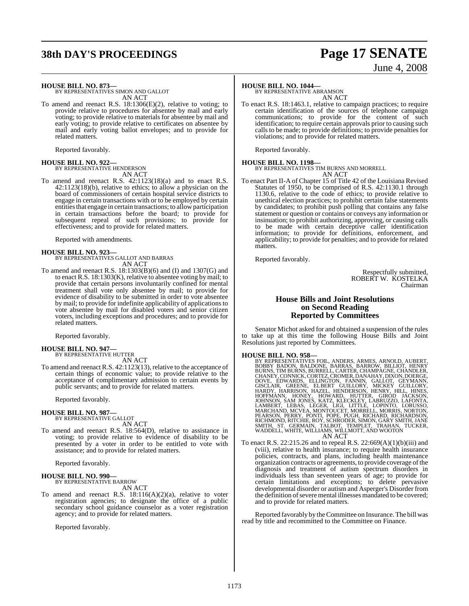# **38th DAY'S PROCEEDINGS Page 17 SENATE**

# June 4, 2008

**HOUSE BILL NO. 873—**

BY REPRESENTATIVES SIMON AND GALLOT AN ACT

To amend and reenact R.S. 18:1306(E)(2), relative to voting; to provide relative to procedures for absentee by mail and early voting; to provide relative to materials for absentee by mail and early voting; to provide relative to certificates on absentee by mail and early voting ballot envelopes; and to provide for related matters.

Reported favorably.

#### **HOUSE BILL NO. 922—** BY REPRESENTATIVE HENDERSON

AN ACT

To amend and reenact R.S. 42:1123(18)(a) and to enact R.S. 42:1123(18)(b), relative to ethics; to allow a physician on the board of commissioners of certain hospital service districts to engage in certain transactions with or to be employed by certain entities that engage in certain transactions; to allow participation in certain transactions before the board; to provide for subsequent repeal of such provisions; to provide for effectiveness; and to provide for related matters.

Reported with amendments.

### **HOUSE BILL NO. 923—**

BY REPRESENTATIVES GALLOT AND BARRAS AN ACT

To amend and reenact R.S. 18:1303(B)(6) and (I) and 1307(G) and to enact R.S. 18:1303(K), relative to absentee voting by mail; to provide that certain persons involuntarily confined for mental treatment shall vote only absentee by mail; to provide for evidence of disability to be submitted in order to vote absentee by mail; to provide for indefinite applicability of applicationsto vote absentee by mail for disabled voters and senior citizen voters, including exceptions and procedures; and to provide for related matters.

Reported favorably.

**HOUSE BILL NO. 947—** BY REPRESENTATIVE HUTTER AN ACT

To amend and reenact R.S. 42:1123(13), relative to the acceptance of certain things of economic value; to provide relative to the acceptance of complimentary admission to certain events by public servants; and to provide for related matters.

Reported favorably.

#### **HOUSE BILL NO. 987—**

BY REPRESENTATIVE GALLOT AN ACT

To amend and reenact R.S. 18:564(D), relative to assistance in voting; to provide relative to evidence of disability to be presented by a voter in order to be entitled to vote with assistance; and to provide for related matters.

Reported favorably.

**HOUSE BILL NO. 990—** BY REPRESENTATIVE BARROW AN ACT

To amend and reenact R.S. 18:116(A)(2)(a), relative to voter registration agencies; to designate the office of a public secondary school guidance counselor as a voter registration agency; and to provide for related matters.

Reported favorably.

#### **HOUSE BILL NO. 1044—**

BY REPRESENTATIVE ABRAMSON AN ACT

To enact R.S. 18:1463.1, relative to campaign practices; to require certain identification of the sources of telephone campaign communications; to provide for the content of such identification; to require certain approvals prior to causing such calls to be made; to provide definitions; to provide penalties for violations; and to provide for related matters.

Reported favorably.

**HOUSE BILL NO. 1198—** BY REPRESENTATIVES TIM BURNS AND MORRELL

AN ACT

To enact Part II-A of Chapter 15 of Title 42 of the Louisiana Revised Statutes of 1950, to be comprised of R.S. 42:1130.1 through 1130.6, relative to the code of ethics; to provide relative to unethical election practices; to prohibit certain false statements by candidates; to prohibit push polling that contains any false statement or question or contains or conveys any information or insinuation; to prohibit authorizing, approving, or causing calls to be made with certain deceptive caller identification information; to provide for definitions, enforcement, and applicability; to provide for penalties; and to provide for related matters.

Reported favorably.

Respectfully submitted, ROBERT W. KOSTELKA Chairman

#### **House Bills and Joint Resolutions on Second Reading Reported by Committees**

Senator Michot asked for and obtained a suspension of the rules to take up at this time the following House Bills and Joint Resolutions just reported by Committees.

- **HOUSE BILL NO. 958—**<br>BY REPRESENTATIVES FOIL, ANDERS, ARMES, ARNOLD, AUBERT, BOBBY BADON, BALDONE, BARRAS, BARROW, BILLIOT, HENRY<br>BURNS, TIM BURNS, BURRELL, CARTER, CHAMPAGNE, CHANDLER,<br>CHANEY, CONNICK, CORTEZ, CROMER, DA
- To enact R.S. 22:215.26 and to repeal R.S. 22:669(A)(1)(b)(iii) and (viii), relative to health insurance; to require health insurance policies, contracts, and plans, including health maintenance organization contracts or agreements, to provide coverage of the diagnosis and treatment of autism spectrum disorders in individuals less than seventeen years of age; to provide for certain limitations and exceptions; to delete pervasive developmental disorder or autism and Asperger's Disorder from the definition of severe mental illnesses mandated to be covered; and to provide for related matters.

Reported favorably by theCommittee on Insurance.The bill was read by title and recommitted to the Committee on Finance.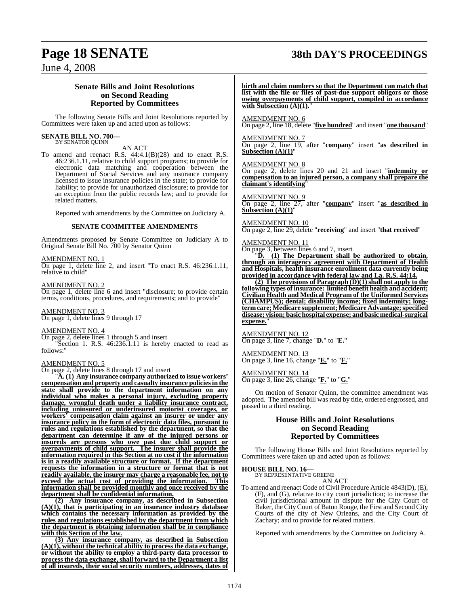## **Page 18 SENATE 38th DAY'S PROCEEDINGS**

### June 4, 2008

#### **Senate Bills and Joint Resolutions on Second Reading Reported by Committees**

The following Senate Bills and Joint Resolutions reported by Committees were taken up and acted upon as follows:

#### **SENATE BILL NO. 700—** BY SENATOR QUINN

AN ACT

To amend and reenact R.S. 44:4.1(B)(28) and to enact R.S. 46:236.1.11, relative to child support programs; to provide for electronic data matching and cooperation between the Department of Social Services and any insurance company licensed to issue insurance policies in the state; to provide for liability; to provide for unauthorized disclosure; to provide for an exception from the public records law; and to provide for related matters.

Reported with amendments by the Committee on Judiciary A.

#### **SENATE COMMITTEE AMENDMENTS**

Amendments proposed by Senate Committee on Judiciary A to Original Senate Bill No. 700 by Senator Quinn

#### AMENDMENT NO. 1

On page 1, delete line 2, and insert "To enact R.S. 46:236.1.11, relative to child"

AMENDMENT NO. 2 On page 1, delete line 6 and insert "disclosure; to provide certain terms, conditions, procedures, and requirements; and to provide"

AMENDMENT NO. 3

On page 1, delete lines 9 through 17

#### AMENDMENT NO. 4

On page 2, delete lines 1 through 5 and insert

"Section 1. R.S. 46:236.1.11 is hereby enacted to read as follows:

#### AMENDMENT NO. 5

On page 2, delete lines 8 through 17 and insert

"**A. (1) Any insurance company authorized to issue workers' compensation and property and casualty insurance policiesin the state shall provide to the department information on any individual who makes a personal injury, excluding property damage, wrongful death under a liability insurance contract, including uninsured or underinsured motorist coverages, or workers' compensation claim against an insurer or under any insurance policy in the form of electronic data files, pursuant to rules and regulations established by the department, so that the department can determine if any of the injured persons or insureds are persons who owe past due child support or overpayments of child support. The insurer shall provide the information required in this Section at no cost if the information is in a readily available structure or format. If the department requests the information in a structure or format that is not readily available, the insurer may charge a reasonable fee, not to exceed the actual cost of providing the information. This information shall be provided monthly and once received by the department shall be confidential information.**

**(2) Any insurance company, as described in Subsection (A)(1), that is participating in an insurance industry database which contains the necessary information as provided by the rules and regulations established by the department from which the department is obtaining information shall be in compliance with this Section of the law.**

**(3) Any insurance company, as described in Subsection (A)(1), without the technical ability to process the data exchange, or without the ability to employ a third-party data processor to process the data exchange, shall forward to the Department a list of all insureds, their social security numbers, addresses, dates of**

**birth and claim numbers so that the Department can match that list with the file or files of past-due support obligors or those owing overpayments of child support, compiled in accordance** with Subsection (A)(1).

#### AMENDMENT NO. 6

On page 2, line 18, delete "**five hundred**" and insert "**one thousand**"

#### AMENDMENT NO. 7

On page 2, line 19, after "**company**" insert "**as described in Subsection (A)(1)**"

#### AMENDMENT NO. 8

On page 2, delete lines 20 and 21 and insert "**indemnity or compensation to an injured person, a company shall prepare the claimant's identifying**"

### AMENDMENT NO. 9

On page 2, line 27, after "**company**" insert "**as described in Subsection (A)(1)**"

#### AMENDMENT NO. 10

On page 2, line 29, delete "**receiving**" and insert "**that received**"

#### AMENDMENT NO. 11

 $\overline{\text{On page 3, between lines 6 and 7, insert}}$ <br>  $\overline{\text{Do}}$  (1) The Department shall

(1) The Department shall be authorized to obtain, **through an interagency agreement with Department of Health and Hospitals, health insurance enrollment data currently being provided in accordance with federal law and La. R.S. 44:14.**

**(2) The provisions of Paragraph (D)(1) shall not apply to the following types of insurance: limited benefit health and accident; Civilian Health and Medical Program of the Uniformed Services (CHAMPUS); dental; disability income; fixed indemnity; longtermcare; Medicare supplement; Medicare Advantage;specified disease; vision; basic hospital expense; andbasic medical-surgical expense.**"

AMENDMENT NO. 12 On page 3, line 7, change "**D.**" to "**E.**"

#### AMENDMENT NO. 13 On page 3, line 16, change "**E.**" to "**F.**"

AMENDMENT NO. 14 On page 3, line 26, change "**F.**" to "**G.**"

On motion of Senator Quinn, the committee amendment was adopted. The amended bill was read by title, ordered engrossed, and passed to a third reading.

#### **House Bills and Joint Resolutions on Second Reading Reported by Committees**

The following House Bills and Joint Resolutions reported by Committees were taken up and acted upon as follows:

**HOUSE BILL NO. 16—** BY REPRESENTATIVE GREENE

#### AN ACT

To amend and reenact Code of Civil Procedure Article 4843(D), (E), (F), and (G), relative to city court jurisdiction; to increase the civil jurisdictional amount in dispute for the City Court of Baker, the City Court of Baton Rouge, the First and Second City Courts of the city of New Orleans, and the City Court of Zachary; and to provide for related matters.

Reported with amendments by the Committee on Judiciary A.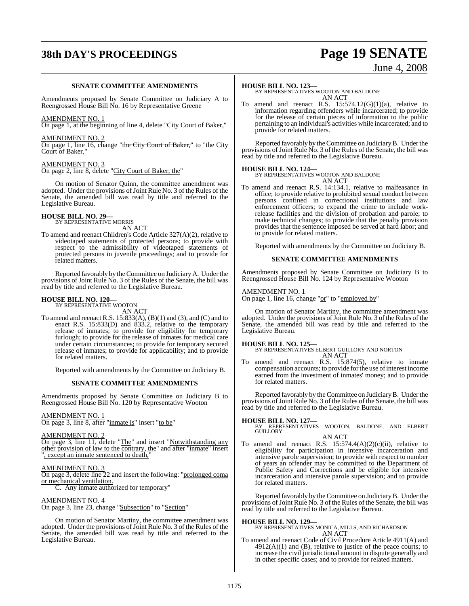# **38th DAY'S PROCEEDINGS Page 19 SENATE**

### June 4, 2008

#### **SENATE COMMITTEE AMENDMENTS**

Amendments proposed by Senate Committee on Judiciary A to Reengrossed House Bill No. 16 by Representative Greene

#### AMENDMENT NO. 1

On page 1, at the beginning of line 4, delete "City Court of Baker,"

#### AMENDMENT NO. 2

On page 1, line 16, change "the City Court of Baker," to "the City Court of Baker,"

#### AMENDMENT NO. 3

On page 2, line 8, delete "City Court of Baker, the"

On motion of Senator Quinn, the committee amendment was adopted. Under the provisions of Joint Rule No. 3 of the Rules of the Senate, the amended bill was read by title and referred to the Legislative Bureau.

**HOUSE BILL NO. 29—** BY REPRESENTATIVE MORRIS

AN ACT

To amend and reenact Children's Code Article 327(A)(2), relative to videotaped statements of protected persons; to provide with respect to the admissibility of videotaped statements of protected persons in juvenile proceedings; and to provide for related matters.

Reported favorably by theCommittee on Judiciary A. Under the provisions of Joint Rule No. 3 of the Rules of the Senate, the bill was read by title and referred to the Legislative Bureau.

# **HOUSE BILL NO. 120—** BY REPRESENTATIVE WOOTON

AN ACT

To amend and reenact R.S. 15:833(A), (B)(1) and (3), and (C) and to enact R.S. 15:833(D) and 833.2, relative to the temporary release of inmates; to provide for eligibility for temporary furlough; to provide for the release of inmates for medical care under certain circumstances; to provide for temporary secured release of inmates; to provide for applicability; and to provide for related matters.

Reported with amendments by the Committee on Judiciary B.

#### **SENATE COMMITTEE AMENDMENTS**

Amendments proposed by Senate Committee on Judiciary B to Reengrossed House Bill No. 120 by Representative Wooton

#### AMENDMENT NO. 1

On page 3, line 8, after "inmate is" insert "to be"

#### AMENDMENT NO. 2

On page 3, line 11, delete "The" and insert "Notwithstanding any other provision of law to the contrary, the" and after "inmate" insert , except an inmate sentenced to death,

#### AMENDMENT NO. 3

On page 3, delete line 22 and insert the following: "prolonged coma or mechanical ventilation.

Any inmate authorized for temporary"

#### AMENDMENT NO. 4

On page 3, line 23, change "Subsection" to "Section"

On motion of Senator Martiny, the committee amendment was adopted. Under the provisions of Joint Rule No. 3 of the Rules of the Senate, the amended bill was read by title and referred to the Legislative Bureau.

#### **HOUSE BILL NO. 123—**

BY REPRESENTATIVES WOOTON AND BALDONE AN ACT

To amend and reenact R.S.  $15:574.12(G)(1)(a)$ , relative to information regarding offenders while incarcerated; to provide for the release of certain pieces of information to the public pertaining to an individual's activities while incarcerated; and to provide for related matters.

Reported favorably by theCommittee on JudiciaryB. Under the provisions of Joint Rule No. 3 of the Rules of the Senate, the bill was read by title and referred to the Legislative Bureau.

**HOUSE BILL NO. 124—** BY REPRESENTATIVES WOOTON AND BALDONE AN ACT

To amend and reenact R.S. 14:134.1, relative to malfeasance in office; to provide relative to prohibited sexual conduct between persons confined in correctional institutions and law enforcement officers; to expand the crime to include workrelease facilities and the division of probation and parole; to make technical changes; to provide that the penalty provision provides that the sentence imposed be served at hard labor; and to provide for related matters.

Reported with amendments by the Committee on Judiciary B.

#### **SENATE COMMITTEE AMENDMENTS**

Amendments proposed by Senate Committee on Judiciary B to Reengrossed House Bill No. 124 by Representative Wooton

#### <u>AMENDMENT NO. 1</u>

On page 1, line 16, change "or" to "employed by"

On motion of Senator Martiny, the committee amendment was adopted. Under the provisions of Joint Rule No. 3 of the Rules of the Senate, the amended bill was read by title and referred to the Legislative Bureau.

**HOUSE BILL NO. 125—** BY REPRESENTATIVES ELBERT GUILLORY AND NORTON AN ACT

To amend and reenact R.S. 15:874(5), relative to inmate compensation accounts; to provide forthe use ofinterest income earned from the investment of inmates' money; and to provide for related matters.

Reported favorably by theCommittee on JudiciaryB. Under the provisions of Joint Rule No. 3 of the Rules of the Senate, the bill was read by title and referred to the Legislative Bureau.

#### **HOUSE BILL NO. 127—**

BY REPRESENTATIVES WOOTON, BALDONE, AND ELBERT GUILLORY

#### AN ACT

To amend and reenact R.S.  $15:574.4(A)(2)(c)(ii)$ , relative to eligibility for participation in intensive incarceration and intensive parole supervision; to provide with respect to number of years an offender may be committed to the Department of Public Safety and Corrections and be eligible for intensive incarceration and intensive parole supervision; and to provide for related matters.

Reported favorably by the Committee on JudiciaryB. Under the provisions of Joint Rule No. 3 of the Rules of the Senate, the bill was read by title and referred to the Legislative Bureau.

**HOUSE BILL NO. 129—** BY REPRESENTATIVES MONICA, MILLS, AND RICHARDSON AN ACT

To amend and reenact Code of Civil Procedure Article 4911(A) and  $4912(A)(1)$  and (B), relative to justice of the peace courts; to increase the civil jurisdictional amount in dispute generally and in other specific cases; and to provide for related matters.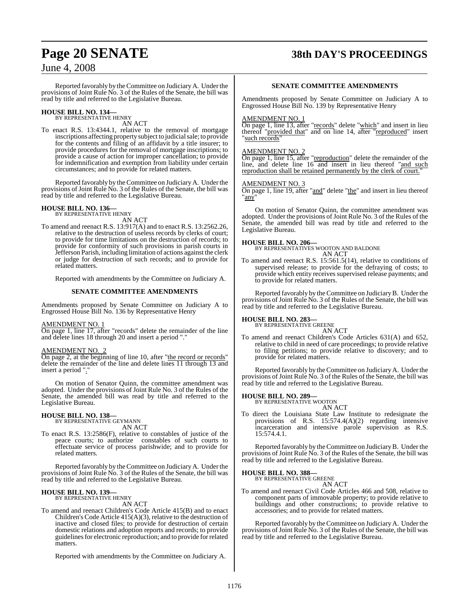## **Page 20 SENATE 38th DAY'S PROCEEDINGS**

### June 4, 2008

Reported favorably by theCommittee on JudiciaryA. Under the provisions of Joint Rule No. 3 of the Rules of the Senate, the bill was read by title and referred to the Legislative Bureau.

# **HOUSE BILL NO. 134—** BY REPRESENTATIVE HENRY

AN ACT

To enact R.S. 13:4344.1, relative to the removal of mortgage inscriptions affecting property subject to judicial sale; to provide for the contents and filing of an affidavit by a title insurer; to provide procedures for the removal of mortgage inscriptions; to provide a cause of action for improper cancellation; to provide for indemnification and exemption from liability under certain circumstances; and to provide for related matters.

Reported favorably by theCommittee on JudiciaryA. Under the provisions of Joint Rule No. 3 of the Rules of the Senate, the bill was read by title and referred to the Legislative Bureau.

#### **HOUSE BILL NO. 136—** BY REPRESENTATIVE HENRY

AN ACT

To amend and reenact R.S. 13:917(A) and to enact R.S. 13:2562.26, relative to the destruction of useless records by clerks of court; to provide for time limitations on the destruction of records; to provide for conformity of such provisions in parish courts in Jefferson Parish, including limitation of actions against the clerk or judge for destruction of such records; and to provide for related matters.

Reported with amendments by the Committee on Judiciary A.

#### **SENATE COMMITTEE AMENDMENTS**

Amendments proposed by Senate Committee on Judiciary A to Engrossed House Bill No. 136 by Representative Henry

#### AMENDMENT NO. 1

On page 1, line 17, after "records" delete the remainder of the line and delete lines 18 through 20 and insert a period "."

#### AMENDMENT NO. 2

On page 2, at the beginning of line 10, after "the record or records" delete the remainder of the line and delete lines 11 through 13 and insert a period "."

On motion of Senator Quinn, the committee amendment was adopted. Under the provisions of Joint Rule No. 3 of the Rules of the Senate, the amended bill was read by title and referred to the Legislative Bureau.

# **HOUSE BILL NO. 138—** BY REPRESENTATIVE GEYMANN

AN ACT

To enact R.S. 13:2586(F), relative to constables of justice of the peace courts; to authorize constables of such courts to effectuate service of process parishwide; and to provide for related matters.

Reported favorably by theCommittee on JudiciaryA. Under the provisions of Joint Rule No. 3 of the Rules of the Senate, the bill was read by title and referred to the Legislative Bureau.

#### **HOUSE BILL NO. 139—**

BY REPRESENTATIVE HENRY

AN ACT

To amend and reenact Children's Code Article 415(B) and to enact Children's Code Article  $415(A)(3)$ , relative to the destruction of inactive and closed files; to provide for destruction of certain domestic relations and adoption reports and records; to provide guidelines for electronic reproduction; and to provide for related matters.

Reported with amendments by the Committee on Judiciary A.

#### **SENATE COMMITTEE AMENDMENTS**

Amendments proposed by Senate Committee on Judiciary A to Engrossed House Bill No. 139 by Representative Henry

#### AMENDMENT NO. 1

On page 1, line 13, after "records" delete "which" and insert in lieu thereof "provided that" and on line 14, after "reproduced" insert 'such records"

#### AMENDMENT NO. 2

On page 1, line 15, after "reproduction" delete the remainder of the line, and delete line 16 and insert in lieu thereof "and such reproduction shall be retained permanently by the clerk of court."

#### AMENDMENT NO. 3

On page 1, line 19, after "and" delete "the" and insert in lieu thereof 'any

On motion of Senator Quinn, the committee amendment was adopted. Under the provisions of Joint Rule No. 3 of the Rules of the Senate, the amended bill was read by title and referred to the Legislative Bureau.

#### **HOUSE BILL NO. 206—**

BY REPRESENTATIVES WOOTON AND BALDONE AN ACT

To amend and reenact R.S. 15:561.5(14), relative to conditions of supervised release; to provide for the defraying of costs; to provide which entity receives supervised release payments; and to provide for related matters.

Reported favorably by theCommittee on JudiciaryB. Under the provisions of Joint Rule No. 3 of the Rules of the Senate, the bill was read by title and referred to the Legislative Bureau.

### **HOUSE BILL NO. 283—** BY REPRESENTATIVE GREENE

AN ACT To amend and reenact Children's Code Articles 631(A) and 652, relative to child in need of care proceedings; to provide relative to filing petitions; to provide relative to discovery; and to provide for related matters.

Reported favorably by theCommittee on JudiciaryA. Under the provisions of Joint Rule No. 3 of the Rules of the Senate, the bill was read by title and referred to the Legislative Bureau.

### **HOUSE BILL NO. 289—** BY REPRESENTATIVE WOOTON

AN ACT To direct the Louisiana State Law Institute to redesignate the provisions of R.S. 15:574.4(A)(2) regarding intensive incarceration and intensive parole supervision as R.S. 15:574.4.1.

Reported favorably by theCommittee on JudiciaryB. Under the provisions of Joint Rule No. 3 of the Rules of the Senate, the bill was read by title and referred to the Legislative Bureau.

#### **HOUSE BILL NO. 388—**

BY REPRESENTATIVE GREENE AN ACT

To amend and reenact Civil Code Articles 466 and 508, relative to component parts of immovable property; to provide relative to buildings and other constructions; to provide relative to accessories; and to provide for related matters.

Reported favorably by theCommittee on JudiciaryA. Under the provisions of Joint Rule No. 3 of the Rules of the Senate, the bill was read by title and referred to the Legislative Bureau.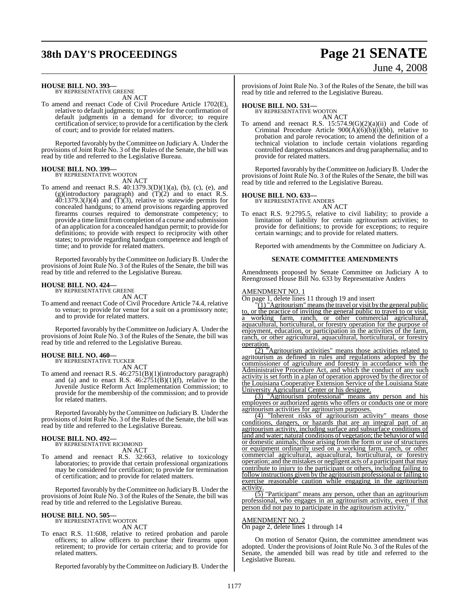# **38th DAY'S PROCEEDINGS Page 21 SENATE**

# June 4, 2008

### **HOUSE BILL NO. 393—** BY REPRESENTATIVE GREENE

AN ACT

To amend and reenact Code of Civil Procedure Article 1702(E), relative to default judgments; to provide for the confirmation of default judgments in a demand for divorce; to require certification of service; to provide for a certification by the clerk of court; and to provide for related matters.

Reported favorably by theCommittee on Judiciary A. Under the provisions of Joint Rule No. 3 of the Rules of the Senate, the bill was read by title and referred to the Legislative Bureau.

#### **HOUSE BILL NO. 399—** BY REPRESENTATIVE WOOTON

AN ACT

To amend and reenact R.S. 40:1379.3(D)(1)(a), (b), (c), (e), and (g)(introductory paragraph) and  $(T)(2)$  and to enact R.S.  $40:1379.3(J)(4)$  and  $(T)(3)$ , relative to statewide permits for concealed handguns; to amend provisions regarding approved firearms courses required to demonstrate competency; to provide a time limit from completion of a course and submission of an application for a concealed handgun permit; to provide for definitions; to provide with respect to reciprocity with other states; to provide regarding handgun competence and length of time; and to provide for related matters.

Reported favorably by theCommittee on JudiciaryB. Under the provisions of Joint Rule No. 3 of the Rules of the Senate, the bill was read by title and referred to the Legislative Bureau.

### **HOUSE BILL NO. 424—** BY REPRESENTATIVE GREENE

AN ACT

To amend and reenact Code of Civil Procedure Article 74.4, relative to venue; to provide for venue for a suit on a promissory note; and to provide for related matters.

Reported favorably by theCommittee on JudiciaryA. Under the provisions of Joint Rule No. 3 of the Rules of the Senate, the bill was read by title and referred to the Legislative Bureau.

#### **HOUSE BILL NO. 460—** BY REPRESENTATIVE TUCKER

AN ACT

To amend and reenact R.S. 46:2751(B)(1)(introductory paragraph) and (a) and to enact R.S.  $46:2751(B)(1)(f)$ , relative to the Juvenile Justice Reform Act Implementation Commission; to provide for the membership of the commission; and to provide for related matters.

Reported favorably by theCommittee on JudiciaryB. Under the provisions of Joint Rule No. 3 of the Rules of the Senate, the bill was read by title and referred to the Legislative Bureau.

#### **HOUSE BILL NO. 492—** BY REPRESENTATIVE RICHMOND

AN ACT

To amend and reenact R.S. 32:663, relative to toxicology laboratories; to provide that certain professional organizations may be considered for certification; to provide for termination of certification; and to provide for related matters.

Reported favorably by theCommittee on JudiciaryB. Under the provisions of Joint Rule No. 3 of the Rules of the Senate, the bill was read by title and referred to the Legislative Bureau.

#### **HOUSE BILL NO. 505—** BY REPRESENTATIVE WOOTON

AN ACT

To enact R.S. 11:608, relative to retired probation and parole officers; to allow officers to purchase their firearms upon retirement; to provide for certain criteria; and to provide for related matters.

Reported favorably by theCommittee on JudiciaryB. Under the

provisions of Joint Rule No. 3 of the Rules of the Senate, the bill was read by title and referred to the Legislative Bureau.

### **HOUSE BILL NO. 531—** BY REPRESENTATIVE WOOTON

AN ACT To amend and reenact R.S.  $15:574.9(G)(2)(a)(ii)$  and Code of Criminal Procedure Article  $900(\text{A})(\text{b})(\text{b})(\text{b})$ , relative to probation and parole revocation; to amend the definition of a technical violation to include certain violations regarding controlled dangerous substances and drug paraphernalia; and to provide for related matters.

Reported favorably by theCommittee on JudiciaryB. Under the provisions of Joint Rule No. 3 of the Rules of the Senate, the bill was read by title and referred to the Legislative Bureau.

### **HOUSE BILL NO. 633—** BY REPRESENTATIVE ANDERS

AN ACT

To enact R.S. 9:2795.5, relative to civil liability; to provide a limitation of liability for certain agritourism activities; to provide for definitions; to provide for exceptions; to require certain warnings; and to provide for related matters.

Reported with amendments by the Committee on Judiciary A.

#### **SENATE COMMITTEE AMENDMENTS**

Amendments proposed by Senate Committee on Judiciary A to Reengrossed House Bill No. 633 by Representative Anders

#### AMEND<u>MENT NO. 1</u>

On page 1, delete lines 11 through 19 and insert

"(1) "Agritourism" means the travel or visit by the general public to, or the practice of inviting the general public to travel to or visit, a working farm, ranch, or other commercial agricultural aquacultural, horticultural, or forestry operation for the purpose of enjoyment, education, or participation in the activities of the farm, ranch, or other agricultural, aquacultural, horticultural, or forestry operation.

(2) "Agritourism activities" means those activities related to agritourism as defined in rules and regulations adopted by the commissioner of agriculture and forestry in accordance with the Administrative Procedure Act, and which the conduct of any such activity is set forth in a plan of operation approved by the director of the Louisiana Cooperative Extension Service of the Louisiana State University Agricultural Center or his designee.

(3) "Agritourism professional" means any person and his employees or authorized agents who offers or conducts one or more agritourism activities for agritourism purposes.

"Inherent risks of agritourism activity" means those conditions, dangers, or hazards that are an integral part of an agritourism activity, including surface and subsurface conditions of land and water; natural conditions of vegetation; the behavior of wild or domestic animals; those arising from the form or use of structures or equipment ordinarily used on a working farm, ranch, or other commercial agricultural, aquacultural, horticultural, or forestry operation; and the mistakes or negligent acts of a participant that may contribute to injury to the participant or others, including failing to follow instructions given by the agritourism professional or failing to exercise reasonable caution while engaging in the agritourism activity

(5) "Participant" means any person, other than an agritourism professional, who engages in an agritourism activity, even if that person did not pay to participate in the agritourism activity."

#### AMENDMENT NO. 2

On page 2, delete lines 1 through 14

On motion of Senator Quinn, the committee amendment was adopted. Under the provisions of Joint Rule No. 3 of the Rules of the Senate, the amended bill was read by title and referred to the Legislative Bureau.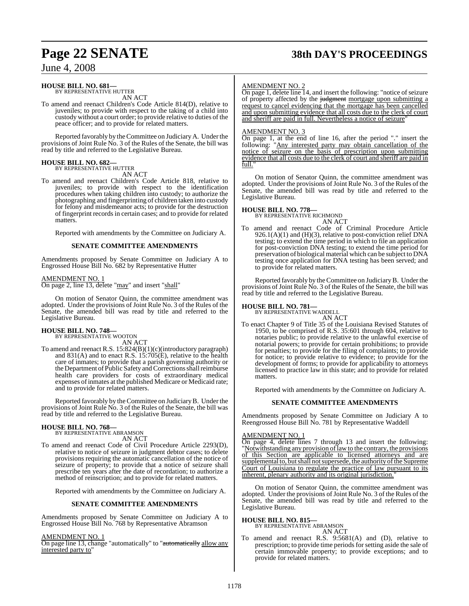# **Page 22 SENATE 38th DAY'S PROCEEDINGS**

### June 4, 2008

### **HOUSE BILL NO. 681—** BY REPRESENTATIVE HUTTER

AN ACT

To amend and reenact Children's Code Article 814(D), relative to juveniles; to provide with respect to the taking of a child into custody without a court order; to provide relative to duties of the peace officer; and to provide for related matters.

Reported favorably by theCommittee on JudiciaryA. Under the provisions ofJoint Rule No. 3 of the Rules of the Senate, the bill was read by title and referred to the Legislative Bureau.

### **HOUSE BILL NO. 682—**

BY REPRESENTATIVE HUTTER AN ACT

To amend and reenact Children's Code Article 818, relative to juveniles; to provide with respect to the identification procedures when taking children into custody; to authorize the photographing and fingerprinting of children taken into custody for felony and misdemeanor acts; to provide for the destruction of fingerprint records in certain cases; and to provide for related matters.

Reported with amendments by the Committee on Judiciary A.

#### **SENATE COMMITTEE AMENDMENTS**

Amendments proposed by Senate Committee on Judiciary A to Engrossed House Bill No. 682 by Representative Hutter

#### AMENDMENT NO. 1

On page 2, line 13, delete "may" and insert "shall"

On motion of Senator Quinn, the committee amendment was adopted. Under the provisions of Joint Rule No. 3 of the Rules of the Senate, the amended bill was read by title and referred to the Legislative Bureau.

# **HOUSE BILL NO. 748—** BY REPRESENTATIVE WOOTON

AN ACT To amend and reenact R.S. 15:824(B)(1)(c)(introductory paragraph) and 831(A) and to enact R.S. 15:705(E), relative to the health care of inmates; to provide that a parish governing authority or the Department of Public Safety and Corrections shall reimburse health care providers for costs of extraordinary medical expenses ofinmates at the published Medicare or Medicaid rate; and to provide for related matters.

Reported favorably by theCommittee on JudiciaryB. Under the provisions of Joint Rule No. 3 of the Rules of the Senate, the bill was read by title and referred to the Legislative Bureau.

### **HOUSE BILL NO. 768—** BY REPRESENTATIVE ABRAMSON

AN ACT

To amend and reenact Code of Civil Procedure Article 2293(D), relative to notice of seizure in judgment debtor cases; to delete provisions requiring the automatic cancellation of the notice of seizure of property; to provide that a notice of seizure shall prescribe ten years after the date of recordation; to authorize a method of reinscription; and to provide for related matters.

Reported with amendments by the Committee on Judiciary A.

#### **SENATE COMMITTEE AMENDMENTS**

Amendments proposed by Senate Committee on Judiciary A to Engrossed House Bill No. 768 by Representative Abramson

#### AMENDMENT NO. 1

On page line 13, change "automatically" to "automatically allow any interested party to"

#### AMENDMENT NO. 2

On page 1, delete line  $\overline{14}$ , and insert the following: "notice of seizure of property affected by the judgment mortgage upon submitting a request to cancel evidencing that the mortgage has been cancelled and upon submitting evidence that all costs due to the clerk of court and sheriff are paid in full. Nevertheless a notice of seizure"

#### AMENDMENT NO. 3

On page 1, at the end of line 16, after the period "." insert the following: "Any interested party may obtain cancellation of the notice of seizure on the basis of prescription upon submitting evidence that all costs due to the clerk of court and sheriff are paid in full.

On motion of Senator Quinn, the committee amendment was adopted. Under the provisions of Joint Rule No. 3 of the Rules of the Senate, the amended bill was read by title and referred to the Legislative Bureau.

#### **HOUSE BILL NO. 778—**

BY REPRESENTATIVE RICHMOND AN ACT

To amend and reenact Code of Criminal Procedure Article 926.1(A)(1) and  $(H)(3)$ , relative to post-conviction relief DNA testing; to extend the time period in which to file an application for post-conviction DNA testing; to extend the time period for preservation of biological material which can be subject to DNA testing once application for DNA testing has been served; and to provide for related matters.

Reported favorably by the Committee on Judiciary B. Under the provisions ofJoint Rule No. 3 of the Rules of the Senate, the bill was read by title and referred to the Legislative Bureau.

#### **HOUSE BILL NO. 781—**

BY REPRESENTATIVE WADDELL AN ACT

To enact Chapter 9 of Title 35 of the Louisiana Revised Statutes of 1950, to be comprised of R.S. 35:601 through 604, relative to notaries public; to provide relative to the unlawful exercise of notarial powers; to provide for certain prohibitions; to provide for penalties; to provide for the filing of complaints; to provide for notice; to provide relative to evidence; to provide for the development of forms; to provide for applicability to attorneys licensed to practice law in this state; and to provide for related matters.

Reported with amendments by the Committee on Judiciary A.

#### **SENATE COMMITTEE AMENDMENTS**

Amendments proposed by Senate Committee on Judiciary A to Reengrossed House Bill No. 781 by Representative Waddell

#### AMENDMENT NO. 1

On page 4, delete lines 7 through 13 and insert the following: "Notwithstanding any provision of law to the contrary, the provisions of this Section are applicable to licensed attorneys and are supplemental to, but shall not supersede, the authority of the Supreme Court of Louisiana to regulate the practice of law pursuant to its inherent, plenary authority and its original jurisdiction.

On motion of Senator Quinn, the committee amendment was adopted. Under the provisions of Joint Rule No. 3 of the Rules of the Senate, the amended bill was read by title and referred to the Legislative Bureau.

### **HOUSE BILL NO. 815—** BY REPRESENTATIVE ABRAMSON

- AN ACT
- To amend and reenact R.S. 9:5681(A) and (D), relative to prescription; to provide time periods for setting aside the sale of certain immovable property; to provide exceptions; and to provide for related matters.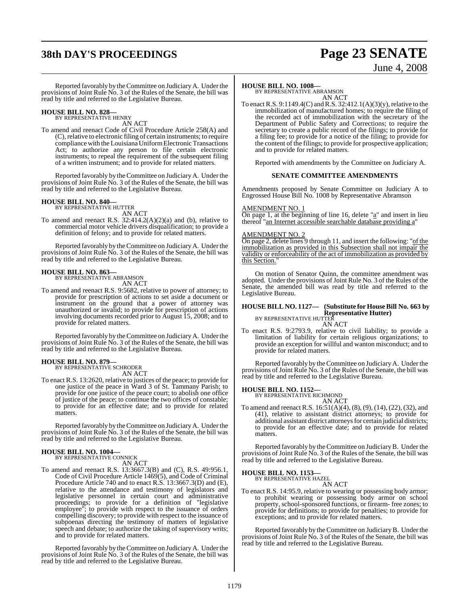# **38th DAY'S PROCEEDINGS Page 23 SENATE**

# June 4, 2008

Reported favorably by theCommittee on JudiciaryA. Under the provisions of Joint Rule No. 3 of the Rules of the Senate, the bill was read by title and referred to the Legislative Bureau.

### **HOUSE BILL NO. 828—** BY REPRESENTATIVE HENRY

AN ACT

To amend and reenact Code of Civil Procedure Article 258(A) and (C), relative to electronic filing of certain instruments; to require compliance with the Louisiana Uniform Electronic Transactions Act; to authorize any person to file certain electronic instruments; to repeal the requirement of the subsequent filing of a written instrument; and to provide for related matters.

Reported favorably by theCommittee on JudiciaryA. Under the provisions of Joint Rule No. 3 of the Rules of the Senate, the bill was read by title and referred to the Legislative Bureau.

### **HOUSE BILL NO. 840—** BY REPRESENTATIVE HUTTER

AN ACT

To amend and reenact R.S. 32:414.2(A)(2)(a) and (b), relative to commercial motor vehicle drivers disqualification; to provide a definition of felony; and to provide for related matters.

Reported favorably by theCommittee on JudiciaryA. Under the provisions of Joint Rule No. 3 of the Rules of the Senate, the bill was read by title and referred to the Legislative Bureau.

#### **HOUSE BILL NO. 863—**

BY REPRESENTATIVE ABRAMSON AN ACT

To amend and reenact R.S. 9:5682, relative to power of attorney; to provide for prescription of actions to set aside a document or instrument on the ground that a power of attorney was unauthorized or invalid; to provide for prescription of actions involving documents recorded prior to August 15, 2008; and to provide for related matters.

Reported favorably by theCommittee on JudiciaryA. Under the provisions of Joint Rule No. 3 of the Rules of the Senate, the bill was read by title and referred to the Legislative Bureau.

### **HOUSE BILL NO. 879—** BY REPRESENTATIVE SCHRODER

AN ACT

To enact R.S. 13:2620, relative to justices of the peace; to provide for one justice of the peace in Ward 3 of St. Tammany Parish; to provide for one justice of the peace court; to abolish one office of justice of the peace; to continue the two offices of constable; to provide for an effective date; and to provide for related matters.

Reported favorably by theCommittee on JudiciaryA. Under the provisions of Joint Rule No. 3 of the Rules of the Senate, the bill was read by title and referred to the Legislative Bureau.

#### **HOUSE BILL NO. 1004—** BY REPRESENTATIVE CONNICK

AN ACT

To amend and reenact R.S. 13:3667.3(B) and (C), R.S. 49:956.1, Code of Civil Procedure Article 1469(5), and Code of Criminal Procedure Article 740 and to enact R.S. 13:3667.3(D) and (E), relative to the attendance and testimony of legislators and legislative personnel in certain court and administrative proceedings; to provide for a definition of "legislative employee"; to provide with respect to the issuance of orders compelling discovery; to provide with respect to the issuance of subpoenas directing the testimony of matters of legislative speech and debate; to authorize the taking of supervisory writs; and to provide for related matters.

Reported favorably by the Committee on Judiciary A. Under the provisions of Joint Rule No. 3 of the Rules of the Senate, the bill was read by title and referred to the Legislative Bureau.

#### **HOUSE BILL NO. 1008—**

BY REPRESENTATIVE ABRAMSON AN ACT

To enact R.S. 9:1149.4(C) andR.S. 32:412.1(A)(3)(y), relative to the immobilization of manufactured homes; to require the filing of the recorded act of immobilization with the secretary of the Department of Public Safety and Corrections; to require the secretary to create a public record of the filings; to provide for a filing fee; to provide for a notice of the filing; to provide for the content of the filings; to provide for prospective application; and to provide for related matters.

Reported with amendments by the Committee on Judiciary A.

#### **SENATE COMMITTEE AMENDMENTS**

Amendments proposed by Senate Committee on Judiciary A to Engrossed House Bill No. 1008 by Representative Abramson

#### AMENDMENT NO. 1

On page 1, at the beginning of line 16, delete " $a$ " and insert in lieu thereof "an Internet accessible searchable database providing a"

#### AMENDMENT NO. 2

On page 2, delete lines 9 through 11, and insert the following: "of the immobilization as provided in this Subsection shall not impair the validity or enforceability of the act of immobilization as provided by this Section."

On motion of Senator Quinn, the committee amendment was adopted. Under the provisions of Joint Rule No. 3 of the Rules of the Senate, the amended bill was read by title and referred to the Legislative Bureau.

### **HOUSE BILL NO. 1127— (Substitute for HouseBill No. 663 by Representative Hutter)** BY REPRESENTATIVE HUTTER

AN ACT

To enact R.S. 9:2793.9, relative to civil liability; to provide a limitation of liability for certain religious organizations; to provide an exception for willful and wanton misconduct; and to provide for related matters.

Reported favorably by theCommittee on JudiciaryA. Under the provisions of Joint Rule No. 3 of the Rules of the Senate, the bill was read by title and referred to the Legislative Bureau.

#### **HOUSE BILL NO. 1152—**

BY REPRESENTATIVE RICHMOND AN ACT

To amend and reenact R.S. 16:51(A)(4), (8), (9), (14), (22), (32), and (41), relative to assistant district attorneys; to provide for additional assistant district attorneys for certain judicial districts; to provide for an effective date; and to provide for related matters.

Reported favorably by the Committee on Judiciary B. Under the provisions of Joint Rule No. 3 of the Rules of the Senate, the bill was read by title and referred to the Legislative Bureau.

#### **HOUSE BILL NO. 1153—**

BY REPRESENTATIVE HAZEL AN ACT

To enact R.S. 14:95.9, relative to wearing or possessing body armor; to prohibit wearing or possessing body armor on school property, school-sponsored functions, or firearm- free zones; to provide for definitions; to provide for penalties; to provide for exceptions; and to provide for related matters.

Reported favorably by the Committee on JudiciaryB. Under the provisions of Joint Rule No. 3 of the Rules of the Senate, the bill was read by title and referred to the Legislative Bureau.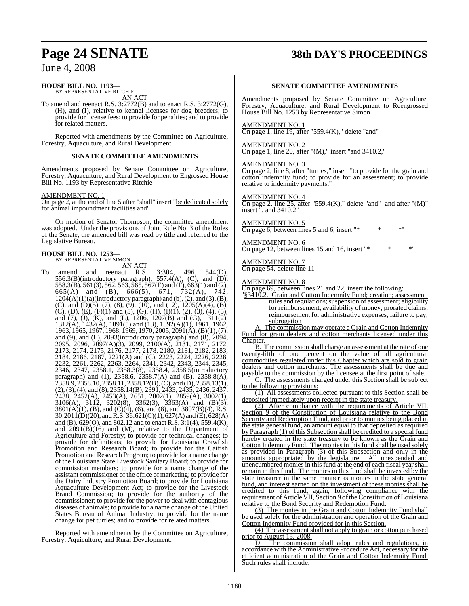### **Page 24 SENATE 38th DAY'S PROCEEDINGS**

### June 4, 2008

### **HOUSE BILL NO. 1193—** BY REPRESENTATIVE RITCHIE

AN ACT

To amend and reenact R.S. 3:2772(B) and to enact R.S. 3:2772(G), (H), and (I), relative to kennel licenses for dog breeders; to provide for license fees; to provide for penalties; and to provide for related matters.

Reported with amendments by the Committee on Agriculture, Forestry, Aquaculture, and Rural Development.

#### **SENATE COMMITTEE AMENDMENTS**

Amendments proposed by Senate Committee on Agriculture, Forestry, Aquaculture, and Rural Development to Engrossed House Bill No. 1193 by Representative Ritchie

AMENDMENT NO. 1

On page 2, at the end of line 5 after "shall" insert "be dedicated solely for animal impoundment facilities and"

On motion of Senator Thompson, the committee amendment was adopted. Under the provisions of Joint Rule No. 3 of the Rules of the Senate, the amended bill was read by title and referred to the Legislative Bureau.

#### **HOUSE BILL NO. 1253—** BY REPRESENTATIVE SIMON

AN ACT<br>reenact R.S. To amend and reenact R.S. 3:304, 496, 544(D), 556.3(B)(introductory paragraph), 557.4(A), (C), and (D), 558.3(B), 561(3), 562, 563, 565, 567(E) and (F), 663(1) and (2), 665(A) and (B), 666(5), 671, 732(A), 742,  $1204(A)(1)(a)(\text{introduction}y\text{ paragraph})$  and  $(b), (2),$  and  $(3), (B),$ (C), and (D)(5), (7), (8), (9), (10), and (12),  $1205(A)(4)$ , (B), (C), (D), (E), (F)(1) and (5), (G), (H), (I)(1), (2), (3), (4), (5), and (7), (J), (K), and (L), 1206, 1207(B) and (G), 1311(2),  $1312(A), 1432(A), 1891(5)$  and (13),  $1892(A)(1), 1961, 1962$ , 1963, 1965, 1967, 1968, 1969, 1970, 2005, 2091(A), (B)(1), (7), and (9), and (L), 2093(introductory paragraph) and (8), 2094, 2095, 2096, 2097(A)(3), 2099, 2100(A), 2131, 2171, 2172, 2173, 2174, 2175, 2176, 2177, 2178, 2180, 2181, 2182, 2183, 2184, 2186, 2187, 2221(A) and (C), 2223, 2224, 2226, 2228, 2232, 2261, 2262, 2263, 2264, 2341, 2342, 2343, 2344, 2345, 2346, 2347, 2358.1, 2358.3(8), 2358.4, 2358.5(introductory paragraph) and (1), 2358.6, 2358.7(A) and (B), 2358.8(A), 2358.9, 2358.10, 2358.11, 2358.12(B), (C), and (D), 2358.13(1), (2),(3),(4), and (8), 2358.14(B), 2391, 2433, 2435, 2436, 2437, 2438, 2452(A), 2453(A), 2651, 2802(1), 2859(A), 3002(1), 3106(A), 3112, 3202(8), 3362(3), 3363(A) and (B)(3),  $3801(A)(1)$ , (B), and (C)(4), (6), and (8), and 3807(B)(4), R.S. 30:2011(D)(20), andR.S. 36:621(C)(1), 627(A) and (E), 628(A) and (B), 629(O), and 802.12 and to enact R.S. 3:1(4), 559.4(K), and  $2091(B)(16)$  and  $(M)$ , relative to the Department of Agriculture and Forestry; to provide for technical changes; to provide for definitions; to provide for Louisiana Crawfish Promotion and Research Board; to provide for the Catfish Promotion and Research Program; to provide for a name change of the Louisiana State Livestock Sanitary Board; to provide for commission members; to provide for a name change of the assistant commissioner of the office of marketing; to provide for the Dairy Industry Promotion Board; to provide for Louisiana Aquaculture Development Act; to provide for the Livestock Brand Commission; to provide for the authority of the commissioner; to provide for the power to deal with contagious diseases of animals; to provide for a name change of the United States Bureau of Animal Industry; to provide for the name change for pet turtles; and to provide for related matters.

Reported with amendments by the Committee on Agriculture, Forestry, Aquiculture, and Rural Development.

#### **SENATE COMMITTEE AMENDMENTS**

Amendments proposed by Senate Committee on Agriculture, Forestry, Aquaculture, and Rural Development to Reengrossed House Bill No. 1253 by Representative Simon

#### AMENDMENT NO. 1

On page 1, line 19, after "559.4 $(K)$ ," delete "and"

#### AMENDMENT NO. 2

On page 1, line 20, after "(M)," insert "and 3410.2,"

#### AMENDMENT NO. 3

On page 2, line 8, after "turtles;" insert "to provide for the grain and cotton indemnity fund; to provide for an assessment; to provide relative to indemnity payments;"

#### AMENDMENT NO. 4

On page 2, line 25, after "559.4 $(K)$ ," delete "and" and after " $(M)$ " insert ", and 3410.2"

#### AMENDMENT NO. 5

On page 6, between lines 5 and 6, insert " $*$ 

#### AMENDMENT NO. 6

On page 12, between lines 15 and 16, insert " $*$ 

AMENDMENT NO. 7 On page 54, delete line 11

#### AMENDMENT NO. 8

On page 69, between lines 21 and 22, insert the following:

"§3410.2. Grain and Cotton Indemnity Fund; creation; assessment; rules and regulations; suspension of assessment; eligibility for reimbursement; availability of money; prorated claims; reimbursement for administrative expenses; failure to pay; subrogation

A. The commission may operate a Grain and Cotton Indemnity Fund for grain dealers and cotton merchants licensed under this Chapter.

B. The commission shall charge an assessment at the rate of one twenty-fifth of one percent on the value of all agricultural commodities regulated under this Chapter which are sold to grain dealers and cotton merchants. The assessments shall be due and payable to the commission by the licensee at the first point of sale.

The assessments charged under this Section shall be subject to the following provisions:

(1) All assessments collected pursuant to this Section shall be deposited immediately upon receipt in the state treasury.

(2) After compliance with the requirements of Article VII, Section 9 of the Constitution of Louisiana relative to the Bond Security and Redemption Fund, and prior to monies being placed in the state general fund, an amount equal to that deposited as required by Paragraph (1) of this Subsection shall be credited to a special fund hereby created in the state treasury to be known as the Grain and Cotton Indemnity Fund. The monies in this fund shall be used solely as provided in Paragraph (3) of this Subsection and only in the amounts appropriated by the legislature. All unexpended and unencumbered monies in this fund at the end of each fiscal yearshall remain in this fund. The monies in this fund shall be invested by the state treasurer in the same manner as monies in the state general fund, and interest earned on the investment of these monies shall be credited to this fund, again, following compliance with the requirement of Article VII, Section 9 of the Constitution of Louisiana relative to the Bond Security and Redemption Fund.

(3) The monies in the Grain and Cotton Indemnity Fund shall be used solely for the administration and operation of the Grain and Cotton Indemnity Fund provided for in this Section.

(4) The assessment shall not apply to grain or cotton purchased prior to August 15, 2008.

D. The commission shall adopt rules and regulations, in accordance with the Administrative Procedure Act, necessary for the efficient administration of the Grain and Cotton Indemnity Fund. Such rules shall include: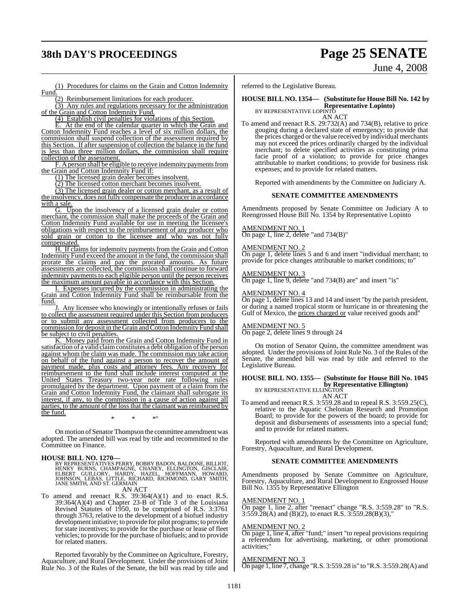# **38th DAY'S PROCEEDINGS Page 25 SENATE**

June 4, 2008

(1) Procedures for claims on the Grain and Cotton Indemnity Fund.

(2) Reimbursement limitations for each producer.

(3) Any rules and regulations necessary for the administration of the Grain and Cotton Indemnity Fund.

(4) Establish civil penalties for violations of this Section.

E. At the end of the calendar quarter in which the Grain and Cotton Indemnity Fund reaches a level of six million dollars, the commission shall suspend collection of the assessment required by this Section. If after suspension of collection the balance in the fund is less than three million dollars, the commission shall require collection of the assessment.

F. A person shall be eligible to receive indemnity payments from the Grain and Cotton Indemnity Fund if:

(1) The licensed grain dealer becomes insolvent.

(2) The licensed cotton merchant becomes insolvent.

(3) The licensed grain dealer or cotton merchant, as a result of the insolvency, does not fully compensate the producer in accordance with a sale.

G. Upon the insolvency of a licensed grain dealer or cotton merchant, the commission shall make the proceeds of the Grain and Cotton Indemnity Fund available for use in meeting the licensee's obligations with respect to the reimbursement of any producer who sold grain or cotton to the licensee and who was not fully compensated.

H. If claims for indemnity payments from the Grain and Cotton Indemnity Fund exceed the amount in the fund, the commission shall prorate the claims and pay the prorated amounts. As future assessments are collected, the commission shall continue to forward indemnity payments to each eligible person until the person receives the maximum amount payable in accordance with this Section.

I. Expenses incurred by the commission in administrating the Grain and Cotton Indemnity Fund shall be reimbursable from the fund.

Any licensee who knowingly or intentionally refuses or fails to collect the assessment required under this Section from producers or to submit any assessment collected from producers to the commission for deposit in the Grain and Cotton Indemnity Fund shall be subject to civil penalties.

K. Money paid from the Grain and Cotton Indemnity Fund in satisfaction of a valid claim constitutes a debt obligation of the person against whom the claim was made. The commission may take action on behalf of the fund against a person to recover the amount of payment made, plus costs and attorney fees. Any recovery for reimbursement to the fund shall include interest computed at the United States Treasury two-year note rate following rules promulgated by the department. Upon payment of a claim from the Grain and Cotton Indemnity Fund, the claimant shall subrogate its interest, if any, to the commission in a cause of action against all parties, to the amount of the loss that the claimant was reimbursed by the fund.

\* \* \*"

On motion of Senator Thompson the committee amendment was adopted. The amended bill was read by title and recommitted to the Committee on Finance.

#### **HOUSE BILL NO. 1270—**

BY REPRESENTATIVES PERRY, BOBBY BADON, BALDONE, BILLIOT,<br>HENRY BURNS, CHAMPAGNE, CHANEY, ELLINGTON, GISCLAIR,<br>ELBERT GUILLORY, HARDY, HAZEL, HOFFMANN, HOWARD,<br>JOHNSON, LEBAS, LITTLE, RICHARD, RICHMOND, GARY SMITH,<br>JANE SMI

AN ACT

To amend and reenact R.S.  $39:364(A)(1)$  and to enact R.S. 39:364(A)(4) and Chapter 23-B of Title 3 of the Louisiana Revised Statutes of 1950, to be comprised of R.S. 3:3761 through 3763, relative to the development of a biofuel industry development initiative; to provide for pilot programs; to provide for state incentives; to provide for the purchase or lease of fleet vehicles; to provide for the purchase of biofuels; and to provide for related matters.

Reported favorably by the Committee on Agriculture, Forestry, Aquaculture, and Rural Development. Under the provisions of Joint Rule No. 3 of the Rules of the Senate, the bill was read by title and referred to the Legislative Bureau.

### **HOUSE BILL NO. 1354— (Substitute for HouseBill No. 142 by Representative Lopinto)** BY REPRESENTATIVE LOPINTO

AN ACT

To amend and reenact R.S. 29:732(A) and 734(B), relative to price gouging during a declared state of emergency; to provide that the prices charged or the value received by individual merchants may not exceed the prices ordinarily charged by the individual merchant; to delete specified activities as constituting prima facie proof of a violation; to provide for price changes attributable to market conditions; to provide for business risk expenses; and to provide for related matters.

Reported with amendments by the Committee on Judiciary A.

#### **SENATE COMMITTEE AMENDMENTS**

Amendments proposed by Senate Committee on Judiciary A to Reengrossed House Bill No. 1354 by Representative Lopinto

#### AMENDMENT NO. 1

On page 1, line 2, delete "and 734(B)"

#### AMENDMENT NO. 2

On page 1, delete lines 5 and 6 and insert "individual merchant; to provide for price changes attributable to market conditions; to"

#### AMENDMENT NO. 3

On page 1, line 9, delete "and 734(B) are" and insert "is"

#### AMENDMENT NO. 4

On page 1, delete lines 13 and 14 and insert "by the parish president, or during a named tropical storm or hurricane in or threatening the Gulf of Mexico, the prices charged or value received goods and"

#### AMENDMENT NO. 5

On page 2, delete lines 9 through 24

On motion of Senator Quinn, the committee amendment was adopted. Under the provisions of Joint Rule No. 3 of the Rules of the Senate, the amended bill was read by title and referred to the Legislative Bureau.

### **HOUSE BILL NO. 1355— (Substitute for House Bill No. 1045 by Representative Ellington)**<br>BY REPRESENTATIVE ELLINGTON

AN ACT

To amend and reenact R.S. 3:559.28 and to repeal R.S. 3:559.25(C), relative to the Aquatic Chelonian Research and Promotion Board; to provide for the powers of the board; to provide for deposit and disbursements of assessments into a special fund; and to provide for related matters.

Reported with amendments by the Committee on Agriculture, Forestry, Aquaculture, and Rural Development.

#### **SENATE COMMITTEE AMENDMENTS**

Amendments proposed by Senate Committee on Agriculture, Forestry, Aquaculture, and Rural Development to Engrossed House Bill No. 1355 by Representative Ellington

#### AMENDMENT NO. 1

On page 1, line 2, after "reenact" change "R.S. 3:559.28" to "R.S. 3:559.28(A) and (B)(2), to enact R.S. 3:559.28(B)(3),"

#### AMENDMENT NO. 2

On page 1, line 4, after "fund;" insert "to repeal provisions requiring a referendum for advertising, marketing, or other promotional activities;"

#### AMENDMENT NO. 3

On page 1, line 7, change "R.S. 3:559.28 is" to "R.S. 3:559.28(A) and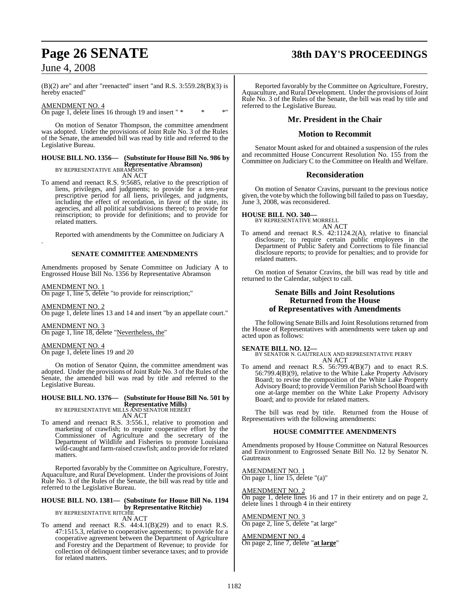$(B)(2)$  are" and after "reenacted" insert "and R.S. 3:559.28 $(B)(3)$  is hereby enacted"

AMENDMENT NO. 4 On page 1, delete lines 16 through 19 and insert " \* \* \* \* \* \*

On motion of Senator Thompson, the committee amendment was adopted. Under the provisions of Joint Rule No. 3 of the Rules of the Senate, the amended bill was read by title and referred to the Legislative Bureau.

#### **HOUSE BILL NO. 1356— (Substitute for HouseBill No. 986 by Representative Abramson)** BY REPRESENTATIVE ABRAMSON

AN ACT

To amend and reenact R.S. 9:5685, relative to the prescription of liens, privileges, and judgments; to provide for a ten-year prescriptive period for all liens, privileges, and judgments, including the effect of recordation, in favor of the state, its agencies, and all political subdivisions thereof; to provide for reinscription; to provide for definitions; and to provide for related matters.

Reported with amendments by the Committee on Judiciary A

#### **SENATE COMMITTEE AMENDMENTS**

Amendments proposed by Senate Committee on Judiciary A to Engrossed House Bill No. 1356 by Representative Abramson

AMENDMENT NO. 1

.

On page 1, line 5, delete "to provide for reinscription;"

AMENDMENT NO. 2 On page 1, delete lines 13 and 14 and insert "by an appellate court."

AMENDMENT NO. 3 On page 1, line 18, delete "Nevertheless, the"

#### AMENDMENT NO. 4

On page 1, delete lines 19 and 20

On motion of Senator Quinn, the committee amendment was adopted. Under the provisions of Joint Rule No. 3 of the Rules of the Senate, the amended bill was read by title and referred to the Legislative Bureau.

### **HOUSE BILL NO. 1376— (Substitute for HouseBill No. 501 by Representative Mills)** BY REPRESENTATIVE MILLS AND SENATOR HEBERT

AN ACT

To amend and reenact R.S. 3:556.1, relative to promotion and marketing of crawfish; to require cooperative effort by the Commissioner of Agriculture and the secretary of the Department of Wildlife and Fisheries to promote Louisiana wild-caught and farm-raised crawfish; and to provide for related matters.

Reported favorably by the Committee on Agriculture, Forestry, Aquaculture, and Rural Development. Under the provisions of Joint Rule No. 3 of the Rules of the Senate, the bill was read by title and referred to the Legislative Bureau.

#### **HOUSE BILL NO. 1381— (Substitute for House Bill No. 1194 by Representative Ritchie)** BY REPRESENTATIVE RITCHIE

AN ACT

To amend and reenact R.S. 44:4.1(B)(29) and to enact R.S. 47:1515.3, relative to cooperative agreements; to provide for a cooperative agreement between the Department of Agriculture and Forestry and the Department of Revenue; to provide for collection of delinquent timber severance taxes; and to provide for related matters.

## **Page 26 SENATE 38th DAY'S PROCEEDINGS**

Reported favorably by the Committee on Agriculture, Forestry, Aquaculture, and Rural Development. Under the provisions of Joint Rule No. 3 of the Rules of the Senate, the bill was read by title and referred to the Legislative Bureau.

#### **Mr. President in the Chair**

#### **Motion to Recommit**

Senator Mount asked for and obtained a suspension of the rules and recommitted House Concurrent Resolution No. 155 from the Committee on Judiciary C to the Committee on Health and Welfare.

#### **Reconsideration**

On motion of Senator Cravins, pursuant to the previous notice given, the vote by which the following bill failed to pass on Tuesday, June 3, 2008, was reconsidered.

# **HOUSE BILL NO. 340—** BY REPRESENTATIVE MORRELL

AN ACT

To amend and reenact R.S. 42:1124.2(A), relative to financial disclosure; to require certain public employees in the Department of Public Safety and Corrections to file financial disclosure reports; to provide for penalties; and to provide for related matters.

On motion of Senator Cravins, the bill was read by title and returned to the Calendar, subject to call.

#### **Senate Bills and Joint Resolutions Returned from the House of Representatives with Amendments**

The following Senate Bills and Joint Resolutions returned from the House of Representatives with amendments were taken up and acted upon as follows:

**SENATE BILL NO. 12—** BY SENATOR N. GAUTREAUX AND REPRESENTATIVE PERRY AN ACT

To amend and reenact R.S. 56:799.4(B)(7) and to enact R.S. 56:799.4(B)(9), relative to the White Lake Property Advisory Board; to revise the composition of the White Lake Property Advisory Board; to provide Vermilion Parish School Board with one at-large member on the White Lake Property Advisory Board; and to provide for related matters.

The bill was read by title. Returned from the House of Representatives with the following amendments:

#### **HOUSE COMMITTEE AMENDMENTS**

Amendments proposed by House Committee on Natural Resources and Environment to Engrossed Senate Bill No. 12 by Senator N. **Gautreaux** 

AMENDMENT NO. 1 On page 1, line 15, delete "(a)"

AMENDMENT NO. 2

On page 1, delete lines 16 and 17 in their entirety and on page 2, delete lines 1 through 4 in their entirety

AMENDMENT NO. 3 On page 2, line 5, delete "at large"

#### AMENDMENT NO. 4 On page 2, line 7, delete "**at large**"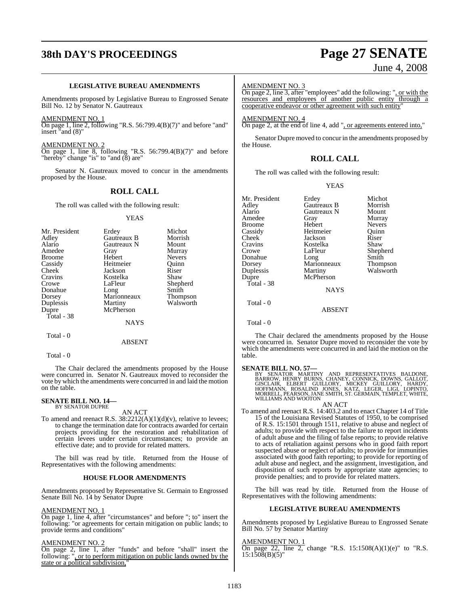# **38th DAY'S PROCEEDINGS Page 27 SENATE**

### June 4, 2008

#### **LEGISLATIVE BUREAU AMENDMENTS**

Amendments proposed by Legislative Bureau to Engrossed Senate Bill No. 12 by Senator N. Gautreaux

AMENDMENT NO. 1

On page 1, line 2, following "R.S. 56:799.4(B)(7)" and before "and" insert "and (8)"

AMENDMENT NO. 2 On page 1, line 8, following "R.S. 56:799.4(B)(7)" and before

"hereby" change "is" to "and (8) are"

Senator N. Gautreaux moved to concur in the amendments proposed by the House.

### **ROLL CALL**

The roll was called with the following result:

#### YEAS

| Mr. President | Erdey       | Michot          |
|---------------|-------------|-----------------|
| Adley         | Gautreaux B | Morrish         |
| Alario        | Gautreaux N | Mount           |
| Amedee        | Gray        | Murray          |
| <b>Broome</b> | Hebert      | <b>Nevers</b>   |
| Cassidy       | Heitmeier   | Ouinn           |
| Cheek         | Jackson     | Riser           |
| Cravins       | Kostelka    | Shaw            |
| Crowe         | LaFleur     | Shepherd        |
| Donahue       | Long        | Smith           |
| Dorsey        | Marionneaux | <b>Thompson</b> |
| Duplessis     | Martiny     | Walsworth       |
| Dupre         | McPherson   |                 |
| Total - 38    |             |                 |
|               | NAYS        |                 |

Total - 0

#### ABSENT

Total - 0

The Chair declared the amendments proposed by the House were concurred in. Senator N. Gautreaux moved to reconsider the vote by which the amendments were concurred in and laid the motion on the table.

# **SENATE BILL NO. 14—** BY SENATOR DUPRE

AN ACT

To amend and reenact R.S.  $38:2212(A)(1)(d)(v)$ , relative to levees; to change the termination date for contracts awarded for certain projects providing for the restoration and rehabilitation of certain levees under certain circumstances; to provide an effective date; and to provide for related matters.

The bill was read by title. Returned from the House of Representatives with the following amendments:

#### **HOUSE FLOOR AMENDMENTS**

Amendments proposed by Representative St. Germain to Engrossed Senate Bill No. 14 by Senator Dupre

#### AMENDMENT NO. 1

On page 1, line 4, after "circumstances" and before "; to" insert the following: "or agreements for certain mitigation on public lands; to provide terms and conditions"

#### AMENDMENT NO. 2

On page 2, line 1, after "funds" and before "shall" insert the following: ", or to perform mitigation on public lands owned by the state or a political subdivision,

#### AMENDMENT NO. 3

On page 2, line 3, after "employees" add the following: ", or with the resources and employees of another public entity through a cooperative endeavor or other agreement with such entity"

AMENDMENT NO. 4 On page 2, at the end of line 4, add ", or agreements entered into,"

Senator Dupre moved to concur in the amendments proposed by the House.

### **ROLL CALL**

The roll was called with the following result:

#### YEAS

| Mr. President | Erdey         | Michot          |
|---------------|---------------|-----------------|
| Adley         | Gautreaux B   | Morrish         |
| Alario        | Gautreaux N   | Mount           |
| Amedee        | Gray          | Murray          |
| Broome        | Hebert        | <b>Nevers</b>   |
| Cassidy       | Heitmeier     | Ouinn           |
| Cheek         | Jackson       | Riser           |
| Cravins       | Kostelka      | Shaw            |
| Crowe         | LaFleur       | Shepherd        |
| Donahue       | Long          | Smith           |
| Dorsey        | Marionneaux   | <b>Thompson</b> |
| Duplessis     | Martiny       | Walsworth       |
| Dupre         | McPherson     |                 |
| Total - 38    |               |                 |
|               | <b>NAYS</b>   |                 |
| Total - 0     |               |                 |
|               | <b>ABSENT</b> |                 |

Total - 0

The Chair declared the amendments proposed by the House were concurred in. Senator Dupre moved to reconsider the vote by which the amendments were concurred in and laid the motion on the table.

#### **SENATE BILL NO. 57—**

BY SENATOR MARTINY AND REPRESENTATIVES BALDONE,<br>BARROW, HENRY BURNS, CHANEY, CONNICK, DOWNS, GALLOT,<br>GISCLAIR, ELBERT GUILLORY, MICKEY GUILLORY, HARDY,<br>HOFFMANN, ROSALIND JONES, KATZ, LEGER, LIGI, LOPINTO,<br>MORRELL,PEARSON, WILLIAMS AND WOOTON

AN ACT To amend and reenact R.S. 14:403.2 and to enact Chapter 14 of Title 15 of the Louisiana Revised Statutes of 1950, to be comprised of R.S. 15:1501 through 1511, relative to abuse and neglect of adults; to provide with respect to the failure to report incidents of adult abuse and the filing of false reports; to provide relative to acts of retaliation against persons who in good faith report suspected abuse or neglect of adults; to provide for immunities associated with good faith reporting; to provide for reporting of adult abuse and neglect, and the assignment, investigation, and

disposition of such reports by appropriate state agencies; to provide penalties; and to provide for related matters.

The bill was read by title. Returned from the House of Representatives with the following amendments:

#### **LEGISLATIVE BUREAU AMENDMENTS**

Amendments proposed by Legislative Bureau to Engrossed Senate Bill No. 57 by Senator Martiny

#### AMENDMENT NO. 1

On page 22, line 2, change "R.S.  $15:1508(A)(1)(e)$ " to "R.S.  $15:1508(B)(5)$ "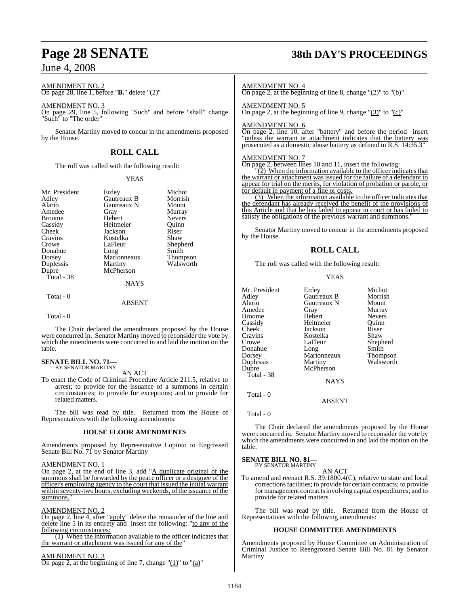AMENDMENT NO. 2 On page 28, line 1, before "**B.**" delete "(2)"

AMENDMENT NO. 3 On page 29, line 5, following "Such" and before "shall" change "Such" to "The order"

Senator Martiny moved to concur in the amendments proposed by the House.

### **ROLL CALL**

The roll was called with the following result:

#### YEAS

| Mr. President | Erdey       | Michot          |
|---------------|-------------|-----------------|
| Adley         | Gautreaux B | Morrish         |
| Alario        | Gautreaux N | Mount           |
| Amedee        | Gray        | Murray          |
| <b>Broome</b> | Hebert      | <b>Nevers</b>   |
|               | Heitmeier   |                 |
| Cassidy       |             | Ouinn           |
| Cheek         | Jackson     | Riser           |
| Cravins       | Kostelka    | Shaw            |
| Crowe         | LaFleur     | Shepherd        |
| Donahue       | Long        | Smith           |
| Dorsey        | Marionneaux | <b>Thompson</b> |
| Duplessis     | Martiny     | Walsworth       |
| Dupre         | McPherson   |                 |
| Total - 38    |             |                 |
|               | <b>NAYS</b> |                 |
| Total - 0     |             |                 |
|               | ABSENT      |                 |

#### $Total = 0$

The Chair declared the amendments proposed by the House were concurred in. Senator Martiny moved to reconsider the vote by which the amendments were concurred in and laid the motion on the table.

#### **SENATE BILL NO. 71—** BY SENATOR MARTINY

AN ACT

To enact the Code of Criminal Procedure Article 211.5, relative to arrest; to provide for the issuance of a summons in certain circumstances; to provide for exceptions; and to provide for related matters.

The bill was read by title. Returned from the House of Representatives with the following amendments:

#### **HOUSE FLOOR AMENDMENTS**

Amendments proposed by Representative Lopinto to Engrossed Senate Bill No. 71 by Senator Martiny

#### AMENDMENT NO. 1

On page 2, at the end of line 3, add "A duplicate original of the summons shall be forwarded by the peace officer or a designee of the officer's employing agency to the court that issued the initial warrant within seventy-two hours, excluding weekends, of the issuance of the summons.

#### AMENDMENT NO. 2

On page 2, line 4, after "apply" delete the remainder of the line and delete line 5 in its entirety and insert the following: "to any of the following circumstances:

(1) When the information available to the officer indicates that the warrant or attachment was issued for any of the"

AMENDMENT NO. 3 On page 2, at the beginning of line 7, change  $''(1)''$  to  $''(a)''$ 

# **Page 28 SENATE 38th DAY'S PROCEEDINGS**

#### AMENDMENT NO. 4

On page 2, at the beginning of line 8, change  $"(\underline{2})"$  to  $"(\underline{b})"$ 

AMENDMENT NO. 5

On page 2, at the beginning of line 9, change  $\degree$ (3) $\degree$  to  $\degree$ (c) $\degree$ 

#### AMENDMENT NO. 6

On page 2, line 10, after "battery" and before the period insert "unless the warrant or attachment indicates that the battery was prosecuted as a domestic abuse battery as defined in R.S. 14:35.3"

### AMENDMENT NO. 7

On page 2, between lines 10 and 11, insert the following:

"(2) When the information available to the officer indicates that the warrant or attachment was issued for the failure of a defendant to appear for trial on the merits, for violation of probation or parole, or for default in payment of a fine or costs.

(3) When the information available to the officer indicates that the defendant has already received the benefit of the provisions of this Article and that he has failed to appear in court or has failed to satisfy the obligations of the previous warrant and summons."

Senator Martiny moved to concur in the amendments proposed by the House.

### **ROLL CALL**

The roll was called with the following result:

YEAS

| Mr. President |                    | Michot        |
|---------------|--------------------|---------------|
|               | Erdey              |               |
| Adley         | <b>Gautreaux B</b> | Morrish       |
| Alario        | Gautreaux N        | Mount         |
| Amedee        | Gray               | Murray        |
| <b>Broome</b> | Hebert             | <b>Nevers</b> |
| Cassidy       | Heitmeier          | Ouinn         |
| Cheek         | Jackson            | Riser         |
| Cravins       | Kostelka           | Shaw          |
| Crowe         | LaFleur            | Shepherd      |
| Donahue       | Long               | Smith         |
| Dorsey        | Marionneaux        | Thompson      |
| Duplessis     | Martiny            | Walsworth     |
| Dupre         | McPherson          |               |
| Total - 38    |                    |               |
|               | <b>NAYS</b>        |               |
| Total - 0     |                    |               |

ABSENT

Total - 0

The Chair declared the amendments proposed by the House were concurred in. Senator Martiny moved to reconsider the vote by which the amendments were concurred in and laid the motion on the table.

#### **SENATE BILL NO. 81—** BY SENATOR MARTINY

AN ACT

To amend and reenact R.S. 39:1800.4(C), relative to state and local corrections facilities; to provide for certain contracts; to provide for management contractsinvolving capital expenditures; and to provide for related matters.

The bill was read by title. Returned from the House of Representatives with the following amendments:

#### **HOUSE COMMITTEE AMENDMENTS**

Amendments proposed by House Committee on Administration of Criminal Justice to Reengrossed Senate Bill No. 81 by Senator Martiny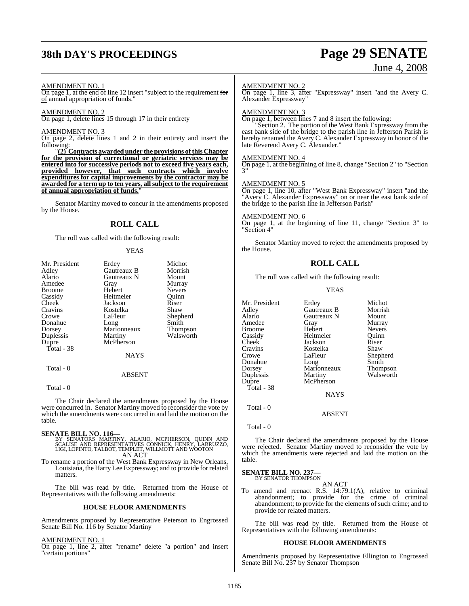# **38th DAY'S PROCEEDINGS Page 29 SENATE**

# June 4, 2008

#### AMENDMENT NO. 1

On page 1, at the end of line 12 insert "subject to the requirement for of annual appropriation of funds."

#### AMENDMENT NO. 2

On page 1, delete lines 15 through 17 in their entirety

#### AMENDMENT NO. 3

On page 2, delete lines 1 and 2 in their entirety and insert the following:

"**(2) Contracts awarded under the provisions of this Chapter for the provision of correctional or geriatric services may be entered into for successive periods not to exceed five years each, provided however, that such contracts which involve expenditures for capital improvements by the contractor may be awarded for a term up to ten years, allsubject to the requirement of annual appropriation of funds.**"

Senator Martiny moved to concur in the amendments proposed by the House.

#### **ROLL CALL**

The roll was called with the following result:

#### YEAS

| Mr. President | Erdey         | Michot          |
|---------------|---------------|-----------------|
| Adley         | Gautreaux B   | Morrish         |
| Alario        | Gautreaux N   | Mount           |
| Amedee        | Gray          | Murray          |
| <b>Broome</b> | Hebert        | <b>Nevers</b>   |
| Cassidy       | Heitmeier     | Ouinn           |
| Cheek         | Jackson       | Riser           |
| Cravins       | Kostelka      | Shaw            |
| Crowe         | LaFleur       | Shepherd        |
| Donahue       | Long          | Smith           |
| Dorsey        | Marionneaux   | <b>Thompson</b> |
| Duplessis     | Martiny       | Walsworth       |
| Dupre         | McPherson     |                 |
| Total - 38    |               |                 |
|               | <b>NAYS</b>   |                 |
| Total - 0     |               |                 |
|               | <b>ABSENT</b> |                 |

Total - 0

The Chair declared the amendments proposed by the House were concurred in. Senator Martiny moved to reconsider the vote by which the amendments were concurred in and laid the motion on the table.

- **SENATE BILL NO. 116—**<br>BY SENATORS MARTINY, ALARIO, MCPHERSON, QUINN AND<br>SCALISE AND REPRESENTATIVES CONNICK, HENRY, LABRUZZO,<br>LIGI, LOPINTO, TALBOT, TEMPLET, WILLMOTT AND WOOTON AN ACT
- To rename a portion of the West Bank Expressway in New Orleans, Louisiana, the Harry Lee Expressway; and to provide for related matters.

The bill was read by title. Returned from the House of Representatives with the following amendments:

#### **HOUSE FLOOR AMENDMENTS**

Amendments proposed by Representative Peterson to Engrossed Senate Bill No. 116 by Senator Martiny

#### AMENDMENT NO. 1

On page 1, line 2, after "rename" delete "a portion" and insert "certain portions"

#### AMENDMENT NO. 2

On page 1, line 3, after "Expressway" insert "and the Avery C. Alexander Expressway"

#### AMENDMENT NO. 3

On page 1, between lines 7 and 8 insert the following:

"Section 2. The portion of the West Bank Expressway from the east bank side of the bridge to the parish line in Jefferson Parish is hereby renamed the Avery C. Alexander Expressway in honor of the late Reverend Avery C. Alexander."

#### AMENDMENT NO. 4

On page 1, at the beginning of line 8, change "Section 2" to "Section  $\overline{a}$ 

#### AMENDMENT NO. 5

On page 1, line 10, after "West Bank Expressway" insert "and the "Avery C. Alexander Expressway" on or near the east bank side of the bridge to the parish line in Jefferson Parish"

#### AMENDMENT NO. 6

On page 1, at the beginning of line 11, change "Section 3" to "Section 4"

Senator Martiny moved to reject the amendments proposed by the House.

#### **ROLL CALL**

The roll was called with the following result:

YEAS

Mr. President Erdey Michot<br>Adlev Gautreaux B Morrish Adley Gautreaux B Morrish Alario Gautreaux N<br>Amedee Gray Gray Murray<br>Hebert Nevers Broome Hebert Nevers Cassidy Heitmeier<br>Cheek Jackson Cheek Jackson Riser<br>Cravins Kostelka Shaw Cravins Kostelka<br>Crowe LaFleur Crowe LaFleur Shepherd<br>
Donahue Long Smith Donahue Long Smith Dorsey Marionneaux Thompson Duplessis Martiny Walsworth<br>
Dupre McPherson McPherson Total - 38 **NAYS**  Total - 0 ABSENT

Total - 0

The Chair declared the amendments proposed by the House were rejected. Senator Martiny moved to reconsider the vote by which the amendments were rejected and laid the motion on the table.

#### **SENATE BILL NO. 237—** BY SENATOR THOMPSON

AN ACT

To amend and reenact R.S. 14:79.1(A), relative to criminal abandonment; to provide for the crime of criminal abandonment; to provide for the elements of such crime; and to provide for related matters.

The bill was read by title. Returned from the House of Representatives with the following amendments:

#### **HOUSE FLOOR AMENDMENTS**

Amendments proposed by Representative Ellington to Engrossed Senate Bill No. 237 by Senator Thompson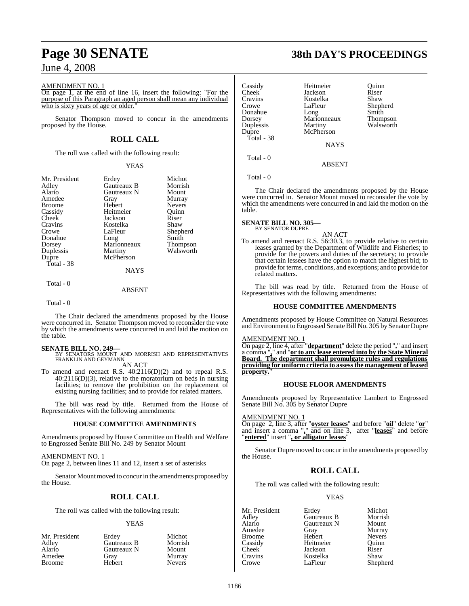#### AMENDMENT NO. 1

On page 1, at the end of line 16, insert the following: "For the purpose of this Paragraph an aged person shall mean any individual who is sixty years of age or older.

Senator Thompson moved to concur in the amendments proposed by the House.

### **ROLL CALL**

The roll was called with the following result:

#### YEAS

| Mr. President<br>Adley<br>Alario<br>Amedee<br><b>Broome</b><br>Cassidy<br>Cheek<br>Cravins<br>Crowe<br>Donahue<br>Dorsey<br>Duplessis<br>Dupre<br>Total - 38 | Erdey<br>Gautreaux B<br>Gautreaux N<br>Gray<br>Hebert<br>Heitmeier<br>Jackson<br>Kostelka<br>LaFleur<br>Long<br>Marionneaux<br>Martiny<br>McPherson<br><b>NAYS</b> | Michot<br>Morrish<br>Mount<br>Murray<br><b>Nevers</b><br>Ouinn<br>Riser<br>Shaw<br>Shepherd<br>Smith<br>Thompson<br>Walsworth |
|--------------------------------------------------------------------------------------------------------------------------------------------------------------|--------------------------------------------------------------------------------------------------------------------------------------------------------------------|-------------------------------------------------------------------------------------------------------------------------------|
| Total - 0                                                                                                                                                    |                                                                                                                                                                    |                                                                                                                               |

ABSENT

Total - 0

The Chair declared the amendments proposed by the House were concurred in. Senator Thompson moved to reconsider the vote by which the amendments were concurred in and laid the motion on the table.

**SENATE BILL NO. 249—** BY SENATORS MOUNT AND MORRISH AND REPRESENTATIVES FRANKLIN AND GEYMANN

AN ACT

To amend and reenact R.S. 40:2116(D)(2) and to repeal R.S. 40:2116(D)(3), relative to the moratorium on beds in nursing facilities; to remove the prohibition on the replacement of existing nursing facilities; and to provide for related matters.

The bill was read by title. Returned from the House of Representatives with the following amendments:

#### **HOUSE COMMITTEE AMENDMENTS**

Amendments proposed by House Committee on Health and Welfare to Engrossed Senate Bill No. 249 by Senator Mount

AMENDMENT NO. 1

On page 2, between lines 11 and 12, insert a set of asterisks

Senator Mount moved to concur in the amendments proposed by the House.

### **ROLL CALL**

The roll was called with the following result:

#### YEAS

| Erdev       | Michot        |
|-------------|---------------|
| Gautreaux B | Morrish       |
| Gautreaux N | Mount         |
| Grav        | Murray        |
| Hebert      | <b>Nevers</b> |
|             |               |

# **Page 30 SENATE 38th DAY'S PROCEEDINGS**

| Cassidy<br>Cheek <sup>-</sup> | Heitmeier<br>Jackson | Quinn<br>Riser   |
|-------------------------------|----------------------|------------------|
| Cravins<br>Crowe              | Kostelka<br>LaFleur  | Shaw<br>Shepherd |
| Donahue                       | Long                 | Smith            |
| Dorsey                        | Marionneaux          | <b>Thompson</b>  |
| Duplessis                     | Martiny              | Walsworth        |
| Dupre                         | McPherson            |                  |
| Total - 38                    | <b>NAYS</b>          |                  |
| Total - 0                     | ABSENT               |                  |

Total - 0

The Chair declared the amendments proposed by the House were concurred in. Senator Mount moved to reconsider the vote by which the amendments were concurred in and laid the motion on the table.

#### **SENATE BILL NO. 305—** BY SENATOR DUPRE

AN ACT

To amend and reenact R.S. 56:30.3, to provide relative to certain leases granted by the Department of Wildlife and Fisheries; to provide for the powers and duties of the secretary; to provide that certain lessees have the option to match the highest bid; to provide for terms, conditions, and exceptions; and to provide for related matters.

The bill was read by title. Returned from the House of Representatives with the following amendments:

#### **HOUSE COMMITTEE AMENDMENTS**

Amendments proposed by House Committee on Natural Resources and Environment to Engrossed Senate Bill No. 305 by Senator Dupre

#### AMENDMENT NO. 1

On page 2, line 4, after "**department**" delete the period "**.**" and insert a comma "**,**" and "**or to any lease entered into by the State Mineral Board. The department shall promulgate rules and regulations providing for uniform criteria to assessthe management of leased** property.

#### **HOUSE FLOOR AMENDMENTS**

Amendments proposed by Representative Lambert to Engrossed Senate Bill No. 305 by Senator Dupre

#### AMENDMENT NO. 1

On page 2, line 3, after "**oyster leases**" and before "**oil**" delete "**or**" and insert a comma "**,**" and on line 3, after "**leases**" and before "**entered**" insert "**, or alligator leases**"

Senator Dupre moved to concur in the amendments proposed by the House.

#### **ROLL CALL**

The roll was called with the following result:

#### YEAS

Mr. President Erdey Michot<br>Adley Gautreaux B Morrish Adley Gautreaux B Morrish Alario Gautreaux N<br>Amedee Gray Broome Hebert Nevers<br>
Cassidy Heitmeier Quinn Cassidy Heitmeier Quinn Cravins Kostelka<br>Crowe LaFleur

Gray Murray<br>Hebert Nevers Jackson Riser<br>Kostelka Shaw Shepherd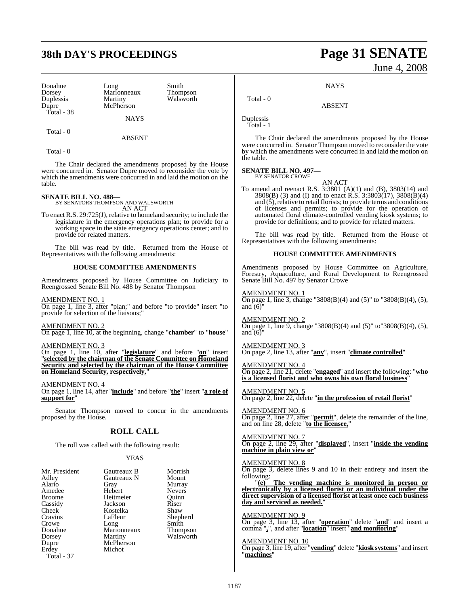## **38th DAY'S PROCEEDINGS Page 31 SENATE**

Donahue Long Smith<br>Dorsey Marionneaux Thompson Duplessis<br>Dupre Total - 38

Marionneaux Thompson<br>
Martiny Walsworth McPherson

NAYS

Total - 0

Total - 0

The Chair declared the amendments proposed by the House were concurred in. Senator Dupre moved to reconsider the vote by which the amendments were concurred in and laid the motion on the table.

ABSENT

**SENATE BILL NO. 488—** BY SENATORS THOMPSON AND WALSWORTH AN ACT

To enact R.S. 29:725(J), relative to homeland security; to include the legislature in the emergency operations plan; to provide for a working space in the state emergency operations center; and to provide for related matters.

The bill was read by title. Returned from the House of Representatives with the following amendments:

#### **HOUSE COMMITTEE AMENDMENTS**

Amendments proposed by House Committee on Judiciary to Reengrossed Senate Bill No. 488 by Senator Thompson

AMENDMENT NO. 1 On page 1, line 3, after "plan;" and before "to provide" insert "to provide for selection of the liaisons;"

#### AMENDMENT NO. 2

On page 1, line 10, at the beginning, change "**chamber**" to "**house**"

### AMENDMENT NO. 3

On page 1, line 10, after "**legislature**" and before "**on**" insert "**selected by the chairman of the Senate Committee on Homeland Security and selected by the chairman of the House Committee on Homeland Security, respectively,**"

AMENDMENT NO. 4

On page 1, line 14, after "**include**" and before "**the**" insert "**a role of support for**"

Senator Thompson moved to concur in the amendments proposed by the House.

#### **ROLL CALL**

The roll was called with the following result:

#### YEAS

| Mr. President | Gautreaux B | Morrish       |
|---------------|-------------|---------------|
|               | Gautreaux N | Mount         |
| Adley         |             |               |
| Alario        | Gray        | Murray        |
| Amedee        | Hebert      | <b>Nevers</b> |
| <b>Broome</b> | Heitmeier   | Ouinn         |
| Cassidy       | Jackson     | Riser         |
| Cheek         | Kostelka    | Shaw          |
| Cravins       | LaFleur     | Shepherd      |
| Crowe         | Long        | Smith         |
| Donahue       | Marionneaux | Thompson      |
| Dorsey        | Martiny     | Walsworth     |
| Dupre         | McPherson   |               |
| Erdey         | Michot      |               |
| Total - 37    |             |               |

# June 4, 2008

**NAYS** 

ABSENT

Duplessis Total - 1

Total - 0

The Chair declared the amendments proposed by the House were concurred in. Senator Thompson moved to reconsider the vote by which the amendments were concurred in and laid the motion on the table.

#### **SENATE BILL NO. 497—**

BY SENATOR CROWE

To amend and reenact R.S. 3:3801 (A)(1) and (B), 3803(14) and 3808(B) (3) and (I) and to enact R.S. 3:3803(17), 3808(B)(4) and  $(5)$ , relative to retail florists; to provide terms and conditions of licenses and permits; to provide for the operation of automated floral climate-controlled vending kiosk systems; to provide for definitions; and to provide for related matters.

AN ACT

The bill was read by title. Returned from the House of Representatives with the following amendments:

#### **HOUSE COMMITTEE AMENDMENTS**

Amendments proposed by House Committee on Agriculture, Forestry, Aquaculture, and Rural Development to Reengrossed Senate Bill No. 497 by Senator Crowe

#### AMENDMENT NO. 1

On page 1, line 3, change "3808(B)(4) and (5)" to "3808(B)(4), (5), and  $(6)$ 

AMENDMENT NO. 2 On page 1, line 9, change "3808(B)(4) and (5)" to"3808(B)(4), (5), and  $(6)$ "

AMENDMENT NO. 3 On page 2, line 13, after "**any**", insert "**climate controlled**"

AMENDMENT NO. 4 On page 2, line 21, delete "**engaged**" and insert the following: "**who is a licensed florist and who owns his own floral business**"

AMENDMENT NO. 5 On page 2, line 22, delete "**in the profession of retail florist**"

AMENDMENT NO. 6 On page 2, line 27, after "**permit**", delete the remainder of the line, and on line 28, delete "**to the licensee,**"

#### AMENDMENT NO. 7

On page 2, line 29, after "**displayed**", insert "**inside the vending machine in plain view or**"

#### AMENDMENT NO. 8

On page 3, delete lines 9 and 10 in their entirety and insert the following:<br> $"(e)$ 

The vending machine is monitored in person or **electronically by a licensed florist or an individual under the direct supervision of a licensed florist at least once each business day and serviced as needed.**"

AMENDMENT NO. 9

On page 3, line 13, after "**operation**" delete "**and**" and insert a comma "**,**", and after "**location**" insert "**and monitoring**"

#### AMENDMENT NO. 10

On page 3, line 19, after "**vending**" delete "**kiosk systems**" and insert "**machines**"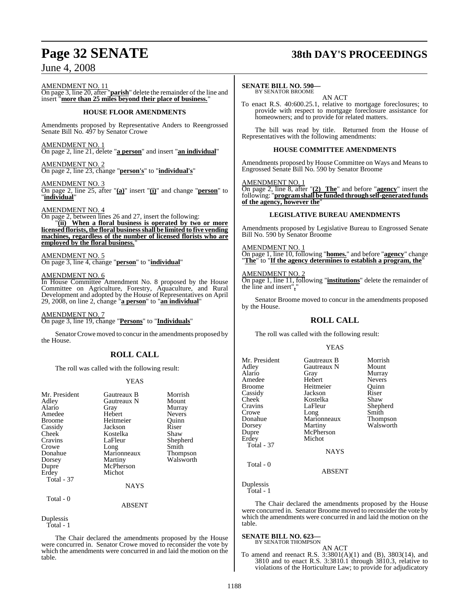# **Page 32 SENATE 38th DAY'S PROCEEDINGS**

AMENDMENT NO. 11

On page 3, line 20, after "**parish**" delete the remainder of the line and insert "**more than 25 miles beyond their place of business.**"

#### **HOUSE FLOOR AMENDMENTS**

Amendments proposed by Representative Anders to Reengrossed Senate Bill No. 497 by Senator Crowe

AMENDMENT NO. 1 On page 2, line 21, delete "**a person**" and insert "**an individual**"

AMENDMENT NO. 2 On page 2, line 23, change "**person's**" to "**individual's**"

#### AMENDMENT NO. 3

On page 2, line 25, after "**(a)**" insert "**(i)**" and change "**person**" to "**individual**"

#### AMENDMENT NO. 4

On page 2, between lines 26 and 27, insert the following: "**(ii) When a floral business is operated by two or more licensed florists, the floral businessshall be limited to five vending machines, regardless of the number of licensed florists who are employed by the floral business.**"

#### AMENDMENT NO. 5

On page 3, line 4, change "**person**" to "**individual**"

#### AMENDMENT NO. 6

In House Committee Amendment No. 8 proposed by the House Committee on Agriculture, Forestry, Aquaculture, and Rural Development and adopted by the House of Representatives on April 29, 2008, on line 2, change "**a person**" to "**an individual**"

AMENDMENT NO. 7 On page 3, line 19, change "**Persons**" to "**Individuals**"

Senator Crowe moved to concur in the amendments proposed by the House.

### **ROLL CALL**

The roll was called with the following result:

#### YEAS

| Mr. President     | Gautreaux B     | Morrish         |
|-------------------|-----------------|-----------------|
| Adley             | Gautreaux N     | Mount           |
| Alario            | Gray            | Murray          |
| Amedee            | Hebert          | <b>Nevers</b>   |
| <b>Broome</b>     | Heitmeier       | Ouinn           |
| Cassidy           | Jackson         | Riser           |
| Cheek             | Kostelka        | Shaw            |
| Cravins           | LaFleur         | Shepherd        |
| Crowe             | Long            | Smith           |
| Donahue           | Marionneaux     | <b>Thompson</b> |
| Dorsey            | Martiny         | Walsworth       |
| Dupre             | McPherson       |                 |
| Erdey             | Michot          |                 |
| <b>Total - 37</b> |                 |                 |
|                   | <b>NAYS</b>     |                 |
| Total - 0         |                 |                 |
|                   | <b>A D CENT</b> |                 |

ABSENT

The Chair declared the amendments proposed by the House were concurred in. Senator Crowe moved to reconsider the vote by which the amendments were concurred in and laid the motion on the table.

#### **SENATE BILL NO. 590—**

BY SENATOR BROOME AN ACT

To enact R.S. 40:600.25.1, relative to mortgage foreclosures; to provide with respect to mortgage foreclosure assistance for homeowners; and to provide for related matters.

The bill was read by title. Returned from the House of Representatives with the following amendments:

#### **HOUSE COMMITTEE AMENDMENTS**

Amendments proposed by House Committee on Ways and Means to Engrossed Senate Bill No. 590 by Senator Broome

### AMENDMENT NO. 1

On page 2, line 8, after "**(2) The**" and before "**agency**" insert the following: "**programshall be funded throughself-generatedfunds of the agency, however the**"

#### **LEGISLATIVE BUREAU AMENDMENTS**

Amendments proposed by Legislative Bureau to Engrossed Senate Bill No. 590 by Senator Broome

#### AMENDMENT NO. 1

On page 1, line 10, following "**homes.**" and before "**agency**" change "**The**" to "**If the agency determines to establish a program, the**"

#### AMENDMENT NO. 2

On page 1, line 11, following "**institutions**" delete the remainder of the line and insert"**,**"

Senator Broome moved to concur in the amendments proposed by the House.

#### **ROLL CALL**

The roll was called with the following result:

#### YEAS

| Mr. President<br>Adley<br>Alario<br>Amedee<br>Broome<br>Cassidy<br>Cheek<br>Cravins<br>Crowe<br>Donahue<br>Dorsey<br>Dupre<br>Erdey<br><b>Total - 37</b> | Gautreaux B<br>Gautreaux N<br>Gray<br>Hebert<br>Heitmeier<br>Jackson<br>Kostelka<br>LaFleur<br>Long<br>Marionneaux<br>Martiny<br>McPherson<br>Michot<br><b>NAYS</b> | Morrish<br>Mount<br>Murray<br><b>Nevers</b><br>Quinn<br>Riser<br>Shaw<br>Shepherd<br>Smith<br>Thompson<br>Walsworth |
|----------------------------------------------------------------------------------------------------------------------------------------------------------|---------------------------------------------------------------------------------------------------------------------------------------------------------------------|---------------------------------------------------------------------------------------------------------------------|
|                                                                                                                                                          |                                                                                                                                                                     |                                                                                                                     |
| Total - 0                                                                                                                                                | <b>ABSENT</b>                                                                                                                                                       |                                                                                                                     |

Duplessis Total - 1

The Chair declared the amendments proposed by the House were concurred in. Senator Broome moved to reconsider the vote by which the amendments were concurred in and laid the motion on the table.

#### **SENATE BILL NO. 623—**

BY SENATOR THOMPSON AN ACT

To amend and reenact R.S. 3:3801(A)(1) and (B), 3803(14), and 3810 and to enact R.S. 3:3810.1 through 3810.3, relative to violations of the Horticulture Law; to provide for adjudicatory

Duplessis Total - 1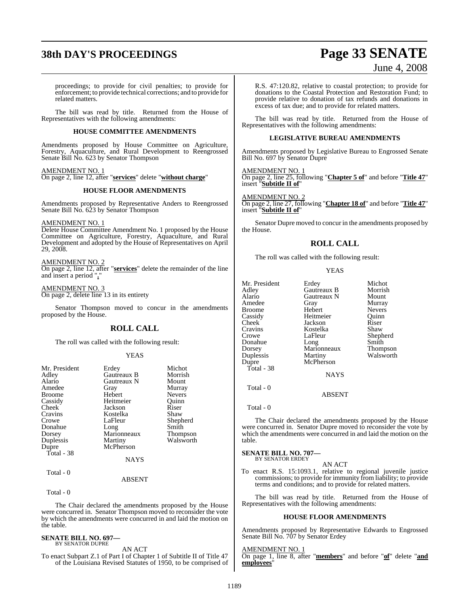# **38th DAY'S PROCEEDINGS Page 33 SENATE**

### June 4, 2008

proceedings; to provide for civil penalties; to provide for enforcement; to provide technical corrections; and to provide for related matters.

The bill was read by title. Returned from the House of Representatives with the following amendments:

#### **HOUSE COMMITTEE AMENDMENTS**

Amendments proposed by House Committee on Agriculture, Forestry, Aquaculture, and Rural Development to Reengrossed Senate Bill No. 623 by Senator Thompson

#### AMENDMENT NO. 1

On page 2, line 12, after "**services**" delete "**without charge**"

#### **HOUSE FLOOR AMENDMENTS**

Amendments proposed by Representative Anders to Reengrossed Senate Bill No. 623 by Senator Thompson

AMENDMENT NO. 1

Delete House Committee Amendment No. 1 proposed by the House Committee on Agriculture, Forestry, Aquaculture, and Rural Development and adopted by the House of Representatives on April 29, 2008.

#### AMENDMENT NO. 2

On page 2, line 12, after "**services**" delete the remainder of the line and insert a period "**.**"

AMENDMENT NO. 3 On page 2, delete line 13 in its entirety

Senator Thompson moved to concur in the amendments proposed by the House.

#### **ROLL CALL**

The roll was called with the following result:

#### YEAS

| Mr. President | Erdey       | Michot          |
|---------------|-------------|-----------------|
| Adley         | Gautreaux B | Morrish         |
| Alario        | Gautreaux N | Mount           |
| Amedee        | Gray        | Murray          |
| <b>Broome</b> | Hebert      | Nevers          |
| Cassidy       | Heitmeier   | Ouinn           |
| Cheek         | Jackson     | Riser           |
| Cravins       | Kostelka    | Shaw            |
| Crowe         | LaFleur     | Shepherd        |
| Donahue       | Long        | Smith           |
| Dorsey        | Marionneaux | <b>Thompson</b> |
| Duplessis     | Martiny     | Walsworth       |
| Dupre         | McPherson   |                 |
| Total - 38    |             |                 |
|               | <b>NAYS</b> |                 |
| Total - 0     |             |                 |

Total - 0

The Chair declared the amendments proposed by the House were concurred in. Senator Thompson moved to reconsider the vote by which the amendments were concurred in and laid the motion on the table.

ABSENT

### **SENATE BILL NO. 697—** BY SENATOR DUPRE

AN ACT

To enact Subpart Z.1 of Part I of Chapter 1 of Subtitle II of Title 47 of the Louisiana Revised Statutes of 1950, to be comprised of R.S. 47:120.82, relative to coastal protection; to provide for donations to the Coastal Protection and Restoration Fund; to provide relative to donation of tax refunds and donations in excess of tax due; and to provide for related matters.

The bill was read by title. Returned from the House of Representatives with the following amendments:

#### **LEGISLATIVE BUREAU AMENDMENTS**

Amendments proposed by Legislative Bureau to Engrossed Senate Bill No. 697 by Senator Dupre

#### AMENDMENT NO. 1

On page 2, line 25, following "**Chapter 5 of**" and before "**Title 47**" insert "**Subtitle II of**"

#### AMENDMENT NO. 2

On page 2, line 27, following "**Chapter 18 of**" and before "**Title 47**" insert "**Subtitle II of**"

Senator Dupre moved to concur in the amendments proposed by the House.

#### **ROLL CALL**

The roll was called with the following result:

|--|

NAYS

ABSENT

Total - 0

Total - 0

The Chair declared the amendments proposed by the House were concurred in. Senator Dupre moved to reconsider the vote by which the amendments were concurred in and laid the motion on the table.

### **SENATE BILL NO. 707—** BY SENATOR ERDEY

AN ACT

To enact R.S. 15:1093.1, relative to regional juvenile justice commissions; to provide for immunity from liability; to provide terms and conditions; and to provide for related matters.

The bill was read by title. Returned from the House of Representatives with the following amendments:

#### **HOUSE FLOOR AMENDMENTS**

Amendments proposed by Representative Edwards to Engrossed Senate Bill No. 707 by Senator Erdey

#### AMENDMENT NO. 1

On page 1, line 8, after "**members**" and before "**of**" delete "**and employees**"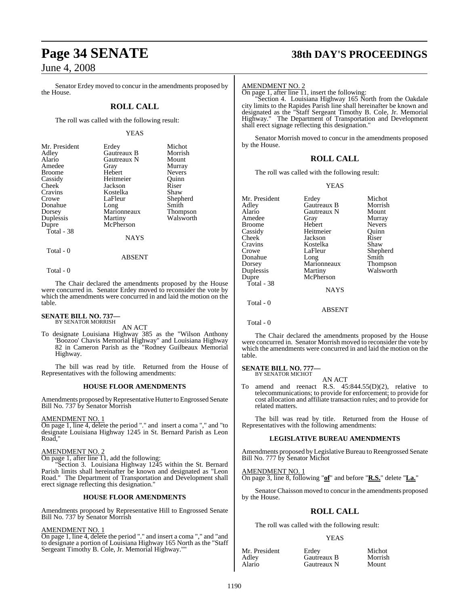Senator Erdey moved to concur in the amendments proposed by the House.

### **ROLL CALL**

The roll was called with the following result:

#### YEAS

| Mr. President | Erdey       | Michot          |
|---------------|-------------|-----------------|
| Adley         | Gautreaux B | Morrish         |
| Alario        | Gautreaux N | Mount           |
| Amedee        | Gray        | Murray          |
| <b>Broome</b> | Hebert      | <b>Nevers</b>   |
| Cassidy       | Heitmeier   | Ouinn           |
| Cheek         | Jackson     | Riser           |
| Cravins       | Kostelka    | Shaw            |
| Crowe         | LaFleur     | Shepherd        |
| Donahue       | Long        | Smith           |
| Dorsey        | Marionneaux | <b>Thompson</b> |
| Duplessis     | Martiny     | Walsworth       |
| Dupre         | McPherson   |                 |
| Total - 38    |             |                 |
|               | <b>NAYS</b> |                 |

Total - 0

Total - 0

The Chair declared the amendments proposed by the House were concurred in. Senator Erdey moved to reconsider the vote by which the amendments were concurred in and laid the motion on the table.

ABSENT

# **SENATE BILL NO. 737—** BY SENATOR MORRISH

AN ACT

To designate Louisiana Highway 385 as the "Wilson Anthony 'Boozoo' Chavis Memorial Highway" and Louisiana Highway 82 in Cameron Parish as the "Rodney Guilbeaux Memorial Highway.

The bill was read by title. Returned from the House of Representatives with the following amendments:

#### **HOUSE FLOOR AMENDMENTS**

Amendments proposed by Representative Hutter to Engrossed Senate Bill No. 737 by Senator Morrish

#### AMENDMENT NO. 1

On page 1, line 4, delete the period "." and insert a coma "," and "to designate Louisiana Highway 1245 in St. Bernard Parish as Leon Road,"

#### AMENDMENT NO. 2

On page 1, after line 11, add the following:

"Section 3. Louisiana Highway 1245 within the St. Bernard Parish limits shall hereinafter be known and designated as "Leon Road." The Department of Transportation and Development shall erect signage reflecting this designation."

#### **HOUSE FLOOR AMENDMENTS**

Amendments proposed by Representative Hill to Engrossed Senate Bill No. 737 by Senator Morrish

#### AMENDMENT NO. 1

On page 1, line 4, delete the period "." and insert a coma "," and "and to designate a portion of Louisiana Highway 165 North as the "Staff Sergeant Timothy B. Cole, Jr. Memorial Highway.""

## **Page 34 SENATE 38th DAY'S PROCEEDINGS**

#### AMENDMENT NO. 2

On page 1, after line  $\overline{11}$ , insert the following:

"Section 4. Louisiana Highway 165 North from the Oakdale city limits to the Rapides Parish line shall hereinafter be known and designated as the "Staff Sergeant Timothy B. Cole, Jr. Memorial Highway." The Department of Transportation and Development shall erect signage reflecting this designation."

Senator Morrish moved to concur in the amendments proposed by the House.

#### **ROLL CALL**

The roll was called with the following result:

#### YEAS

| Mr. President | Erdey       | Michot        |
|---------------|-------------|---------------|
| Adley         | Gautreaux B | Morrish       |
| Alario        | Gautreaux N | Mount         |
| Amedee        | Gray        | Murray        |
| Broome        | Hebert      | <b>Nevers</b> |
| Cassidy       | Heitmeier   | Ouinn         |
| Cheek         | Jackson     | Riser         |
| Cravins       | Kostelka    | Shaw          |
| Crowe         | LaFleur     | Shepherd      |
| Donahue       | Long        | Smith         |
| Dorsey        | Marionneaux | Thompson      |
| Duplessis     | Martiny     | Walsworth     |
| Dupre         | McPherson   |               |
| Total - 38    |             |               |
|               | <b>NAYS</b> |               |
| Total - 0     |             |               |
|               | ABSENT      |               |
|               |             |               |

Total - 0

The Chair declared the amendments proposed by the House were concurred in. Senator Morrish moved to reconsider the vote by which the amendments were concurred in and laid the motion on the table.

### **SENATE BILL NO. 777—**<br>BY SENATOR MICHOT

AN ACT

To amend and reenact R.S. 45:844.55(D)(2), relative to telecommunications; to provide for enforcement; to provide for cost allocation and affiliate transaction rules; and to provide for related matters.

The bill was read by title. Returned from the House of Representatives with the following amendments:

#### **LEGISLATIVE BUREAU AMENDMENTS**

Amendments proposed byLegislative Bureau to Reengrossed Senate Bill No. 777 by Senator Michot

#### AMENDMENT NO. 1

On page 3, line 8, following "**of**" and before "**R.S.**" delete "**La.**"

Senator Chaisson moved to concur in the amendments proposed by the House.

### **ROLL CALL**

The roll was called with the following result:

#### YEAS

| Mr. President   | Erdey       | Michot  |
|-----------------|-------------|---------|
|                 | Gautreaux B | Morrish |
| Adley<br>Alario | Gautreaux N | Mount   |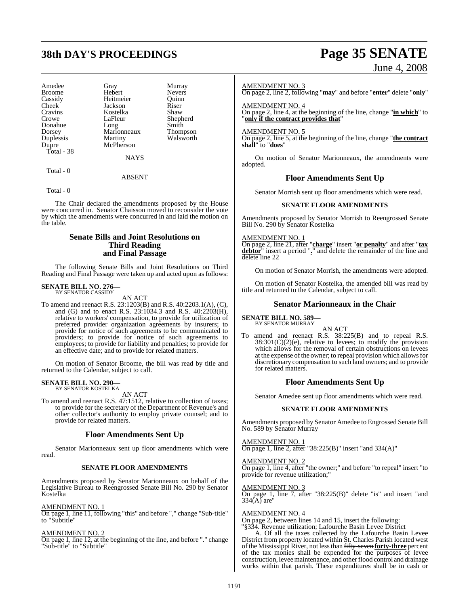# **38th DAY'S PROCEEDINGS Page 35 SENATE**

| Amedee        |             |               |
|---------------|-------------|---------------|
|               | Gray        | Murray        |
| <b>Broome</b> | Hebert      | <b>Nevers</b> |
| Cassidy       | Heitmeier   | Ouinn         |
| Cheek         | Jackson     | Riser         |
| Cravins       | Kostelka    | Shaw          |
| Crowe         | LaFleur     | Shepherd      |
| Donahue       | Long        | Smith         |
| Dorsey        | Marionneaux | Thompson      |
| Duplessis     | Martiny     | Walsworth     |
| Dupre         | McPherson   |               |
| Total - 38    |             |               |
|               | <b>NAYS</b> |               |
|               |             |               |

Total - 0

ABSENT

Total - 0

The Chair declared the amendments proposed by the House were concurred in. Senator Chaisson moved to reconsider the vote by which the amendments were concurred in and laid the motion on the table.

#### **Senate Bills and Joint Resolutions on Third Reading and Final Passage**

The following Senate Bills and Joint Resolutions on Third Reading and Final Passage were taken up and acted upon as follows:

### **SENATE BILL NO. 276—** BY SENATOR CASSIDY

AN ACT

To amend and reenact R.S. 23:1203(B) and R.S. 40:2203.1(A), (C), and (G) and to enact R.S. 23:1034.3 and R.S. 40:2203(H), relative to workers' compensation, to provide for utilization of preferred provider organization agreements by insurers; to provide for notice of such agreements to be communicated to providers; to provide for notice of such agreements to employees; to provide for liability and penalties; to provide for an effective date; and to provide for related matters.

On motion of Senator Broome, the bill was read by title and returned to the Calendar, subject to call.

### **SENATE BILL NO. 290—** BY SENATOR KOSTELKA

AN ACT

To amend and reenact R.S. 47:1512, relative to collection of taxes; to provide for the secretary of the Department of Revenue's and other collector's authority to employ private counsel; and to provide for related matters.

#### **Floor Amendments Sent Up**

Senator Marionneaux sent up floor amendments which were read.

#### **SENATE FLOOR AMENDMENTS**

Amendments proposed by Senator Marionneaux on behalf of the Legislative Bureau to Reengrossed Senate Bill No. 290 by Senator Kostelka

#### AMENDMENT NO. 1

On page 1, line 11, following "this" and before "," change "Sub-title" to "Subtitle"

#### AMENDMENT NO. 2

On page 1, line 12, at the beginning of the line, and before "." change "Sub-title" to "Subtitle"

June 4, 2008

#### AMENDMENT NO. 3

On page 2, line 2, following "**may**" and before "**enter**" delete "**only**"

AMENDMENT NO. 4 On page 2, line 4, at the beginning of the line, change "**in which**" to "**only if the contract provides that**"

#### AMENDMENT NO. 5

On page 2, line 5, at the beginning of the line, change "**the contract shall**" to "**does**"

On motion of Senator Marionneaux, the amendments were adopted.

#### **Floor Amendments Sent Up**

Senator Morrish sent up floor amendments which were read.

#### **SENATE FLOOR AMENDMENTS**

Amendments proposed by Senator Morrish to Reengrossed Senate Bill No. 290 by Senator Kostelka

AMENDMENT NO. 1

On page 2, line 21, after "**charge**" insert "**or penalty**" and after "**tax debtor**" insert a period "**.**" and delete the remainder of the line and delete line 22

On motion of Senator Morrish, the amendments were adopted.

On motion of Senator Kostelka, the amended bill was read by title and returned to the Calendar, subject to call.

#### **Senator Marionneaux in the Chair**

**SENATE BILL NO. 589—** BY SENATOR MURRAY

AN ACT

To amend and reenact R.S. 38:225(B) and to repeal R.S.  $38:301(C)(2)(e)$ , relative to levees; to modify the provision which allows for the removal of certain obstructions on levees at the expense of the owner; to repeal provision which allows for discretionary compensation to such land owners; and to provide for related matters.

#### **Floor Amendments Sent Up**

Senator Amedee sent up floor amendments which were read.

#### **SENATE FLOOR AMENDMENTS**

Amendments proposed by Senator Amedee to Engrossed Senate Bill No. 589 by Senator Murray

AMENDMENT NO. 1

On page 1, line 2, after "38:225(B)" insert "and 334(A)"

AMENDMENT NO. 2 On page 1, line 4, after "the owner;" and before "to repeal" insert "to provide for revenue utilization;"

#### AMENDMENT NO. 3

 $\overline{On}$  page 1, line 7, after "38:225(B)" delete "is" and insert "and  $334(A)$  are"

#### AMENDMENT NO. 4

On page 2, between lines 14 and 15, insert the following: "§334. Revenue utilization; Lafourche Basin Levee District

A. Of all the taxes collected by the Lafourche Basin Levee District from property located within St. Charles Parish located west ofthe Mississippi River, not lessthan fifty-seven **forty-three** percent of the tax monies shall be expended for the purposes of levee construction, levee maintenance, and other flood control and drainage works within that parish. These expenditures shall be in cash or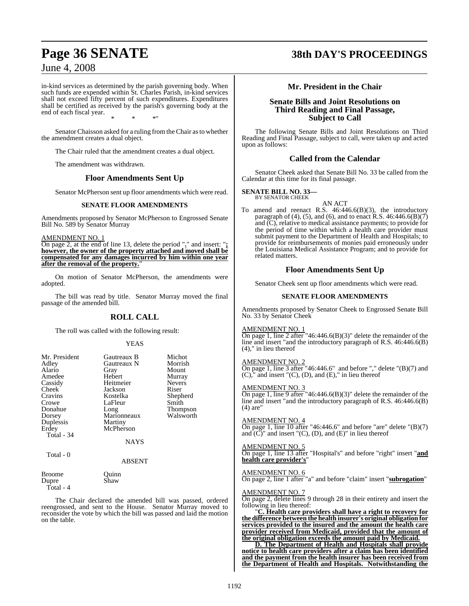in-kind services as determined by the parish governing body. When such funds are expended within St. Charles Parish, in-kind services shall not exceed fifty percent of such expenditures. Expenditures shall be certified as received by the parish's governing body at the end of each fiscal year. \* \* \*"

SenatorChaisson asked for a ruling fromthe Chair asto whether the amendment creates a dual object.

The Chair ruled that the amendment creates a dual object.

The amendment was withdrawn.

#### **Floor Amendments Sent Up**

Senator McPherson sent up floor amendments which were read.

#### **SENATE FLOOR AMENDMENTS**

Amendments proposed by Senator McPherson to Engrossed Senate Bill No. 589 by Senator Murray

#### AMENDMENT NO. 1

On page 2, at the end of line 13, delete the period "**.**" and insert: "**; however, the owner of the property attached and moved shall be compensated for any damages incurred by him within one year after the removal of the property.**"

On motion of Senator McPherson, the amendments were adopted.

The bill was read by title. Senator Murray moved the final passage of the amended bill.

### **ROLL CALL**

The roll was called with the following result:

#### YEAS

| Mr. President<br>Adley<br>Alario<br>Amedee<br>Cassidy<br>Cheek<br>Cravins<br>Crowe<br>Donahue<br>Dorsey<br>Duplessis<br>Erdey<br>Total - 34<br>Total $-0$ | Gautreaux B<br>Gautreaux N<br>Gray<br>Hebert<br>Heitmeier<br>Jackson<br>Kostelka<br>LaFleur<br>Long<br>Marionneaux<br>Martiny<br>McPherson<br><b>NAYS</b><br><b>ABSENT</b> | Michot<br>Morrish<br>Mount<br>Murray<br><b>Nevers</b><br>Riser<br>Shepherd<br>Smith<br>Thompson<br>Walsworth |
|-----------------------------------------------------------------------------------------------------------------------------------------------------------|----------------------------------------------------------------------------------------------------------------------------------------------------------------------------|--------------------------------------------------------------------------------------------------------------|
| Broome                                                                                                                                                    | Juınn                                                                                                                                                                      |                                                                                                              |
| Dupre                                                                                                                                                     | Shaw                                                                                                                                                                       |                                                                                                              |

Total - 4

The Chair declared the amended bill was passed, ordered reengrossed, and sent to the House. Senator Murray moved to reconsider the vote by which the bill was passed and laid the motion on the table.

### **Page 36 SENATE 38th DAY'S PROCEEDINGS**

### **Mr. President in the Chair**

#### **Senate Bills and Joint Resolutions on Third Reading and Final Passage, Subject to Call**

The following Senate Bills and Joint Resolutions on Third Reading and Final Passage, subject to call, were taken up and acted upon as follows:

#### **Called from the Calendar**

Senator Cheek asked that Senate Bill No. 33 be called from the Calendar at this time for its final passage.

#### **SENATE BILL NO. 33—** BY SENATOR CHEEK

AN ACT

To amend and reenact R.S. 46:446.6(B)(3), the introductory paragraph of (4), (5), and (6), and to enact R.S.  $46:446.6(B)(7)$ and (C), relative to medical assistance payments; to provide for the period of time within which a health care provider must submit payment to the Department of Health and Hospitals; to provide for reimbursements of monies paid erroneously under the Louisiana Medical Assistance Program; and to provide for related matters.

#### **Floor Amendments Sent Up**

Senator Cheek sent up floor amendments which were read.

#### **SENATE FLOOR AMENDMENTS**

Amendments proposed by Senator Cheek to Engrossed Senate Bill No. 33 by Senator Cheek

#### AMENDMENT NO. 1

On page 1, line 2 after "46:446.6(B)(3)" delete the remainder of the line and insert "and the introductory paragraph of R.S. 46:446.6(B) (4)," in lieu thereof

#### AMENDMENT NO. 2

On page 1, line 3 after "46:446.6" and before "," delete "(B)(7) and  $(C)$ ," and insert " $(C)$ ,  $(D)$ , and  $(E)$ ," in lieu thereof

#### AMENDMENT NO. 3

On page 1, line 9 after "46:446.6(B)(3)" delete the remainder of the line and insert "and the introductory paragraph of R.S. 46:446.6(B) (4) are"

#### AMENDMENT NO. 4

On page 1, line 10 after "46:446.6" and before "are" delete  $\Gamma(B)(7)$ and  $(C)$ " and insert " $(C)$ ,  $(D)$ , and  $(E)$ " in lieu thereof

#### AMENDMENT NO. 5

On page 1, line 13 after "Hospital's" and before "right" insert "**and health care provider's**"

#### AMENDMENT NO. 6

On page 2, line 1 after "a" and before "claim" insert "**subrogation**"

#### AMENDMENT NO. 7

On page 2, delete lines 9 through 28 in their entirety and insert the following in lieu thereof:

"**C. Health care providers shall have a right to recovery for the difference between the health insurer's original obligation for services provided to the insured and the amount the health care provider received from Medicaid, provided that the amount of the original obligation exceeds the amount paid by Medicaid.**

**D. The Department of Health and Hospitals shall provide notice to health care providers after a claim has been identified and the payment from the health insurer has been received from the Department of Health and Hospitals. Notwithstanding the**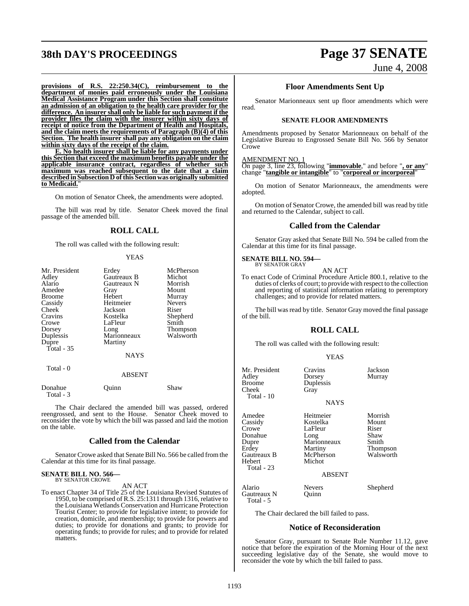# **38th DAY'S PROCEEDINGS Page 37 SENATE**

June 4, 2008

**provisions of R.S. 22:250.34(C), reimbursement to the department of monies paid erroneously under the Louisiana Medical Assistance Program under this Section shall constitute an admission of an obligation to the health care provider for the difference. An insurer shall only be liable for such payment if the provider files the claim with the insurer within sixty days of receipt of notice from the Department of Health and Hospitals, and the claim meets the requirements of Paragraph (B)(4) of this Section. The health insurer shall pay any obligation on the claim within sixty days of the receipt of the claim.**

**E. No health insurer shall be liable for any payments under this Section that exceed the maximum benefits payable under the applicable insurance contract, regardless of whether such maximum was reached subsequent to the date that a claim described in Subsection D of this Section was originally submitted** to Medicaid.

On motion of Senator Cheek, the amendments were adopted.

The bill was read by title. Senator Cheek moved the final passage of the amended bill.

#### **ROLL CALL**

The roll was called with the following result:

#### YEAS

| Mr. President | Erdey         | McPherson     |
|---------------|---------------|---------------|
| Adley         | Gautreaux B   | Michot        |
| Alario        | Gautreaux N   | Morrish       |
| Amedee        | Gray          | Mount         |
| <b>Broome</b> | Hebert        | Murray        |
| Cassidy       | Heitmeier     | <b>Nevers</b> |
| Cheek         | Jackson       | Riser         |
| Cravins       | Kostelka      | Shepherd      |
| Crowe         | LaFleur       | Smith         |
| Dorsey        | Long          | Thompson      |
| Duplessis     | Marionneaux   | Walsworth     |
| Dupre         | Martiny       |               |
| Total $-35$   |               |               |
|               | <b>NAYS</b>   |               |
| Total - 0     |               |               |
|               | <b>ABSENT</b> |               |
| $\sim$ $\sim$ |               | $\sim$        |

| Donahue   | Ouinn | Shaw |  |
|-----------|-------|------|--|
| Total - 3 |       |      |  |

The Chair declared the amended bill was passed, ordered reengrossed, and sent to the House. Senator Cheek moved to reconsider the vote by which the bill was passed and laid the motion on the table.

#### **Called from the Calendar**

Senator Crowe asked that Senate Bill No. 566 be called fromthe Calendar at this time for its final passage.

#### **SENATE BILL NO. 566—** BY SENATOR CROWE

AN ACT

To enact Chapter 34 of Title 25 of the Louisiana Revised Statutes of 1950, to be comprised of R.S. 25:1311 through 1316, relative to the Louisiana Wetlands Conservation and Hurricane Protection Tourist Center; to provide for legislative intent; to provide for creation, domicile, and membership; to provide for powers and duties; to provide for donations and grants; to provide for operating funds; to provide for rules; and to provide for related matters.

#### **Floor Amendments Sent Up**

Senator Marionneaux sent up floor amendments which were read.

#### **SENATE FLOOR AMENDMENTS**

Amendments proposed by Senator Marionneaux on behalf of the Legislative Bureau to Engrossed Senate Bill No. 566 by Senator **Crowe** 

#### AMENDMENT NO. 1

On page 3, line 23, following "**immovable**," and before "**, or any**" change "**tangible or intangible**" to "**corporeal or incorporeal**"

On motion of Senator Marionneaux, the amendments were adopted.

On motion of Senator Crowe, the amended bill was read by title and returned to the Calendar, subject to call.

#### **Called from the Calendar**

Senator Gray asked that Senate Bill No. 594 be called from the Calendar at this time for its final passage.

### **SENATE BILL NO. 594—** BY SENATOR GRAY

AN ACT To enact Code of Criminal Procedure Article 800.1, relative to the duties of clerks of court; to provide with respect to the collection and reporting of statistical information relating to peremptory challenges; and to provide for related matters.

The bill was read by title. Senator Gray moved the final passage of the bill.

#### **ROLL CALL**

The roll was called with the following result:

#### YEAS

| Mr. President<br>Adley<br>Broome<br>Cheek<br>Total - 10                                        | Cravins<br>Dorsey<br>Duplessis<br>Gray<br><b>NAYS</b>                                     | Jackson<br>Murray                                                          |
|------------------------------------------------------------------------------------------------|-------------------------------------------------------------------------------------------|----------------------------------------------------------------------------|
| Amedee<br>Cassidy<br>Crowe<br>Donahue<br>Dupre<br>Erdey<br>Gautreaux B<br>Hebert<br>Total - 23 | Heitmeier<br>Kostelka<br>LaFleur<br>Long<br>Marionneaux<br>Martiny<br>McPherson<br>Michot | Morrish<br>Mount<br>Riser<br>Shaw<br>Smith<br><b>Thompson</b><br>Walsworth |
|                                                                                                | A D CENT                                                                                  |                                                                            |

#### ABSENT

Alario Nevers Shepherd<br>Gautreaux N Ouinn Gautreaux N Total - 5

The Chair declared the bill failed to pass.

#### **Notice of Reconsideration**

Senator Gray, pursuant to Senate Rule Number 11.12, gave notice that before the expiration of the Morning Hour of the next succeeding legislative day of the Senate, she would move to reconsider the vote by which the bill failed to pass.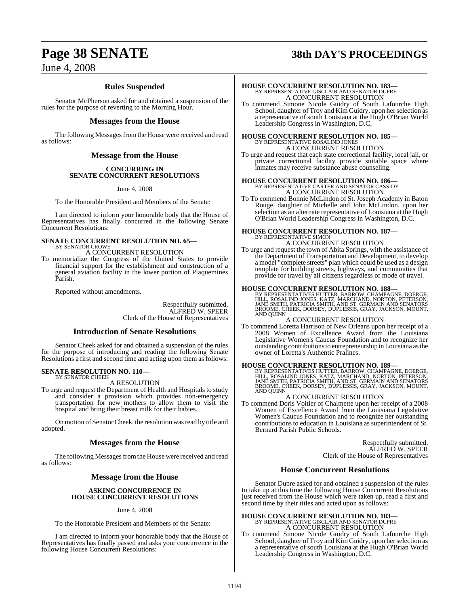# **Page 38 SENATE 38th DAY'S PROCEEDINGS**

### **Rules Suspended**

Senator McPherson asked for and obtained a suspension of the rules for the purpose of reverting to the Morning Hour.

#### **Messages from the House**

The following Messages from the House were received and read as follows:

### **Message from the House**

#### **CONCURRING IN SENATE CONCURRENT RESOLUTIONS**

June 4, 2008

To the Honorable President and Members of the Senate:

I am directed to inform your honorable body that the House of Representatives has finally concurred in the following Senate Concurrent Resolutions:

#### **SENATE CONCURRENT RESOLUTION NO. 65—** BY SENATOR CROWE

A CONCURRENT RESOLUTION

To memorialize the Congress of the United States to provide financial support for the establishment and construction of a general aviation facility in the lower portion of Plaquemines Parish.

Reported without amendments.

Respectfully submitted, ALFRED W. SPEER Clerk of the House of Representatives

#### **Introduction of Senate Resolutions**

Senator Cheek asked for and obtained a suspension of the rules for the purpose of introducing and reading the following Senate Resolutions a first and second time and acting upon them as follows:

#### **SENATE RESOLUTION NO. 110—** BY SENATOR CHEEK

A RESOLUTION

To urge and request the Department of Health and Hospitals to study and consider a provision which provides non-emergency transportation for new mothers to allow them to visit the hospital and bring their breast milk for their babies.

On motion of Senator Cheek, the resolution was read by title and adopted.

#### **Messages from the House**

The following Messages from the House were received and read as follows:

### **Message from the House**

#### **ASKING CONCURRENCE IN HOUSE CONCURRENT RESOLUTIONS**

#### June 4, 2008

To the Honorable President and Members of the Senate:

I am directed to inform your honorable body that the House of Representatives has finally passed and asks your concurrence in the following House Concurrent Resolutions:

# **HOUSE CONCURRENT RESOLUTION NO. 183—** BY REPRESENTATIVE GISCLAIR AND SENATOR DUPRE A CONCURRENT RESOLUTION

To commend Simone Nicole Guidry of South Lafourche High School, daughter of Troy and Kim Guidry, upon her selection as a representative of south Louisiana at the Hugh O'Brian World Leadership Congress in Washington, D.C.

# **HOUSE CONCURRENT RESOLUTION NO. 185—** BY REPRESENTATIVE ROSALIND JONES A CONCURRENT RESOLUTION

To urge and request that each state correctional facility, local jail, or private correctional facility provide suitable space where inmates may receive substance abuse counseling.

### **HOUSE CONCURRENT RESOLUTION NO. 186—** BY REPRESENTATIVE CARTER AND SENATOR CASSIDY A CONCURRENT RESOLUTION

To To commend Bonnie McLindon of St. Joseph Academy in Baton Rouge, daughter of Michelle and John McLindon, upon her selection as an alternate representative of Louisiana at the Hugh O'Brian World Leadership Congress in Washington, D.C.

### **HOUSE CONCURRENT RESOLUTION NO. 187—** BY REPRESENTATIVE SIMON A CONCURRENT RESOLUTION

To urge and request the town of Abita Springs, with the assistance of the Department of Transportation and Development, to develop a model "complete streets" plan which could be used as a design template for building streets, highways, and communities that provide for travel by all citizens regardless of mode of travel.

#### **HOUSE CONCURRENT RESOLUTION NO. 188—**

BY REPRESENTATIVES HUTTER, BARROW, CHAMPAGNE, DOERGE,<br>HILL, ROSALIND JONES, KATZ, MARCHAND, NORTON, PETERSON,<br>JANE SMITH, PATRICIA SMITH, AND ST. GERMAIN AND SENATORS<br>BROOME, CHEEK, DORSEY, DUPLESSIS, GRAY, JACKSON, MOUNT,

#### A CONCURRENT RESOLUTION

To commend Loretta Harrison of New Orleans upon her receipt of a 2008 Women of Excellence Award from the Louisiana Legislative Women's Caucus Foundation and to recognize her outstanding contributions to entrepreneurship in Louisiana as the owner of Loretta's Authentic Pralines.

**HOUSE CONCURRENT RESOLUTION NO. 189**<br>BY REPRESENTATIVES HUTTER, BARROW, CHAMPAGNE, DOERGE,<br>HILL, ROSALIND JONES, KATZ, MARCHAND, NORTON, PETERSON,<br>JANE SMITH, PATRICIA SMITH, AND ST. GERMAIN AND SENATORS<br>BROOME, CHEEK, DO

#### A CONCURRENT RESOLUTION

To commend Doris Voitier of Chalmette upon her receipt of a 2008 Women of Excellence Award from the Louisiana Legislative Women's Caucus Foundation and to recognize her outstanding contributions to education in Louisiana as superintendent of St. Bernard Parish Public Schools.

> Respectfully submitted, ALFRED W. SPEER Clerk of the House of Representatives

#### **House Concurrent Resolutions**

Senator Dupre asked for and obtained a suspension of the rules to take up at this time the following House Concurrent Resolutions just received from the House which were taken up, read a first and second time by their titles and acted upon as follows:

# **HOUSE CONCURRENT RESOLUTION NO. 183—** BY REPRESENTATIVE GISCLAIR AND SENATOR DUPRE A CONCURRENT RESOLUTION

To commend Simone Nicole Guidry of South Lafourche High School, daughter of Troy and Kim Guidry, upon her selection as a representative of south Louisiana at the Hugh O'Brian World Leadership Congress in Washington, D.C.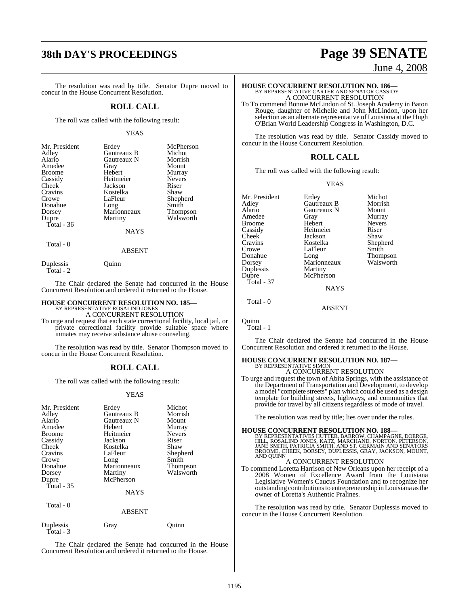The resolution was read by title. Senator Dupre moved to concur in the House Concurrent Resolution.

#### **ROLL CALL**

The roll was called with the following result:

#### YEAS

| Mr. President | Erdey       | McPherson       |
|---------------|-------------|-----------------|
| Adley         | Gautreaux B | Michot          |
| Alario        | Gautreaux N | Morrish         |
| Amedee        | Gray        | Mount           |
| <b>Broome</b> | Hebert      | Murray          |
| Cassidy       | Heitmeier   | <b>Nevers</b>   |
| Cheek         | Jackson     | Riser           |
| Cravins       | Kostelka    | Shaw            |
| Crowe         | LaFleur     | Shepherd        |
| Donahue       | Long        | Smith           |
| Dorsey        | Marionneaux | <b>Thompson</b> |
| Dupre         | Martiny     | Walsworth       |
| Total - 36    |             |                 |
|               | NAYS        |                 |
|               |             |                 |

Total - 0

Duplessis Quinn

Total - 2

The Chair declared the Senate had concurred in the House Concurrent Resolution and ordered it returned to the House.

ABSENT

#### **HOUSE CONCURRENT RESOLUTION NO. 185—** BY REPRESENTATIVE ROSALIND JONES

A CONCURRENT RESOLUTION

To urge and request that each state correctional facility, local jail, or private correctional facility provide suitable space where inmates may receive substance abuse counseling.

The resolution was read by title. Senator Thompson moved to concur in the House Concurrent Resolution.

#### **ROLL CALL**

The roll was called with the following result:

#### YEAS

| Mr. President<br>Adley<br>Alario<br>Amedee<br><b>Broome</b><br>Cassidy<br>Cheek<br>Cravins<br>Crowe<br>Donahue<br>Dorsey<br>Dupre<br>Total $-35$<br>Total - 0 | Erdey<br>Gautreaux B<br>Gautreaux N<br>Hebert<br>Heitmeier<br>Jackson<br>Kostelka<br>LaFleur<br>Long<br>Marionneaux<br>Martiny<br>McPherson<br><b>NAYS</b><br><b>ABSENT</b> | Michot<br>Morrish<br>Mount<br>Murray<br><b>Nevers</b><br>Riser<br>Shaw<br>Shepherd<br>Smith<br>Thompson<br>Walsworth |
|---------------------------------------------------------------------------------------------------------------------------------------------------------------|-----------------------------------------------------------------------------------------------------------------------------------------------------------------------------|----------------------------------------------------------------------------------------------------------------------|
|                                                                                                                                                               |                                                                                                                                                                             |                                                                                                                      |
| Duplessis<br>$Total - 3$                                                                                                                                      | Gray                                                                                                                                                                        | Ouinn                                                                                                                |

The Chair declared the Senate had concurred in the House Concurrent Resolution and ordered it returned to the House.

# **38th DAY'S PROCEEDINGS Page 39 SENATE**

June 4, 2008

# **HOUSE CONCURRENT RESOLUTION NO. 186—** BY REPRESENTATIVE CARTER AND SENATOR CASSIDY A CONCURRENT RESOLUTION

To To commend Bonnie McLindon of St. Joseph Academy in Baton Rouge, daughter of Michelle and John McLindon, upon her selection as an alternate representative of Louisiana at the Hugh O'Brian World Leadership Congress in Washington, D.C.

The resolution was read by title. Senator Cassidy moved to concur in the House Concurrent Resolution.

#### **ROLL CALL**

The roll was called with the following result:

#### YEAS

| Mr. President | Erdey         | Michot        |
|---------------|---------------|---------------|
| Adlev         | Gautreaux B   | Morrish       |
| Alario        | Gautreaux N   | Mount         |
| Amedee        | Gray          | Murray        |
| Broome        | Hebert        | <b>Nevers</b> |
| Cassidy       | Heitmeier     | Riser         |
| Cheek         | Jackson       | Shaw          |
| Cravins       | Kostelka      | Shepherd      |
| Crowe         | LaFleur       | Smith         |
| Donahue       | Long          | Thompson      |
| Dorsey        | Marionneaux   | Walsworth     |
| Duplessis     | Martiny       |               |
| Dupre         | McPherson     |               |
| Total - 37    |               |               |
|               | <b>NAYS</b>   |               |
| Total - 0     |               |               |
|               | <b>ARCENT</b> |               |

Quinn Total - 1

The Chair declared the Senate had concurred in the House Concurrent Resolution and ordered it returned to the House.

### **HOUSE CONCURRENT RESOLUTION NO. 187—** BY REPRESENTATIVE SIMON A CONCURRENT RESOLUTION

To urge and request the town of Abita Springs, with the assistance of the Department of Transportation and Development, to develop a model "complete streets" plan which could be used as a design template for building streets, highways, and communities that provide for travel by all citizens regardless of mode of travel.

The resolution was read by title; lies over under the rules.

#### **HOUSE CONCURRENT RESOLUTION NO. 188—**

BY REPRESENTATIVES HUTTER, BARROW, CHAMPAGNE, DOERGE,<br>HILL, ROSALIND JONES, KATZ, MARCHAND, NORTON, PETERSON,<br>JANE SMITH, PATRICIA SMITH, AND ST. GERMAIN AND SENATORS<br>BROOME, CHEEK, DORSEY, DUPLESSIS, GRAY, JACKSON, MOUNT,

#### A CONCURRENT RESOLUTION

To commend Loretta Harrison of New Orleans upon her receipt of a 2008 Women of Excellence Award from the Louisiana Legislative Women's Caucus Foundation and to recognize her outstanding contributions to entrepreneurship in Louisiana as the owner of Loretta's Authentic Pralines.

The resolution was read by title. Senator Duplessis moved to concur in the House Concurrent Resolution.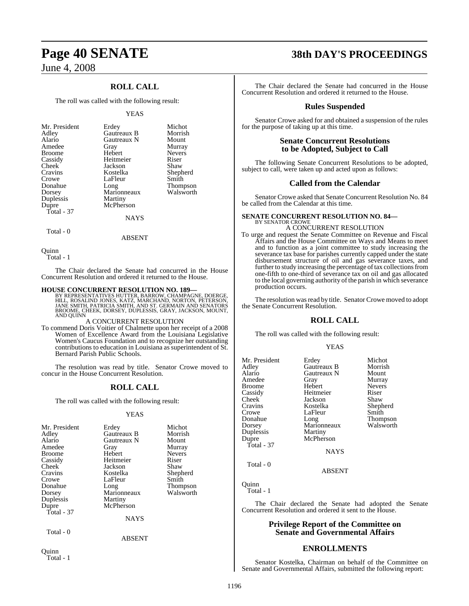### **ROLL CALL**

The roll was called with the following result:

#### YEAS

| Mr. President<br>Adley<br>Alario<br>Amedee<br><b>Broome</b><br>Cassidy<br>Cheek<br>Cravins<br>Crowe<br>Donahue<br>Dorsey<br>Duplessis | Erdey<br>Gautreaux B<br>Gautreaux N<br>Gray<br>Hebert<br>Heitmeier<br>Jackson<br>Kostelka<br>LaFleur<br>Long<br>Marionneaux<br>Martiny | Michot<br>Morrish<br>Mount<br>Murray<br><b>Nevers</b><br>Riser<br>Shaw<br>Shepherd<br>Smith<br><b>Thompson</b><br>Walsworth |
|---------------------------------------------------------------------------------------------------------------------------------------|----------------------------------------------------------------------------------------------------------------------------------------|-----------------------------------------------------------------------------------------------------------------------------|
| Dupre                                                                                                                                 | McPherson                                                                                                                              |                                                                                                                             |
| Total - 37                                                                                                                            |                                                                                                                                        |                                                                                                                             |
|                                                                                                                                       | <b>NAYS</b>                                                                                                                            |                                                                                                                             |

Total - 0

ABSENT

Quinn

Total - 1

The Chair declared the Senate had concurred in the House Concurrent Resolution and ordered it returned to the House.

#### **HOUSE CONCURRENT RESOLUTION NO. 189—**

BY REPRESENTATIVES HUTTER, BARROW, CHAMPAGNE, DOERGE,<br>HILL, ROSALIND JONES, KATZ, MARCHAND, NORTON, PETERSON,<br>JANE SMITH, PATRICIA SMITH, AND ST. GERMAIN AND SENATORS BROOME, CHEEK, DORSEY, DÚPLESSIS, GRAY, JACKSON, MOUNT,<br>AND QUINN

#### A CONCURRENT RESOLUTION

To commend Doris Voitier of Chalmette upon her receipt of a 2008 Women of Excellence Award from the Louisiana Legislative Women's Caucus Foundation and to recognize her outstanding contributions to education in Louisiana as superintendent of St. Bernard Parish Public Schools.

The resolution was read by title. Senator Crowe moved to concur in the House Concurrent Resolution.

#### **ROLL CALL**

The roll was called with the following result:

#### **YEAS**

| Mr. President                                                    | Erdey                                                | Michot        |
|------------------------------------------------------------------|------------------------------------------------------|---------------|
| Adley                                                            | Gautreaux B                                          | Morrish       |
| Alario                                                           | Gautreaux N                                          | Mount         |
| Amedee                                                           | Gray                                                 | Murray        |
| <b>Broome</b>                                                    | Hebert                                               | <b>Nevers</b> |
| Cassidy                                                          | Heitmeier                                            | Riser         |
| <b>Cheek</b>                                                     | Jackson                                              | Shaw          |
| Cravins                                                          | Kostelka                                             | Shepherd      |
| Crowe                                                            | LaFleur                                              | Smith         |
| Donahue                                                          | Long                                                 | Thompson      |
| Dorsey                                                           | Marionneaux                                          | Walsworth     |
| Duplessis<br>Dupre<br>Total $-37$<br>Total - 0<br>$\sim$ $\cdot$ | Martiny<br>McPherson<br><b>NAYS</b><br><b>ABSENT</b> |               |

Quinn Total - 1

# **Page 40 SENATE 38th DAY'S PROCEEDINGS**

The Chair declared the Senate had concurred in the House Concurrent Resolution and ordered it returned to the House.

#### **Rules Suspended**

Senator Crowe asked for and obtained a suspension of the rules for the purpose of taking up at this time.

#### **Senate Concurrent Resolutions to be Adopted, Subject to Call**

The following Senate Concurrent Resolutions to be adopted, subject to call, were taken up and acted upon as follows:

#### **Called from the Calendar**

Senator Crowe asked that Senate Concurrent Resolution No. 84 be called from the Calendar at this time.

#### **SENATE CONCURRENT RESOLUTION NO. 84—** BY SENATOR CROWE

#### A CONCURRENT RESOLUTION

To urge and request the Senate Committee on Revenue and Fiscal Affairs and the House Committee on Ways and Means to meet and to function as a joint committee to study increasing the severance tax base for parishes currently capped under the state disbursement structure of oil and gas severance taxes, and further to study increasing the percentage of tax collections from one-fifth to one-third of severance tax on oil and gas allocated to the local governing authority of the parish in which severance production occurs.

The resolution was read by title. Senator Crowe moved to adopt the Senate Concurrent Resolution.

#### **ROLL CALL**

The roll was called with the following result:

#### YEAS

| Mr. President | Erdey       | Michot          |
|---------------|-------------|-----------------|
| Adley         | Gautreaux B | Morrish         |
| Alario        | Gautreaux N | Mount           |
| Amedee        | Gray        | Murray          |
| <b>Broome</b> | Hebert      | <b>Nevers</b>   |
| Cassidy       | Heitmeier   | Riser           |
| <b>Cheek</b>  | Jackson     | Shaw            |
| Cravins       | Kostelka    | Shepherd        |
| Crowe         | LaFleur     | Smith           |
| Donahue       | Long        | <b>Thompson</b> |
| Dorsey        | Marionneaux | Walsworth       |
| Duplessis     | Martiny     |                 |
| Dupre         | McPherson   |                 |
| Total - $37$  |             |                 |
|               | <b>NAYS</b> |                 |
| Total - 0     |             |                 |

ABSENT

Quinn Total - 1

The Chair declared the Senate had adopted the Senate Concurrent Resolution and ordered it sent to the House.

#### **Privilege Report of the Committee on Senate and Governmental Affairs**

#### **ENROLLMENTS**

Senator Kostelka, Chairman on behalf of the Committee on Senate and Governmental Affairs, submitted the following report: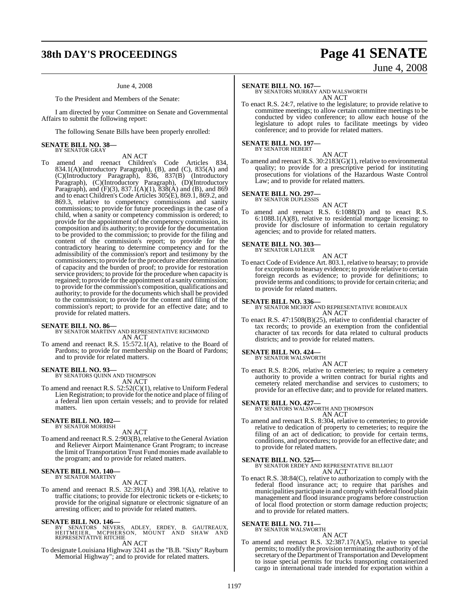# **38th DAY'S PROCEEDINGS Page 41 SENATE**

#### June 4, 2008

To the President and Members of the Senate:

I am directed by your Committee on Senate and Governmental Affairs to submit the following report:

The following Senate Bills have been properly enrolled:

#### **SENATE BILL NO. 38—** BY SENATOR GRAY

### AN ACT

To amend and reenact Children's Code Articles 834, 834.1(A)(Introductory Paragraph), (B), and (C), 835(A) and (C)(Introductory Paragraph), 836, 837(B) (Introductory Paragraph), (C)(Introductory Paragraph), (D)(Introductory Paragraph), and  $(F)(3)$ , 837.1(A)(1), 838(A) and (B), and 869 and to enact Children's Code Articles 305(E), 869.1, 869.2, and 869.3, relative to competency commissions and sanity commissions; to provide for future proceedings in the case of a child, when a sanity or competency commission is ordered; to provide for the appointment of the competency commission, its composition and its authority; to provide for the documentation to be provided to the commission; to provide for the filing and content of the commission's report; to provide for the contradictory hearing to determine competency and for the admissibility of the commission's report and testimony by the commissioners; to provide for the procedure after determination of capacity and the burden of proof; to provide for restoration service providers; to provide for the procedure when capacity is regained; to provide forthe appointment of a sanity commission; to provide for the commission's composition, qualifications and authority; to provide for the documents which shall be provided to the commission; to provide for the content and filing of the commission's report; to provide for an effective date; and to provide for related matters.

#### **SENATE BILL NO. 86—**

#### BY SENATOR MARTINY AND REPRESENTATIVE RICHMOND AN ACT

To amend and reenact R.S. 15:572.1(A), relative to the Board of Pardons; to provide for membership on the Board of Pardons; and to provide for related matters.

#### **SENATE BILL NO. 93—**

BY SENATORS QUINN AND THOMPSON AN ACT

To amend and reenact R.S. 52:52(C)(1), relative to Uniform Federal Lien Registration; to provide for the notice and place of filing of a federal lien upon certain vessels; and to provide for related matters.

#### **SENATE BILL NO. 102—** BY SENATOR MORRISH

AN ACT

To amend and reenact R.S. 2:903(B), relative to the General Aviation and Reliever Airport Maintenance Grant Program; to increase the limit of Transportation Trust Fund monies made available to the program; and to provide for related matters.

### **SENATE BILL NO. 140—** BY SENATOR MARTINY

#### AN ACT

To amend and reenact R.S. 32:391(A) and 398.1(A), relative to traffic citations; to provide for electronic tickets or e-tickets; to provide for the original signature or electronic signature of an arresting officer; and to provide for related matters.

**SENATE BILL NO. 146—**<br>BY SENATORS NEVERS, ADLEY, ERDEY, B. GAUTREAUX,<br>HEITMEIER, MCPHERSON, MOUNT AND SHAW AND<br>REPRESENTATIVE RITCHIE AN ACT

To designate Louisiana Highway 3241 as the "B.B. "Sixty" Rayburn Memorial Highway"; and to provide for related matters.

# June 4, 2008

**SENATE BILL NO. 167—** BY SENATORS MURRAY AND WALSWORTH AN ACT

To enact R.S. 24:7, relative to the legislature; to provide relative to committee meetings; to allow certain committee meetings to be conducted by video conference; to allow each house of the legislature to adopt rules to facilitate meetings by video conference; and to provide for related matters.

#### **SENATE BILL NO. 197—** BY SENATOR HEBERT

AN ACT

To amend and reenact R.S. 30:2183(G)(1), relative to environmental quality; to provide for a prescriptive period for instituting prosecutions for violations of the Hazardous Waste Control Law; and to provide for related matters.

#### **SENATE BILL NO. 297—** BY SENATOR DUPLESSIS

- AN ACT
- To amend and reenact R.S. 6:1088(D) and to enact R.S. 6:1088.1(A)(8), relative to residential mortgage licensing; to provide for disclosure of information to certain regulatory agencies; and to provide for related matters.

### **SENATE BILL NO. 303—** BY SENATOR LAFLEUR

AN ACT

To enact Code of Evidence Art. 803.1, relative to hearsay; to provide for exceptions to hearsay evidence; to provide relative to certain foreign records as evidence; to provide for definitions; to provide terms and conditions; to provide for certain criteria; and to provide for related matters.

**SENATE BILL NO. 336—** BY SENATOR MICHOT AND REPRESENTATIVE ROBIDEAUX AN ACT

To enact R.S. 47:1508(B)(25), relative to confidential character of tax records; to provide an exemption from the confidential character of tax records for data related to cultural products districts; and to provide for related matters.

#### **SENATE BILL NO. 424—**

BY SENATOR WALSWORTH AN ACT

To enact R.S. 8:206, relative to cemeteries; to require a cemetery authority to provide a written contract for burial rights and cemetery related merchandise and services to customers; to provide for an effective date; and to provide for related matters.

#### **SENATE BILL NO. 427—**

BY SENATORS WALSWORTH AND THOMPSON AN ACT

To amend and reenact R.S. 8:304, relative to cemeteries; to provide relative to dedication of property to cemeteries; to require the filing of an act of dedication; to provide for certain terms, conditions, and procedures; to provide for an effective date; and to provide for related matters.

#### **SENATE BILL NO. 525—**

BY SENATOR ERDEY AND REPRESENTATIVE BILLIOT AN ACT

To enact R.S. 38:84(C), relative to authorization to comply with the federal flood insurance act; to require that parishes and municipalities participate in and comply with federal flood plain management and flood insurance programs before construction of local flood protection or storm damage reduction projects; and to provide for related matters.

### **SENATE BILL NO. 711—** BY SENATOR WALSWORTH

AN ACT

To amend and reenact R.S. 32:387.17(A)(5), relative to special permits; to modify the provision terminating the authority of the secretary of the Department of Transportation and Development to issue special permits for trucks transporting containerized cargo in international trade intended for exportation within a